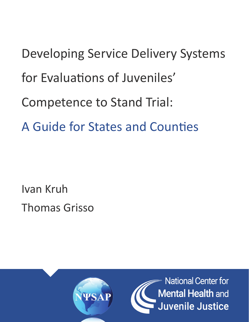Developing Service Delivery Systems for Evaluations of Juveniles' Competence to Stand Trial: A Guide for States and Counties

Ivan Kruh Thomas Grisso

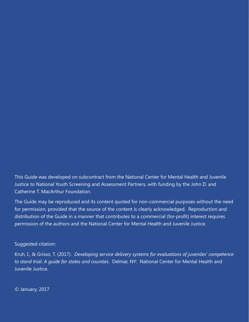This Guide was developed on subcontract from the National Center for Mental Health and Juvenile Justice to National Youth Screening and Assessment Partners, with funding by the John D. and Catherine T. MacArthur Foundation.

The Guide may be reproduced and its content quoted for non-commercial purposes without the need for permission, provided that the source of the content is clearly acknowledged. Reproduction and distribution of the Guide in a manner that contributes to a commercial (for-profit) interest requires permission of the authors and the National Center for Mental Health and Juvenile Justice.

#### Suggested citation:

Kruh, I., & Grisso, T. (2017). *Developing service delivery systems for evaluations of juveniles' competence to stand trial: A guide for states and counties*. Delmar, NY: National Center for Mental Health and Juvenile Justice.

© January, 2017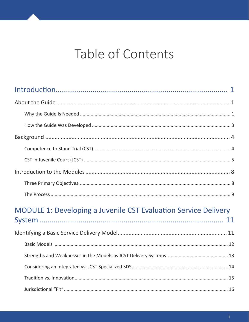## Table of Contents

| <b>MODULE 1: Developing a Juvenile CST Evaluation Service Delivery</b> |  |
|------------------------------------------------------------------------|--|
|                                                                        |  |
|                                                                        |  |
|                                                                        |  |
|                                                                        |  |
|                                                                        |  |
|                                                                        |  |
|                                                                        |  |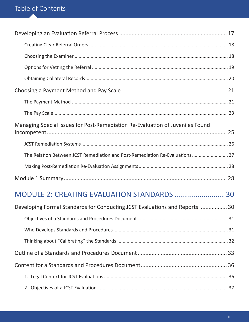| Managing Special Issues for Post-Remediation Re-Evaluation of Juveniles Found |  |  |
|-------------------------------------------------------------------------------|--|--|
|                                                                               |  |  |
| The Relation Between JCST Remediation and Post-Remediation Re-Evaluations 27  |  |  |
|                                                                               |  |  |
|                                                                               |  |  |
| MODULE 2: CREATING EVALUATION STANDARDS  30                                   |  |  |
| Developing Formal Standards for Conducting JCST Evaluations and Reports  30   |  |  |
|                                                                               |  |  |
|                                                                               |  |  |
|                                                                               |  |  |
|                                                                               |  |  |
|                                                                               |  |  |
|                                                                               |  |  |
|                                                                               |  |  |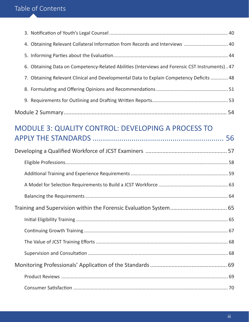| 4. Obtaining Relevant Collateral Information from Records and Interviews  40                  |
|-----------------------------------------------------------------------------------------------|
|                                                                                               |
| 6. Obtaining Data on Competency-Related Abilities (Interviews and Forensic CST Instruments)47 |
| 7. Obtaining Relevant Clinical and Developmental Data to Explain Competency Deficits  48      |
|                                                                                               |
|                                                                                               |
|                                                                                               |
| <b>MODULE 3: QUALITY CONTROL: DEVELOPING A PROCESS TO</b>                                     |
|                                                                                               |
|                                                                                               |
|                                                                                               |
|                                                                                               |
|                                                                                               |
|                                                                                               |
|                                                                                               |
|                                                                                               |
|                                                                                               |
|                                                                                               |
|                                                                                               |
|                                                                                               |
|                                                                                               |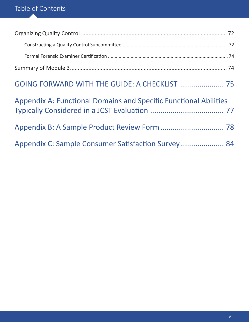| GOING FORWARD WITH THE GUIDE: A CHECKLIST  75                           |
|-------------------------------------------------------------------------|
| <b>Appendix A: Functional Domains and Specific Functional Abilities</b> |
|                                                                         |
| Appendix C: Sample Consumer Satisfaction Survey  84                     |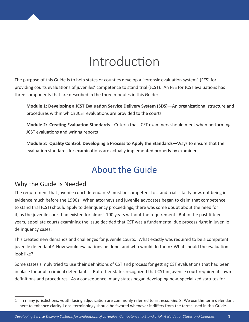## Introduction

<span id="page-6-0"></span>The purpose of this Guide is to help states or counties develop a "forensic evaluation system" (FES) for providing courts evaluations of juveniles' competence to stand trial (JCST). An FES for JCST evaluations has three components that are described in the three modules in this Guide:

**Module 1: Developing a JCST Evaluation Service Delivery System (SDS)**—An organizational structure and procedures within which JCST evaluations are provided to the courts

**Module 2: Creating Evaluation Standards**—Criteria that JCST examiners should meet when performing JCST evaluations and writing reports

**Module 3: Quality Control: Developing a Process to Apply the Standards**—Ways to ensure that the evaluation standards for examinations are actually implemented properly by examiners

## About the Guide

#### Why the Guide Is Needed

The requirement that juvenile court defendants<sup>1</sup> must be competent to stand trial is fairly new, not being in evidence much before the 1990s. When attorneys and juvenile advocates began to claim that competence to stand trial (CST) should apply to delinquency proceedings, there was some doubt about the need for it, as the juvenile court had existed for almost 100 years without the requirement. But in the past fifteen years, appellate courts examining the issue decided that CST was a fundamental due process right in juvenile delinquency cases.

This created new demands and challenges for juvenile courts. What exactly was required to be a competent juvenile defendant? How would evaluations be done, and who would do them? What should the evaluations look like?

Some states simply tried to use their definitions of CST and process for getting CST evaluations that had been in place for adult criminal defendants. But other states recognized that CST in juvenile court required its own definitions and procedures. As a consequence, many states began developing new, specialized statutes for

<sup>1</sup> In many jurisdictions, youth facing adjudication are commonly referred to as *respondents.* We use the term defendant here to enhance clarity. Local terminology should be favored whenever it differs from the terms used in this Guide.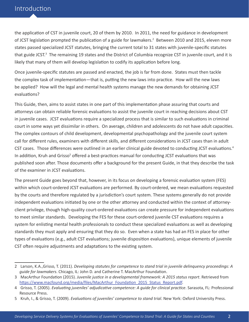the application of CST in juvenile court, 20 of them by 2010. In 2011, the need for guidance in development of JCST legislation prompted the publication of a guide for lawmakers.<sup>2</sup> Between 2010 and 2015, eleven more states passed specialized JCST statutes, bringing the current total to 31 states with juvenile-specific statutes that guide JCST.<sup>3</sup> The remaining 19 states and the District of Columbia recognize CST in juvenile court, and it is likely that many of them will develop legislation to codify its application before long.

Once juvenile-specific statutes are passed and enacted, the job is far from done. States must then tackle the complex task of implementation—that is, putting the new laws into practice. How will the new laws be applied? How will the legal and mental health systems manage the new demands for obtaining JCST evaluations?

This Guide, then, aims to assist states in one part of this implementation phase assuring that courts and attorneys can obtain reliable forensic evaluations to assist the juvenile court in reaching decisions about CST in juvenile cases. JCST evaluations require a specialized process that is similar to such evaluations in criminal court in some ways yet dissimilar in others. On average, children and adolescents do not have adult capacities. The complex contours of child development, developmental psychopathology and the juvenile court system call for different rules, examiners with different skills, and different considerations in JCST cases than in adult CST cases. Those differences were outlined in an earlier clinical guide devoted to conducting JCST evaluations.<sup>4</sup> In addition, Kruh and Grisso<sup>5</sup> offered a best-practices manual for conducting JCST evaluations that was published soon after. Those documents offer a background for the present Guide, in that they describe the task of the examiner in JCST evaluations.

The present Guide goes beyond that, however, in its focus on developing a forensic evaluation system (FES) within which court-ordered JCST evaluations are performed. By court-ordered, we mean evaluations requested by the courts and therefore regulated by a jurisdiction's court system. These systems generally do not provide independent evaluations initiated by one or the other attorney and conducted within the context of attorneyclient privilege, though high-quality court-ordered evaluations can create pressure for independent evaluations to meet similar standards. Developing the FES for these court-ordered juvenile CST evaluations requires a system for enlisting mental health professionals to conduct these specialized evaluations as well as developing standards they must apply and ensuring that they do so. Even when a state has had an FES in place for other types of evaluations (e.g., adult CST evaluations; juvenile disposition evaluations), unique elements of juvenile CST often require adjustments and adaptations to the existing system.

<sup>2</sup> Larson, K.A.,Grisso, T. (2011). *Developing statutes for competence to stand trial in juvenile delinquency proceedings: A guide for lawmakers*. Chicago, IL: John D. and Catherine T. MacArthur Foundation.

<sup>3</sup> MacArthur Foundation (2015). *Juvenile justice in a developmental framework: A 2015 status report*. Retrieved from [https://www.macfound.org/media/files/MacArthur\\_Foundation\\_2015\\_Status\\_Report.pdf](https://www.macfound.org/media/files/MacArthur_Foundation_2015_Status_Report.pdf).

<sup>4</sup> Grisso, T. (2005). *Evaluating juveniles' adjudicative competence: A guide for clinical practice*. Sarasota, FL: Professional Resource Press.

<sup>5</sup> Kruh, I., & Grisso, T. (2009). *Evaluations of juveniles' competence to stand trial*. New York: Oxford University Press.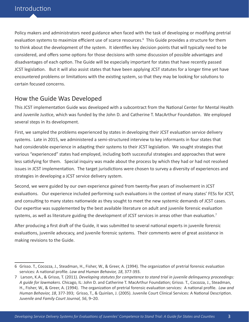<span id="page-8-0"></span>Policy makers and administrators need guidance when faced with the task of developing or modifying pretrial evaluation systems to maximize efficient use of scarce resources.<sup>6</sup> This Guide provides a structure for them to think about the development of the system. It identifies key decision points that will typically need to be considered, and offers some options for those decisions with some discussion of possible advantages and disadvantages of each option. The Guide will be especially important for states that have recently passed JCST legislation. But it will also assist states that have been applying JCST statutes for a longer time yet have encountered problems or limitations with the existing system, so that they may be looking for solutions to certain focused concerns.

#### How the Guide Was Developed

This JCST implementation Guide was developed with a subcontract from the National Center for Mental Health and Juvenile Justice, which was funded by the John D. and Catherine T. MacArthur Foundation. We employed several steps in its development.

First, we sampled the problems experienced by states in developing their JCST evaluation service delivery systems. Late in 2015, we administered a semi-structured interview to key informants in four states that had considerable experience in adapting their systems to their JCST legislation. We sought strategies that various "experienced" states had employed, including both successful strategies and approaches that were less satisfying for them. Special inquiry was made about the process by which they had or had not resolved issues in JCST implementation. The target jurisdictions were chosen to survey a diversity of experiences and strategies in developing a JCST service delivery system.

Second, we were guided by our own experience gained from twenty-five years of involvement in JCST evaluations. Our experience included performing such evaluations in the context of many states' FESs for JCST, and consulting to many states nationwide as they sought to meet the new systemic demands of JCST cases. Our expertise was supplemented by the best available literature on adult and juvenile forensic evaluation systems, as well as literature guiding the development of JCST services in areas other than evaluation.<sup>7</sup>

After producing a first draft of the Guide, it was submitted to several national experts in juvenile forensic evaluations, juvenile advocacy, and juvenile forensic systems. Their comments were of great assistance in making revisions to the Guide.

<sup>6</sup> Grisso. T., Cocozza, J., Steadman, H., Fisher, W., & Greer, A. (1994). The organization of pretrial forensic evaluation services: A national profile. *Law and Human Behavior, 18*, 377-393.

<sup>7</sup> Larson, K.A., & Grisso, T. (2011). *Developing statutes for competence to stand trial in juvenile delinquency proceedings: A guide for lawmakers*. Chicago, IL: John D. and Catherine T. MacArthur Foundation; Grisso. T., Cocozza, J., Steadman, H., Fisher, W., & Greer, A. (1994). The organization of pretrial forensic evaluation services: A national profile. *Law and Human Behavior, 18*, 377-393; Grisso, T., & Quinlan, J. (2005). Juvenile Court Clinical Services: A National Description. *Juvenile and Family Court Journal, 56*, 9–20.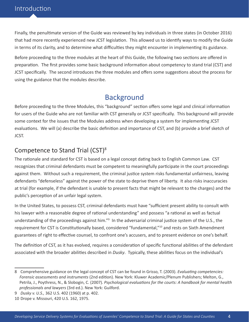<span id="page-9-0"></span>Finally, the penultimate version of the Guide was reviewed by key individuals in three states (in October 2016) that had more recently experienced new JCST legislation. This allowed us to identify ways to modify the Guide in terms of its clarity, and to determine what difficulties they might encounter in implementing its guidance.

Before proceeding to the three modules at the heart of this Guide, the following two sections are offered in preparation. The first provides some basic background information about competency to stand trial (CST) and JCST specifically. The second introduces the three modules and offers some suggestions about the process for using the guidance that the modules describe.

### Background

Before proceeding to the three Modules, this "background" section offers some legal and clinical information for users of the Guide who are not familiar with CST generally or JCST specifically. This background will provide some context for the issues that the Modules address when developing a system for implementing JCST evaluations. We will (a) describe the basic definition and importance of CST, and (b) provide a brief sketch of JCST.

### Competence to Stand Trial (CST)8

The rationale and standard for CST is based on a legal concept dating back to English Common Law. CST recognizes that criminal defendants must be competent to meaningfully participate in the court proceedings against them. Without such a requirement, the criminal justice system risks fundamental unfairness, leaving defendants "defenseless" against the power of the state to deprive them of liberty. It also risks inaccuracies at trial (for example, if the defendant is unable to present facts that might be relevant to the charges) and the public's perception of an unfair legal system.

In the United States, to possess CST, criminal defendants must have "sufficient present ability to consult with his lawyer with a reasonable degree of rational understanding" and possess "a rational as well as factual understanding of the proceedings against him."<sup>9</sup> In the adversarial criminal justice system of the U.S., the requirement for CST is Constitutionally based, considered "fundamental,"<sup>10</sup> and rests on Sixth Amendment guarantees of right to effective counsel, to confront one's accusers, and to present evidence on one's behalf.

The definition of CST, as it has evolved, requires a consideration of specific functional abilities of the defendant associated with the broader abilities described in *Dusky*. Typically, these abilities focus on the individual's

<sup>8</sup> Comprehensive guidance on the legal concept of CST can be found in Grisso, T. (2003). *Evaluating competencies: Forensic assessments and instruments* (2nd edition). New York: Kluwer Academic/Plenum Publishers; Melton, G., Petrila, J., Poythress, N., & Slobogin, C. (2007)*. Psychological evaluations for the courts: A handbook for mental health professionals and lawyers* (3rd ed.). New York: Guilford.

<sup>9</sup> *Dusky v. U.S.,* 362 U.S. 402 (1960) at p. 402.

<sup>10</sup> Drope v. Missouri, 420 U.S. 162, 1975.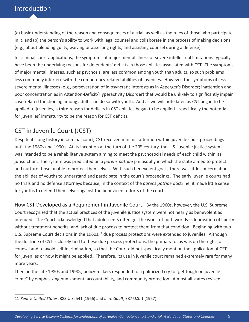<span id="page-10-0"></span>(a) basic understanding of the reason and consequences of a trial, as well as the roles of those who participate in it, and (b) the person's ability to work with legal counsel and collaborate in the process of making decisions (e.g., about pleading guilty, waiving or asserting rights, and assisting counsel during a defense).

In criminal court applications, the symptoms of major mental illness or severe intellectual limitations typically have been the underlying reasons for defendants' deficits in those abilities associated with CST. The symptoms of major mental illnesses, such as psychosis, are less common among youth than adults, so such problems less commonly interfere with the competency-related abilities of juveniles. However, the symptoms of less severe mental illnesses (e.g., perseveration of idiosyncratic interests as in Asperger's Disorder; inattention and poor concentration as in Attention-Deficit/Hyperactivity Disorder) that would be unlikely to significantly impair case-related functioning among adults can do so with youth. And as we will note later, as CST began to be applied to juveniles, a third reason for deficits in CST abilities began to be applied—specifically the potential for juveniles' immaturity to be the reason for CST deficits.

## CST in Juvenile Court (JCST)

Despite its long history in criminal court, CST received minimal attention within juvenile court proceedings until the 1980s and 1990s. At its inception at the turn of the 20<sup>th</sup> century, the U.S. juvenile justice system was intended to be a rehabilitative system aiming to meet the psychosocial needs of each child within its jurisdiction. The system was predicated on a *parens patriae* philosophy in which the state aimed to protect and nurture those unable to protect themselves. With such benevolent goals, there was little concern about the abilities of youths to understand and participate in the court's proceedings. The early juvenile courts had no trials and no defense attorneys because, in the context of the *parens patriae* doctrine, it made little sense for youths to defend themselves against the benevolent efforts of the court.

How CST Developed as a Requirement in Juvenile Court. By the 1960s, however, the U.S. Supreme Court recognized that the actual practices of the juvenile justice system were not nearly as benevolent as intended. The Court acknowledged that adolescents often got the worst of both worlds—deprivation of liberty without treatment benefits, and lack of due process to protect them from that condition. Beginning with two U.S. Supreme Court decisions in the 1960s, $<sup>11</sup>$  due process protections were extended to juveniles. Although</sup> the doctrine of CST is closely tied to these due process protections, the primary focus was on the right to counsel and to avoid self-incrimination, so that the Court did not specifically mention the application of CST for juveniles or how it might be applied. Therefore, its use in juvenile court remained extremely rare for many more years.

Then, in the late 1980s and 1990s, policy-makers responded to a politicized cry to "get tough on juvenile crime" by emphasizing punishment, accountability, and community protection. Almost all states revised

<sup>11</sup> *Kent v. United States*, 383 U.S. 541 (1966) and *In re Gault*, 387 U.S. 1 (1967).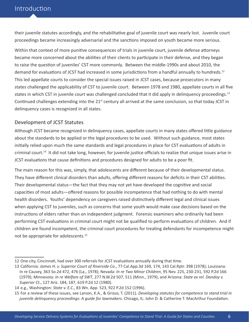their juvenile statutes accordingly, and the rehabilitative goal of juvenile court was nearly lost. Juvenile court proceedings became increasingly adversarial and the sanctions imposed on youth became more serious.

Within that context of more punitive consequences of trials in juvenile court, juvenile defense attorneys became more concerned about the abilities of their clients to participate in their defense, and they began to raise the question of juveniles' CST more commonly. Between the middle-1990s and about 2010, the demand for evaluations of JCST had increased in some jurisdictions from a handful annually to hundreds.12 This led appellate courts to consider the special issues raised in JCST cases, because prosecutors in many states challenged the applicability of CST to juvenile court. Between 1978 and 1980, appellate courts in all five states in which CST in juvenile court was challenged concluded that it did apply in delinguency proceedings.<sup>13</sup> Continued challenges extending into the 21<sup>st</sup> century all arrived at the same conclusion, so that today JCST in delinquency cases is recognized in all states.

#### Development of JCST Statutes

Although JCST became recognized in delinquency cases, appellate courts in many states offered little guidance about the standards to be applied or the legal procedures to be used. Without such guidance, most states initially relied upon much the same standards and legal procedures in place for CST evaluations of adults in criminal court.14 It did not take long, however, for juvenile justice officials to realize that unique issues arise in JCST evaluations that cause definitions and procedures designed for adults to be a poor fit.

The main reason for this was, simply, that adolescents are different because of their developmental status. They have different clinical disorders than adults, offering different reasons for deficits in their CST abilities. Their developmental status—the fact that they may not yet have developed the cognitive and social capacities of most adults—offered reasons for possible incompetence that had nothing to do with mental health disorders. Youths' dependency on caregivers raised distinctively different legal and clinical issues when applying CST to juveniles, such as concerns that some youth would make case decisions based on the instructions of elders rather than on independent judgment. Forensic examiners who ordinarily had been performing CST evaluations in criminal court might not be qualified to perform evaluations of children. And if children are found incompetent, the criminal court procedures for treating defendants for incompetence might not be appropriate for adolescents.15

<sup>12</sup> One city, Cincinnati, had over 300 referrals for JCST evaluations annually during that time.

<sup>13</sup> California: *James H. v. Superior Court of Riverside Co*., 77 Cal.App.3d 169, 174, 143 Cal.Rptr. 398 (1978); Louisiana: In re Causey, 363 So.2d 472, 476 (La., 1978); Nevada: *In re Two Minor Children*, 95 Nev. 225, 230-231, 592 P.2d 166 (1979); Minnesota: *In re Welfare of SWT*, 277 N.W.2d 507, 511 (Minn., 1979); and Arizona: *State ex rel. Dandoy v. Superior Ct*., 127 Ariz. 184, 187, 619 P.2d 12 (1980).

<sup>14</sup> e.g., Washington: *State v. E.C.,* 83 Wn. App. 523, 922 P.2d 152 (1996).

<sup>15</sup> For a review of these issues, see Larson, K.A., & Grisso, T. (2011). *Developing statutes for competence to stand trial in juvenile delinquency proceedings: A guide for lawmakers*. Chicago, IL: John D. & Catherine T. MacArthur Foundation.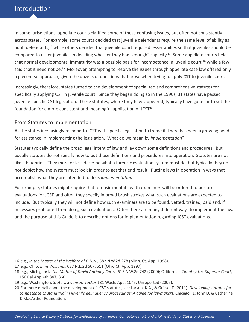In some jurisdictions, appellate courts clarified some of these confusing issues, but often not consistently across states. For example, some courts decided that juvenile defendants require the same level of ability as adult defendants,<sup>16</sup> while others decided that juvenile court required lesser ability, so that juveniles should be compared to other juveniles in deciding whether they had "enough" capacity.17 Some appellate courts held that normal developmental immaturity was a possible basis for incompetence in juvenile court,<sup>18</sup> while a few said that it need not be.<sup>19</sup> Moreover, attempting to resolve the issues through appellate case law offered only a piecemeal approach, given the dozens of questions that arose when trying to apply CST to juvenile court.

Increasingly, therefore, states turned to the development of specialized and comprehensive statutes for specifically applying CST in juvenile court. Since they began doing so in the 1990s, 31 states have passed juvenile-specific CST legislation. These statutes, where they have appeared, typically have gone far to set the foundation for a more consistent and meaningful application of JCST<sup>20</sup>.

#### From Statutes to Implementation

As the states increasingly respond to JCST with specific legislation to frame it, there has been a growing need for assistance in implementing the legislation. What do we mean by *implementation*?

Statutes typically define the broad legal intent of law and lay down some definitions and procedures. But usually statutes do not specify how to put those definitions and procedures into operation. Statutes are not like a blueprint. They more or less describe what a forensic evaluation system must do, but typically they do not depict how the system must look in order to get that end result. Putting laws in operation in ways that accomplish what they are intended to do is *implementation*.

For example, statutes might require that forensic mental health examiners will be ordered to perform evaluations for JCST, and often they specify in broad brush strokes what such evaluations are expected to include. But typically they will not define how such examiners are to be found, vetted, trained, paid and, if necessary, prohibited from doing such evaluations. Often there are many different ways to implement the law, and the purpose of this Guide is to describe options for implementation regarding JCST evaluations.

<sup>16</sup> e.g., *In the Matter of the Welfare of D.D.N*., 582 N.W.2d 278 (Minn. Ct. App. 1998).

<sup>17</sup> e.g., Ohio; *In re Williams,* 687 N.E.2d 507, 511 (Ohio Ct. App. 1997).

<sup>18</sup> e.g., Michigan: I*n the Matter of David Anthony Carey*, 615 N.W.2d 742 (2000); California: *Timothy J. v. Superior Court*, 150 Cal.App.4th 847, 860.

<sup>19</sup> e.g., Washington: *State v. Swenson-Tucker* 131 Wash. App. 1045, Unreported (2006).

<sup>20</sup> For more detail about the development of JCST statutes, see Larson, K.A., & Grisso, T. (2011). *Developing statutes for competence to stand trial in juvenile delinquency proceedings: A guide for lawmakers*. Chicago, IL: John D. & Catherine T. MacArthur Foundation.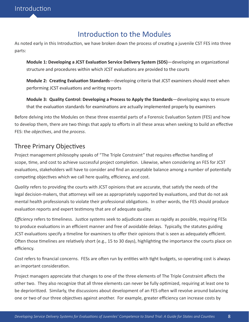## Introduction to the Modules

<span id="page-13-0"></span>As noted early in this Introduction, we have broken down the process of creating a juvenile CST FES into three parts:

**Module 1: Developing a JCST Evaluation Service Delivery System (SDS)**—developing an organizational structure and procedures within which JCST evaluations are provided to the courts

**Module 2: Creating Evaluation Standards**—developing criteria that JCST examiners should meet when performing JCST evaluations and writing reports

**Module 3: Quality Control: Developing a Process to Apply the Standards**—developing ways to ensure that the evaluation standards for examinations are actually implemented properly by examiners

Before delving into the Modules on these three essential parts of a Forensic Evaluation System (FES) and how to develop them, there are two things that apply to efforts in all these areas when seeking to build an effective FES: the *objectives*, and the *process*.

#### Three Primary Objectives

Project management philosophy speaks of "The Triple Constraint" that requires effective handling of scope, time, and cost to achieve successful project completion. Likewise, when considering an FES for JCST evaluations, stakeholders will have to consider and find an acceptable balance among a number of potentially competing objectives which we call here quality, efficiency, and cost.

*Quality* refers to providing the courts with JCST opinions that are accurate, that satisfy the needs of the legal decision-makers, that attorneys will see as appropriately supported by evaluations, and that do not ask mental health professionals to violate their professional obligations. In other words, the FES should produce evaluation reports and expert testimony that are of adequate quality.

*Efficiency* refers to timeliness. Justice systems seek to adjudicate cases as rapidly as possible, requiring FESs to produce evaluations in an efficient manner and free of avoidable delays. Typically, the statutes guiding JCST evaluations specify a timeline for examiners to offer their opinions that is seen as adequately efficient. Often those timelines are relatively short (e.g., 15 to 30 days), highlighting the importance the courts place on efficiency.

*Cost* refers to financial concerns. FESs are often run by entities with tight budgets, so operating cost is always an important consideration.

Project managers appreciate that changes to one of the three elements of The Triple Constraint affects the other two. They also recognize that all three elements can never be fully optimized, requiring at least one to be deprioritized. Similarly, the discussions about development of an FES often will revolve around balancing one or two of our three objectives against another. For example, greater efficiency can increase costs by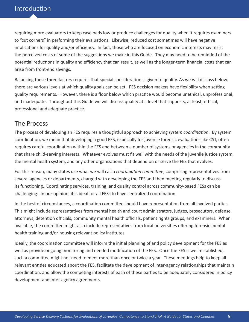<span id="page-14-0"></span>requiring more evaluators to keep caseloads low or produce challenges for quality when it requires examiners to "cut corners" in performing their evaluations. Likewise, reduced cost sometimes will have negative implications for quality and/or efficiency. In fact, those who are focused on economic interests may resist the perceived costs of some of the suggestions we make in this Guide. They may need to be reminded of the potential reductions in quality and efficiency that can result, as well as the longer-term financial costs that can arise from front-end savings.

Balancing these three factors requires that special consideration is given to quality. As we will discuss below, there are various levels at which quality goals can be set. FES decision makers have flexibility when setting quality requirements. However, there is a floor below which practice would become unethical, unprofessional, and inadequate. Throughout this Guide we will discuss quality at a level that supports, at least, ethical, professional and adequate practice.

#### The Process

The process of developing an FES requires a thoughtful approach to achieving *system coordination*. By system coordination, we mean that developing a good FES, especially for juvenile forensic evaluations like CST, often requires careful coordination within the FES and between a number of systems or agencies in the community that share child-serving interests. Whatever evolves must fit well with the needs of the juvenile justice system, the mental health system, and any other organizations that depend on or serve the FES that evolves.

For this reason, many states use what we will call a *coordination committee*, comprising representatives from several agencies or departments, charged with developing the FES and then meeting regularly to discuss its functioning. Coordinating services, training, and quality control across community-based FESs can be challenging. In our opinion, it is ideal for all FESs to have centralized coordination.

In the best of circumstances, a coordination committee should have representation from all involved parties. This might include representatives from mental health and court administrators, judges, prosecutors, defense attorneys, detention officials, community mental health officials, patient rights groups, and examiners. When available, the committee might also include representatives from local universities offering forensic mental health training and/or housing relevant policy institutes.

Ideally, the coordination committee will inform the initial planning of and policy development for the FES as well as provide ongoing monitoring and needed modification of the FES. Once the FES is well-established, such a committee might not need to meet more than once or twice a year. These meetings help to keep all relevant entities educated about the FES, facilitate the development of inter-agency relationships that maintain coordination, and allow the competing interests of each of these parties to be adequately considered in policy development and inter-agency agreements.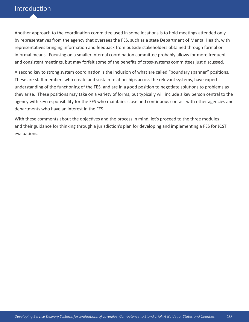Another approach to the coordination committee used in some locations is to hold meetings attended only by representatives from the agency that oversees the FES, such as a state Department of Mental Health, with representatives bringing information and feedback from outside stakeholders obtained through formal or informal means. Focusing on a smaller internal coordination committee probably allows for more frequent and consistent meetings, but may forfeit some of the benefits of cross-systems committees just discussed.

A second key to strong system coordination is the inclusion of what are called "boundary spanner" positions. These are staff members who create and sustain relationships across the relevant systems, have expert understanding of the functioning of the FES, and are in a good position to negotiate solutions to problems as they arise. These positions may take on a variety of forms, but typically will include a key person central to the agency with key responsibility for the FES who maintains close and continuous contact with other agencies and departments who have an interest in the FES.

With these comments about the objectives and the process in mind, let's proceed to the three modules and their guidance for thinking through a jurisdiction's plan for developing and implementing a FES for JCST evaluations.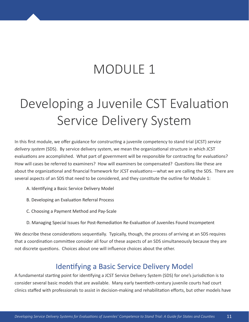## MODULE 1

# <span id="page-16-0"></span>Developing a Juvenile CST Evaluation Service Delivery System

In this first module, we offer guidance for constructing a juvenile competency to stand trial (JCST) *service delivery system* (SDS). By service delivery system, we mean the organizational structure in which JCST evaluations are accomplished. What part of government will be responsible for contracting for evaluations? How will cases be referred to examiners? How will examiners be compensated? Questions like these are about the organizational and financial framework for JCST evaluations—what we are calling the SDS. There are several aspects of an SDS that need to be considered, and they constitute the outline for Module 1:

- A. Identifying a Basic Service Delivery Model
- B. Developing an Evaluation Referral Process
- C. Choosing a Payment Method and Pay-Scale
- D. Managing Special Issues for Post-Remediation Re-Evaluation of Juveniles Found Incompetent

We describe these considerations sequentially. Typically, though, the process of arriving at an SDS requires that a coordination committee consider all four of these aspects of an SDS simultaneously because they are not discrete questions. Choices about one will influence choices about the other.

## Identifying a Basic Service Delivery Model

A fundamental starting point for identifying a JCST Service Delivery System (SDS) for one's jurisdiction is to consider several basic models that are available. Many early twentieth-century juvenile courts had court clinics staffed with professionals to assist in decision-making and rehabilitation efforts, but other models have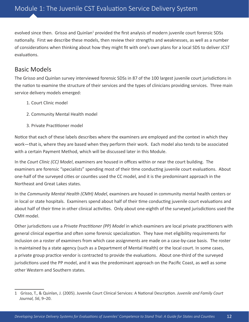<span id="page-17-0"></span>evolved since then. Grisso and Quinlan<sup>1</sup> provided the first analysis of modern juvenile court forensic SDSs nationally. First we describe these models, then review their strengths and weaknesses, as well as a number of considerations when thinking about how they might fit with one's own plans for a local SDS to deliver JCST evaluations.

#### Basic Models

The Grisso and Quinlan survey interviewed forensic SDSs in 87 of the 100 largest juvenile court jurisdictions in the nation to examine the structure of their services and the types of clinicians providing services. Three main service delivery models emerged:

- 1. Court Clinic model
- 2. Community Mental Health model
- 3. Private Practitioner model

Notice that each of these labels describes where the examiners are employed and the context in which they work—that is, where they are based when they perform their work. Each model also tends to be associated with a certain Payment Method, which will be discussed later in this Module.

In the *Court Clinic (CC) Model*, examiners are housed in offices within or near the court building. The examiners are forensic "specialists" spending most of their time conducting juvenile court evaluations. About one-half of the surveyed cities or counties used the CC model, and it is the predominant approach in the Northeast and Great Lakes states.

In the *Community Mental Health (CMH) Model*, examiners are housed in community mental health centers or in local or state hospitals. Examiners spend about half of their time conducting juvenile court evaluations and about half of their time in other clinical activities. Only about one-eighth of the surveyed jurisdictions used the CMH model.

Other jurisdictions use a *Private Practitioner (PP) Model* in which examiners are local private practitioners with general clinical expertise and often some forensic specialization. They have met eligibility requirements for inclusion on a roster of examiners from which case assignments are made on a case-by-case basis. The roster is maintained by a state agency (such as a Department of Mental Health) or the local court. In some cases, a private group practice vendor is contracted to provide the evaluations. About one-third of the surveyed jurisdictions used the PP model, and it was the predominant approach on the Pacific Coast, as well as some other Western and Southern states.

<sup>1</sup> Grisso, T., & Quinlan, J. (2005). Juvenile Court Clinical Services: A National Description*. Juvenile and Family Court Journal, 56*, 9–20.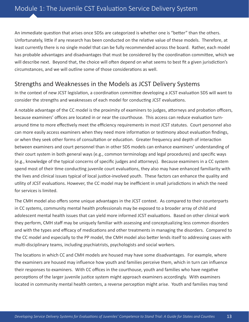<span id="page-18-0"></span>An immediate question that arises once SDSs are categorized is whether one is "better" than the others. Unfortunately, little if any research has been conducted on the relative value of these models. Therefore, at least currently there is no single model that can be fully recommended across the board. Rather, each model has probable advantages and disadvantages that must be considered by the coordination committee, which we will describe next. Beyond that, the choice will often depend on what seems to best fit a given jurisdiction's circumstances, and we will outline some of those considerations as well.

#### Strengths and Weaknesses in the Models as JCST Delivery Systems

In the context of new JCST legislation, a coordination committee developing a JCST evaluation SDS will want to consider the strengths and weaknesses of each model for conducting JCST evaluations.

A notable advantage of the CC model is the proximity of examiners to judges, attorneys and probation officers, because examiners' offices are located in or near the courthouse. This access can reduce evaluation turnaround time to more effectively meet the efficiency requirements in most JCST statutes. Court personnel also can more easily access examiners when they need more information or testimony about evaluation findings, or when they seek other forms of consultation or education. Greater frequency and depth of interaction between examiners and court personnel than in other SDS models can enhance examiners' understanding of their court system in both general ways (e.g., common terminology and legal procedures) and specific ways (e.g., knowledge of the typical concerns of specific judges and attorneys). Because examiners in a CC system spend most of their time conducting juvenile court evaluations, they also may have enhanced familiarity with the lives and clinical issues typical of local justice-involved youth. These factors can enhance the quality and utility of JCST evaluations. However, the CC model may be inefficient in small jurisdictions in which the need for services is limited.

The CMH model also offers some unique advantages in the JCST context. As compared to their counterparts in CC systems, community mental health professionals may be exposed to a broader array of child and adolescent mental health issues that can yield more informed JCST evaluations. Based on other clinical work they perform, CMH staff may be uniquely familiar with assessing and conceptualizing less common disorders and with the types and efficacy of medications and other treatments in managing the disorders. Compared to the CC model and especially to the PP model, the CMH model also better lends itself to addressing cases with multi-disciplinary teams, including psychiatrists, psychologists and social workers.

The locations in which CC and CMH models are housed may have some disadvantages. For example, where the examiners are housed may influence how youth and families perceive them, which in turn can influence their responses to examiners. With CC offices in the courthouse, youth and families who have negative perceptions of the larger juvenile justice system might approach examiners accordingly. With examiners located in community mental health centers, a reverse perception might arise. Youth and families may tend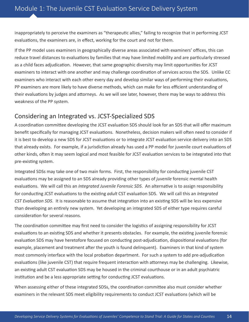<span id="page-19-0"></span>inappropriately to perceive the examiners as "therapeutic allies," failing to recognize that in performing JCST evaluations, the examiners are, in effect, working for the court and not for them.

If the PP model uses examiners in geographically diverse areas associated with examiners' offices, this can reduce travel distances to evaluations by families that may have limited mobility and are particularly stressed as a child faces adjudication. However, that same geographic diversity may limit opportunities for JCST examiners to interact with one another and may challenge coordination of services across the SDS. Unlike CC examiners who interact with each other every day and develop similar ways of performing their evaluations, PP examiners are more likely to have diverse methods, which can make for less efficient understanding of their evaluations by judges and attorneys. As we will see later, however, there may be ways to address this weakness of the PP system.

#### Considering an Integrated vs. JCST-Specialized SDS

A coordination committee developing the JCST evaluation SDS should look for an SDS that will offer maximum benefit specifically for managing JCST evaluations. Nonetheless, decision makers will often need to consider if it is best to develop a new SDS for JCST evaluations or to integrate JCST evaluation service delivery into an SDS that already exists. For example, if a jurisdiction already has used a PP model for juvenile court evaluations of other kinds, often it may seem logical and most feasible for JCST evaluation services to be integrated into that pre-existing system.

Integrated SDSs may take one of two main forms. First, the responsibility for conducting juvenile CST evaluations may be assigned to an SDS already providing other types of *juvenile* forensic mental health evaluations. We will call this an *Integrated Juvenile Forensic SDS*. An alternative is to assign responsibility for conducting JCST evaluations to the existing *adult* CST evaluation SDS. We will call this an *Integrated CST Evaluation SDS*. It is reasonable to assume that integration into an existing SDS will be less expensive than developing an entirely new system. Yet developing an integrated SDS of either type requires careful consideration for several reasons.

The coordination committee may first need to consider the logistics of assigning responsibility for JCST evaluations to an existing SDS and whether it presents obstacles. For example, the existing juvenile forensic evaluation SDS may have heretofore focused on conducting post-adjudication, dispositional evaluations (for example, placement and treatment after the youth is found delinquent). Examiners in that kind of system most commonly interface with the local probation department. For such a system to add pre-adjudication evaluations (like juvenile CST) that require frequent interaction with attorneys may be challenging. Likewise, an existing adult CST evaluation SDS may be housed in the criminal courthouse or in an adult psychiatric institution and be a less appropriate setting for conducting JCST evaluations.

When assessing either of these integrated SDSs, the coordination committee also must consider whether examiners in the relevant SDS meet eligibility requirements to conduct JCST evaluations (which will be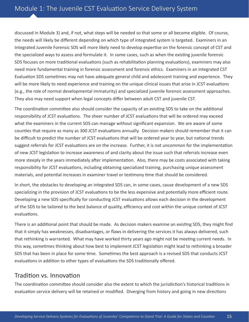<span id="page-20-0"></span>discussed in Module 3) and, if not, what steps will be needed so that some or all become eligible. Of course, the needs will likely be different depending on which type of integrated system is targeted. Examiners in an Integrated Juvenile Forensic SDS will more likely need to develop expertise on the forensic concept of CST and the specialized ways to assess and formulate it. In some cases, such as when the existing juvenile forensic SDS focuses on more traditional evaluations (such as rehabilitation planning evaluations), examiners may also need more fundamental training in forensic assessment and forensic ethics. Examiners in an Integrated CST Evaluation SDS sometimes may not have adequate general child and adolescent training and experience. They will be more likely to need experience and training on the unique clinical issues that arise in JCST evaluations (e.g., the role of normal developmental immaturity) and specialized juvenile forensic assessment approaches. They also may need support when legal concepts differ between adult CST and juvenile CST.

The coordination committee also should consider the capacity of an existing SDS to take on the additional responsibility of JCST evaluations. The sheer number of JCST evaluations that will be ordered may exceed what the examiners in the current SDS can manage without significant expansion. We are aware of some counties that require as many as 300 JCST evaluations annually. Decision makers should remember that it can be difficult to predict the number of JCST evaluations that will be ordered year to year, but national trends suggest referrals for JCST evaluations are on the increase. Further, it is not uncommon for the implementation of new JCST legislation to increase awareness of and clarity about the issue such that referrals increase even more steeply in the years immediately after implementation. Also, there may be costs associated with taking responsibility for JCST evaluations, including obtaining specialized training, purchasing unique assessment materials, and potential increases in examiner travel or testimony time that should be considered.

In short, the obstacles to developing an integrated SDS can, in some cases, cause development of a new SDS specializing in the provision of JCST evaluations to be the less expensive and potentially more efficient route. Developing a new SDS specifically for conducting JCST evaluations allows each decision in the development of the SDS to be tailored to the best balance of quality, efficiency and cost within the unique context of JCST evaluations.

There is an additional point that should be made. As decision makers examine an existing SDS, they might find that it simply has weaknesses, disadvantages, or flaws in delivering the services it has always delivered, such that rethinking is warranted. What may have worked thirty years ago might not be meeting current needs. In this way, sometimes thinking about how best to implement JCST legislation might lead to rethinking a broader SDS that has been in place for some time. Sometimes the best approach is a revised SDS that conducts JCST evaluations in addition to other types of evaluations the SDS traditionally offered.

#### Tradition vs. Innovation

The coordination committee should consider also the extent to which the jurisdiction's historical traditions in evaluation service delivery will be retained or modified. Diverging from history and going in new directions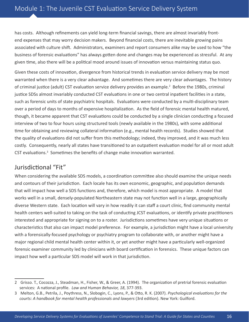<span id="page-21-0"></span>has costs. Although refinements can yield long-term financial savings, there are almost invariably frontend expenses that may worry decision makers. Beyond financial costs, there are inevitable growing pains associated with culture shift. Administrators, examiners and report consumers alike may be used to how "the business of forensic evaluations" has always gotten done and changes may be experienced as stressful. At any given time, also there will be a political mood around issues of innovation versus maintaining status quo.

Given these costs of innovation, divergence from historical trends in evaluation service delivery may be most warranted when there is a very clear advantage. And sometimes there are very clear advantages. The history of criminal justice (adult) CST evaluation service delivery provides an example.<sup>2</sup> Before the 1980s, criminal justice SDSs almost invariably conducted CST evaluations in one or two central inpatient facilities in a state, such as forensic units of state psychiatric hospitals. Evaluations were conducted by a multi-disciplinary team over a period of days to months of expensive hospitalization. As the field of forensic mental health matured, though, it became apparent that CST evaluations could be conducted by a single clinician conducting a focused interview of two to four hours using structured tools (newly available in the 1980s), with some additional time for obtaining and reviewing collateral information (e.g., mental health records). Studies showed that the quality of evaluations did not suffer from this methodology; indeed, they improved, and it was much less costly. Consequently, nearly all states have transitioned to an outpatient evaluation model for all or most adult CST evaluations.<sup>3</sup> Sometimes the benefits of change make innovation warranted.

#### Jurisdictional "Fit"

When considering the available SDS models, a coordination committee also should examine the unique needs and contours of their jurisdiction. Each locale has its own economic, geographic, and population demands that will impact how well a SDS functions and, therefore, which model is most appropriate. A model that works well in a small, densely-populated Northeastern state may not function well in a large, geographically diverse Western state. Each location will vary in how readily it can staff a court clinic, find community mental health centers well-suited to taking on the task of conducting JCST evaluations, or identify private practitioners interested and appropriate for signing on to a roster. Jurisdictions sometimes have very unique situations or characteristics that also can impact model preference. For example, a jurisdiction might have a local university with a forensically-focused psychology or psychiatry program to collaborate with, or another might have a major regional child mental health center within it, or yet another might have a particularly well-organized forensic examiner community led by clinicians with board certification in forensics. These unique factors can impact how well a particular SDS model will work in that jurisdiction.

<sup>2</sup> Grisso. T., Cocozza, J., Steadman, H., Fisher, W., & Greer, A. (1994). The organization of pretrial forensic evaluation services: A national profile. *Law and Human Behavior, 18*, 377-393.

<sup>3</sup> Melton, G.B., Petrila, J., Poythress, N., Slobogin, C., Lyons, P., & Otto, R. K. (2007). *Psychological evaluations for the courts: A handbook for mental health professionals and lawyers* (3rd edition). New York: Guilford.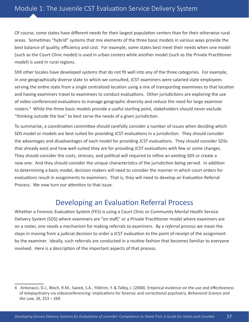<span id="page-22-0"></span>Of course, some states have different needs for their largest population centers than for their otherwise rural areas. Sometimes "hybrid" systems that mix elements of the three basic models in various ways provide the best balance of quality, efficiency and cost. For example, some states best meet their needs when one model (such as the Court Clinic model) is used in urban centers while another model (such as the Private Practitioner model) is used in rural regions.

Still other locales have developed systems that do not fit well into any of the three categories. For example, in one geographically diverse state to which we consulted, JCST examiners were salaried state employees serving the entire state from a single centralized location using a mix of transporting examinees to that location and having examiners travel to examinees to conduct evaluations. Other jurisdictions are exploring the use of video-conferenced evaluations to manage geographic diversity and reduce the need for large examiner rosters.<sup>4</sup> While the three basic models provide a useful starting point, stakeholders should never exclude "thinking outside the box" to best serve the needs of a given jurisdiction.

To summarize, a coordination committee should carefully consider a number of issues when deciding which SDS model or models are best suited for providing JCST evaluations in a jurisdiction. They should consider the advantages and disadvantages of each model for providing JCST evaluations. They should consider SDSs that already exist and how well-suited they are for providing JCST evaluations with few or some changes. They should consider the costs, stresses, and political will required to refine an existing SDS or create a new one. And they should consider the unique characteristics of the jurisdiction being served. In addition to determining a basic model, decision makers will need to consider the manner in which court orders for evaluations result in assignments to examiners. That is, they will need to develop an Evaluation Referral Process. We now turn our attention to that issue.

### Developing an Evaluation Referral Process

Whether a Forensic Evaluation System (FES) is using a Court Clinic or Community Mental Health Service Delivery System (SDS) where examiners are "on staff," or a Private Practitioner model where examiners are on a roster, one needs a mechanism for making referrals to examiners. By a *referral process* we mean the steps in moving from a judicial decision to order a JCST evaluation to the point of receipt of the assignment by the examiner. Ideally, such referrals are conducted in a routine fashion that becomes familiar to everyone involved. Here is a description of the important aspects of that process.

<sup>4</sup> Antonacci, D.J., Bloch, R.M., Saeed, S.A., Yildirim, Y. & Talley, J. (2008). Empirical evidence on the use and effectiveness of telepsychiatry via videoconferencing: Implications for forensic and correctional psychiatry. *Behavioral Science and the Law, 26,* 253 – 269.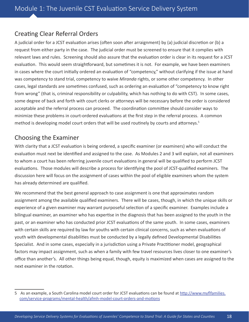#### <span id="page-23-0"></span>Creating Clear Referral Orders

A judicial order for a JCST evaluation arises (often soon after arraignment) by (a) judicial discretion or (b) a request from either party in the case. The judicial order must be screened to ensure that it complies with relevant laws and rules. Screening should also assure that the evaluation order is clear in its request for a JCST evaluation. This would seem straightforward, but sometimes it is not. For example, we have been examiners in cases where the court initially ordered an evaluation of "competency," without clarifying if the issue at hand was competency to stand trial, competency to waive *Miranda* rights, or some other competency. In other cases, legal standards are sometimes confused, such as ordering an evaluation of "competency to know right from wrong" (that is, criminal responsibility or culpability, which has nothing to do with CST). In some cases, some degree of back and forth with court clerks or attorneys will be necessary before the order is considered acceptable and the referral process can proceed. The coordination committee should consider ways to minimize these problems in court-ordered evaluations at the first step in the referral process. A common method is developing model court orders that will be used routinely by courts and attorneys.<sup>5</sup>

#### Choosing the Examiner

With clarity that a JCST evaluation is being ordered, a specific examiner (or examiners) who will conduct the evaluation must next be identified and assigned to the case. As Modules 2 and 3 will explain, not all examiners to whom a court has been referring juvenile court evaluations in general will be qualified to perform JCST evaluations. Those modules will describe a process for identifying the pool of JCST-qualified examiners. The discussion here will focus on the assignment of cases within the pool of eligible examiners whom the system has already determined are qualified.

We recommend that the best general approach to case assignment is one that approximates random assignment among the available qualified examiners. There will be cases, though, in which the unique skills or experience of a given examiner may warrant purposeful selection of a specific examiner. Examples include a bilingual examiner, an examiner who has expertise in the diagnosis that has been assigned to the youth in the past, or an examiner who has conducted prior JCST evaluations of the same youth. In some cases, examiners with certain skills are required by law for youths with certain clinical concerns, such as when evaluations of youth with developmental disabilities must be conducted by a legally defined Developmental Disabilities Specialist. And in some cases, especially in a jurisdiction using a Private Practitioner model, geographical factors may impact assignment, such as when a family with few travel resources lives closer to one examiner's office than another's. All other things being equal, though, equity is maximized when cases are assigned to the next examiner in the rotation.

<sup>5</sup> As an example, a South Carolina model court order for JCST evaluations can be found at [http://www.myflfamilies.](http://www.myflfamilies.com/service-programs/mental-health/afmh-model-court-orders-and-motions) [com/service-programs/mental-health/afmh-model-court-orders-and-motions](http://www.myflfamilies.com/service-programs/mental-health/afmh-model-court-orders-and-motions)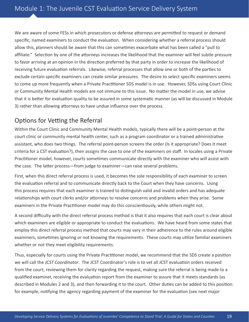<span id="page-24-0"></span>We are aware of some FESs in which prosecutors or defense attorneys are permitted to request or demand specific, named examiners to conduct the evaluation. When considering whether a referral process should allow this, planners should be aware that this can sometimes exacerbate what has been called a "pull to affiliate." Selection by one of the attorneys increases the likelihood that the examiner will feel subtle pressure to favor arriving at an opinion in the direction preferred by that party in order to increase the likelihood of receiving future evaluation referrals. Likewise, referral processes that allow one or both of the parties to exclude certain specific examiners can create similar pressures. The desire to select specific examiners seems to come up more frequently when a Private Practitioner SDS model is in use. However, SDSs using Court Clinic or Community Mental Health models are not immune to this issue. No matter the model in use, we advise that it is better for evaluation quality to be assured in some systematic manner (as will be discussed in Module 3) rather than allowing attorneys to have undue influence over the process.

#### Options for Vetting the Referral

Within the Court Clinic and Community Mental Health models, typically there will be a point-person at the court clinic or community mental health center, such as a program coordinator or a trained administrative assistant, who does two things. The referral point-person screens the order (Is it appropriate? Does it meet criteria for a CST evaluation?), then assigns the case to one of the examiners on staff. In locales using a Private Practitioner model, however, courts sometimes communicate directly with the examiner who will assist with the case. The latter process—from judge to examiner—can raise several problems.

First, when this direct referral process is used, it becomes the sole responsibility of each examiner to screen the evaluation referral and to communicate directly back to the Court when they have concerns. Using this process requires that each examiner is trained to distinguish valid and invalid orders and has adequate relationships with court clerks and/or attorneys to resolve concerns and problems when they arise. Some examiners in the Private Practitioner model may do this conscientiously, while others might not.

A second difficulty with the direct referral process method is that it also requires that each court is clear about which examiners are eligible or appropriate to conduct the evaluations. We have heard from some states that employ this direct referral process method that courts may vary in their adherence to the rules around eligible examiners, sometimes ignoring or not knowing the requirements. These courts may utilize familiar examiners whether or not they meet eligibility requirements.

Thus, especially for courts using the Private Practitioner model, we recommend that the SDS create a position we will call the *JCST Coordinator*. The JCST Coordinator's role is to vet all JCST evaluation orders received from the court, reviewing them for clarity regarding the request, making sure the referral is being made to a qualified examiner, receiving the evaluation report from the examiner to assure that it meets standards (as described in Modules 2 and 3), and then forwarding it to the court. Other duties can be added to this position: for example, notifying the agency regarding payment of the examiner for the evaluation (see next major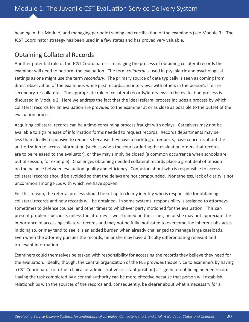<span id="page-25-0"></span>heading in this Module) and managing periodic training and certification of the examiners (see Module 3). The JCST Coordinator strategy has been used in a few states and has proved very valuable.

#### Obtaining Collateral Records

Another potential role of the JCST Coordinator is managing the process of obtaining collateral records the examiner will need to perform the evaluation. The term *collateral* is used in psychiatric and psychological settings as one might use the term *secondary*. The primary source of data typically is seen as coming from direct observation of the examinee, while past records and interviews with others in the person's life are secondary, or collateral. The appropriate role of collateral records/interviews in the evaluation process is discussed in Module 2. Here we address the fact that the ideal referral process includes a process by which collateral records for an evaluation are provided to the examiner at or as close as possible to the outset of the evaluation process.

Acquiring collateral records can be a time-consuming process fraught with delays. Caregivers may not be available to sign release of information forms needed to request records. Records departments may be less than ideally responsive to requests because they have a back-log of requests, have concerns about the authorization to access information (such as when the court ordering the evaluation orders that records are to be released to the evaluator), or they may simply be closed (a common occurrence when schools are out of session, for example). Challenges obtaining needed collateral records place a great deal of tension on the balance between evaluation quality and efficiency. Confusion about who is responsible to access collateral records should be avoided so that the delays are not compounded. Nonetheless, lack of clarity is not uncommon among FESs with which we have spoken.

For this reason, the referral process should be set up to clearly identify who is responsible for obtaining collateral records and how records will be obtained. In some systems, responsibility is assigned to attorneys sometimes to defense counsel and other times to whichever party motioned for the evaluation. This can present problems because, unless the attorney is well-trained on the issues, he or she may not appreciate the importance of accessing collateral records and may not be fully motivated to overcome the inherent obstacles in doing so, or may tend to see it is an added burden when already challenged to manage large caseloads. Even when the attorney pursues the records, he or she may have difficulty differentiating relevant and irrelevant information.

Examiners could themselves be tasked with responsibility for accessing the records they believe they need for the evaluation. Ideally, though, the central organization of the FES provides this service to examiners by having a CST Coordinator (or other clinical or administrative assistant position) assigned to obtaining needed records. Having the task completed by a central authority can be more effective because that person will establish relationships with the sources of the records and, consequently, be clearer about what is necessary for a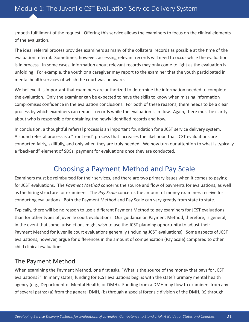<span id="page-26-0"></span>smooth fulfillment of the request. Offering this service allows the examiners to focus on the clinical elements of the evaluation.

The ideal referral process provides examiners as many of the collateral records as possible at the time of the evaluation referral. Sometimes, however, accessing relevant records will need to occur while the evaluation is in process. In some cases, information about relevant records may only come to light as the evaluation is unfolding. For example, the youth or a caregiver may report to the examiner that the youth participated in mental health services of which the court was unaware.

We believe it is important that examiners are authorized to determine the information needed to complete the evaluation. Only the examiner can be expected to have the skills to know when missing information compromises confidence in the evaluation conclusions. For both of these reasons, there needs to be a clear process by which examiners can request records while the evaluation is in flow. Again, there must be clarity about who is responsible for obtaining the newly identified records and how.

In conclusion, a thoughtful referral process is an important foundation for a JCST service delivery system. A sound referral process is a "front end" process that increases the likelihood that JCST evaluations are conducted fairly, skillfully, and only when they are truly needed. We now turn our attention to what is typically a "back-end" element of SDSs: payment for evaluations once they are conducted.

## Choosing a Payment Method and Pay Scale

Examiners must be reimbursed for their services, and there are two primary issues when it comes to paying for JCST evaluations. The *Payment Method* concerns the source and flow of payments for evaluations, as well as the hiring structure for examiners. The *Pay Scale* concerns the amount of money examiners receive for conducting evaluations. Both the Payment Method and Pay Scale can vary greatly from state to state.

Typically, there will be no reason to use a different Payment Method to pay examiners for JCST evaluations than for other types of juvenile court evaluations. Our guidance on Payment Method, therefore, is general, in the event that some jurisdictions might wish to use the JCST planning opportunity to adjust their Payment Method for juvenile court evaluations generally (including JCST evaluations). Some aspects of JCST evaluations, however, argue for differences in the amount of compensation (Pay Scale) compared to other child clinical evaluations.

#### The Payment Method

When examining the Payment Method, one first asks, "What is the source of the money that pays for JCST evaluations?" In many states, funding for JCST evaluations begins with the state's primary mental health agency (e.g., Department of Mental Health, or DMH). Funding from a DMH may flow to examiners from any of several paths: (a) from the general DMH, (b) through a special forensic division of the DMH, (c) through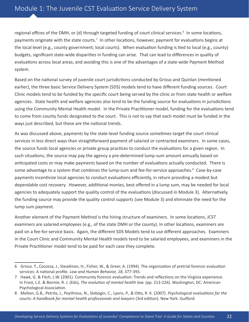regional offices of the DMH, or (d) through targeted funding of court clinical services.<sup>6</sup> In some locations, payments originate with the state courts.<sup>7</sup> In other locations, however, payment for evaluations begins at the local level (e.g., county government; local courts). When evaluation funding is tied to local (e.g., county) budgets, significant state-wide disparities in funding can arise. That can lead to differences in quality of evaluations across local areas, and avoiding this is one of the advantages of a state-wide Payment Method system.

Based on the national survey of juvenile court jurisdictions conducted by Grisso and Quinlan (mentioned earlier), the three basic Service Delivery System (SDS) models tend to have different funding sources. Court Clinic models tend to be funded by the specific court being served by the clinic or from state health or welfare agencies. State health and welfare agencies also tend to be the funding source for evaluations in jurisdictions using the Community Mental Health model. In the Private Practitioner model, funding for the evaluations tend to come from county funds designated to the court. This is not to say that each model must be funded in the ways just described, but these are the national trends.

As was discussed above, payments by the state-level funding source sometimes target the court clinical services in less direct ways than straightforward payment of salaried or contracted examiners. In some cases, the source funds local agencies or private group practices to conduct the evaluations for a given region. In such situations, the source may pay the agency a pre-determined lump-sum amount annually based on anticipated costs or may make payments based on the number of evaluations actually conducted. There is some advantage to a system that combines the lump-sum and fee-for-service approaches.<sup>8</sup> Case-by-case payments incentivize local agencies to conduct evaluations efficiently, in return providing a modest but dependable cost recovery. However, additional monies, best offered in a lump sum, may be needed for local agencies to adequately support the quality control of the evaluations (discussed in Module 3). Alternatively, the funding source may provide the quality control supports (see Module 3) and eliminate the need for the lump sum payment.

Another element of the Payment Method is the hiring structure of examiners. In some locations, JCST examiners are salaried employees (e.g., of the state DMH or the county). In other locations, examiners are paid on a fee-for-service basis. Again, the different SDS Models tend to use different approaches. Examiners in the Court Clinic and Community Mental Health models tend to be salaried employees, and examiners in the Private Practitioner model tend to be paid for each case they complete.

<sup>6</sup> Grisso. T., Cocozza, J., Steadman, H., Fisher, W., & Greer, A. (1994). The organization of pretrial forensic evaluation services: A national profile. *Law and Human Behavior, 18*, 377-393.

<sup>7</sup> Hawk, G. & Fitch, L.W. (2001). Community forensic evaluation: Trends and reflections on the Virginia experience. In Frost, L.E. & Bonnie, R. J. (Eds), *The evolution of mental health law.* (pp. 213-226). Washington, DC: American Psychological Association.

<sup>8</sup> Melton, G.B., Petrila, J., Poythress, N., Slobogin, C., Lyons, P., & Otto, R. K. (2007). *Psychological evaluations for the courts: A handbook for mental health professionals and lawyers* (3rd edition). New York: Guilford.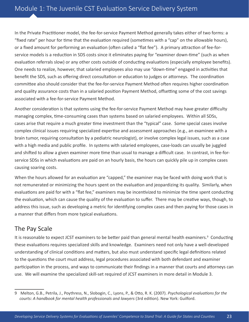<span id="page-28-0"></span>In the Private Practitioner model, the fee-for-service Payment Method generally takes either of two forms: a "fixed rate" per hour for time that the evaluation required (sometimes with a "cap" on the allowable hours), or a fixed amount for performing an evaluation (often called a "flat fee"). A primary attraction of fee-forservice models is a reduction in SDS costs since it eliminates paying for "examiner down-time" (such as when evaluation referrals slow) or any other costs outside of conducting evaluations (especially employee benefits). One needs to realize, however, that salaried employees also may use "down-time" engaged in activities that benefit the SDS, such as offering direct consultation or education to judges or attorneys. The coordination committee also should consider that the fee-for-service Payment Method often requires higher coordination and quality assurance costs than in a salaried position Payment Method, offsetting some of the cost savings associated with a fee-for-service Payment Method.

Another consideration is that systems using the fee-for-service Payment Method may have greater difficulty managing complex, time-consuming cases than systems based on salaried employees. Within all SDSs, cases arise that require a much greater time investment than the "typical" case. Some special cases involve complex clinical issues requiring specialized expertise and assessment approaches (e.g., an examinee with a brain tumor, requiring consultation by a pediatric neurologist), or involve complex legal issues, such as a case with a high media and public profile. In systems with salaried employees, case-loads can usually be juggled and shifted to allow a given examiner more time than usual to manage a difficult case. In contrast, in fee-forservice SDSs in which evaluations are paid on an hourly basis, the hours can quickly pile up in complex cases causing soaring costs.

When the hours allowed for an evaluation are "capped," the examiner may be faced with doing work that is not remunerated or minimizing the hours spent on the evaluation and jeopardizing its quality. Similarly, when evaluations are paid for with a "flat fee," examiners may be incentivized to minimize the time spent conducting the evaluation, which can cause the quality of the evaluation to suffer. There may be creative ways, though, to address this issue, such as developing a metric for identifying complex cases and then paying for those cases in a manner that differs from more typical evaluations.

#### The Pay Scale

It is reasonable to expect JCST examiners to be better paid than general mental health examiners.<sup>9</sup> Conducting these evaluations requires specialized skills and knowledge. Examiners need not only have a well-developed understanding of clinical conditions and matters, but also must understand specific legal definitions related to the questions the court must address, legal procedures associated with both defendant and examiner participation in the process, and ways to communicate their findings in a manner that courts and attorneys can use. We will examine the specialized skill-set required of JCST examiners in more detail in Module 3.

<sup>9</sup> Melton, G.B., Petrila, J., Poythress, N., Slobogin, C., Lyons, P., & Otto, R. K. (2007). *Psychological evaluations for the courts: A handbook for mental health professionals and lawyers* (3rd edition). New York: Guilford.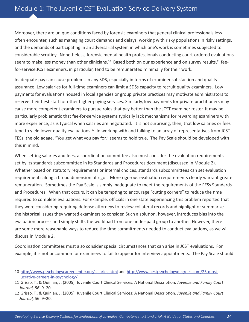### Module 1: The Juvenile CST Evaluation Service Delivery System

Moreover, there are unique conditions faced by forensic examiners that general clinical professionals less often encounter, such as managing court demands and delays, working with risky populations in risky settings, and the demands of participating in an adversarial system in which one's work is sometimes subjected to considerable scrutiny. Nonetheless, forensic mental health professionals conducting court-ordered evaluations seem to make less money than other clinicians.<sup>10</sup> Based both on our experience and on survey results,<sup>11</sup> feefor-service JCST examiners, in particular, tend to be remunerated minimally for their work.

Inadequate pay can cause problems in any SDS, especially in terms of examiner satisfaction and quality assurance. Low salaries for full-time examiners can limit a SDSs capacity to recruit quality examiners. Low payments for evaluations housed in local agencies or group private practices may motivate administrators to reserve their best staff for other higher-paying services. Similarly, low payments for private practitioners may cause more competent examiners to pursue roles that pay better than the JCST examiner roster. It may be particularly problematic that fee-for-service systems typically lack mechanisms for rewarding examiners with more experience, as is typical when salaries are negotiated. It is not surprising, then, that low salaries or fees tend to yield lower quality evaluations.<sup>12</sup> In working with and talking to an array of representatives from JCST FESs, the old adage, "You get what you pay for," seems to hold true. The Pay Scale should be developed with this in mind.

When setting salaries and fees, a coordination committee also must consider the evaluation requirements set by its standards subcommittee in its Standards and Procedures document (discussed in Module 2). Whether based on statutory requirements or internal choices, standards subcommittees can set evaluation requirements along a broad dimension of rigor. More rigorous evaluation requirements clearly warrant greater remuneration. Sometimes the Pay Scale is simply inadequate to meet the requirements of the FESs Standards and Procedures. When that occurs, it can be tempting to encourage "cutting corners" to reduce the time required to complete evaluations. For example, officials in one state experiencing this problem reported that they were considering requiring defense attorneys to review collateral records and highlight or summarize the historical issues they wanted examiners to consider. Such a solution, however, introduces bias into the evaluation process and simply shifts the workload from one under-paid group to another. However, there are some more reasonable ways to reduce the time commitments needed to conduct evaluations, as we will discuss in Module 2.

Coordination committees must also consider special circumstances that can arise in JCST evaluations. For example, it is not uncommon for examinees to fail to appear for interview appointments. The Pay Scale should

<sup>10</sup> <http://www.psychologycareercenter.org/salaries.html> and [http://www.bestpsychologydegrees.com/25-most](http://www.bestpsychologydegrees.com/25-most-lucrative-careers-in-psychology/)[lucrative-careers-in-psychology/](http://www.bestpsychologydegrees.com/25-most-lucrative-careers-in-psychology/)

<sup>11</sup> Grisso, T., & Quinlan, J. (2005). Juvenile Court Clinical Services: A National Description. *Juvenile and Family Court Journal, 56*: 9–20.

<sup>12</sup> Grisso, T., & Quinlan, J. (2005). Juvenile Court Clinical Services: A National Description*. Juvenile and Family Court Journal,* 56: 9–20.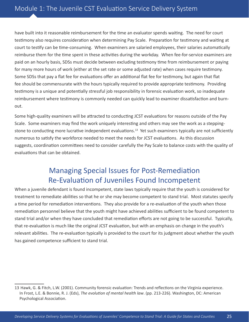<span id="page-30-0"></span>have built into it reasonable reimbursement for the time an evaluator spends waiting. The need for court testimony also requires consideration when determining Pay Scale. Preparation for testimony and waiting at court to testify can be time-consuming. When examiners are salaried employees, their salaries automatically reimburse them for the time spent in these activities during the workday. When fee-for-service examiners are paid on an hourly basis, SDSs must decide between excluding testimony time from reimbursement or paying for many more hours of work (either at the set rate or some adjusted rate) when cases require testimony. Some SDSs that pay a flat fee for evaluations offer an additional flat fee for testimony, but again that flat fee should be commensurate with the hours typically required to provide appropriate testimony. Providing testimony is a unique and potentially stressful job responsibility in forensic evaluation work, so inadequate reimbursement where testimony is commonly needed can quickly lead to examiner dissatisfaction and burnout.

Some high-quality examiners will be attracted to conducting JCST evaluations for reasons outside of the Pay Scale. Some examiners may find the work uniquely interesting and others may see the work as a steppingstone to conducting more lucrative independent evaluations.<sup>13</sup> Yet such examiners typically are not sufficiently numerous to satisfy the workforce needed to meet the needs for JCST evaluations. As this discussion suggests, coordination committees need to consider carefully the Pay Scale to balance costs with the quality of evaluations that can be obtained.

## Managing Special Issues for Post-Remediation Re-Evaluation of Juveniles Found Incompetent

When a juvenile defendant is found incompetent, state laws typically require that the youth is considered for treatment to remediate abilities so that he or she may become competent to stand trial. Most statutes specify a time period for remediation interventions. They also provide for a re-evaluation of the youth when those remediation personnel believe that the youth might have achieved abilities sufficient to be found competent to stand trial and/or when they have concluded that remediation efforts are not going to be successful. Typically, that re-evaluation is much like the original JCST evaluation, but with an emphasis on change in the youth's relevant abilities. The re-evaluation typically is provided to the court for its judgment about whether the youth has gained competence sufficient to stand trial.

<sup>13</sup> Hawk, G. & Fitch, L.W. (2001). Community forensic evaluation: Trends and reflections on the Virginia experience. In Frost, L.E. & Bonnie, R. J. (Eds), *The evolution of mental health law*. (pp. 213-226). Washington, DC: American Psychological Association.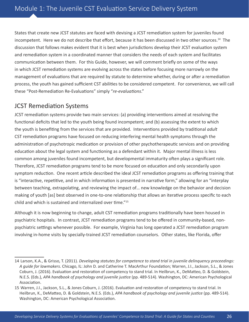<span id="page-31-0"></span>States that create new JCST statutes are faced with devising a JCST remediation system for juveniles found incompetent. Here we do not describe that effort, because it has been discussed in two other sources.<sup>14</sup> The discussion that follows makes evident that it is best when jurisdictions develop their JCST evaluation system and remediation system in a coordinated manner that considers the needs of each system and facilitates communication between them. For this Guide, however, we will comment briefly on some of the ways in which JCST remediation systems are evolving across the states before focusing more narrowly on the management of evaluations that are required by statute to determine whether, during or after a remediation process, the youth has gained sufficient CST abilities to be considered competent. For convenience, we will call these "Post-Remediation Re-Evaluations" simply "*re-evaluations*."

#### JCST Remediation Systems

JCST remediation systems provide two main services: (a) providing interventions aimed at resolving the functional deficits that led to the youth being found incompetent; and (b) assessing the extent to which the youth is benefiting from the services that are provided. Interventions provided by traditional *adult*  CST remediation programs have focused on reducing interfering mental health symptoms through the administration of psychotropic medication or provision of other psychotherapeutic services and on providing education about the legal system and functioning as a defendant within it. Major mental illness is less common among juveniles found incompetent, but developmental immaturity often plays a significant role. Therefore, JCST remediation programs tend to be more focused on education and only secondarily upon symptom reduction. One recent article described the ideal JCST remediation programs as offering training that is "interactive, repetitive, and in which information is presented in narrative form," allowing for an "interplay between teaching, extrapolating, and reviewing the impact of… new knowledge on the behavior and decision making of youth [as] best observed in one‐to‐one relationship that allows an iterative process specific to each child and which is sustained and internalized over time."<sup>15</sup>

Although it is now beginning to change, adult CST remediation programs traditionally have been housed in psychiatric hospitals. In contrast, JCST remediation programs tend to be offered in community-based, nonpsychiatric settings whenever possible. For example, Virginia has long operated a JCST remediation program involving in-home visits by specially-trained JCST remediation counselors. Other states, like Florida, offer

<sup>14</sup> Larson, K.A., & Grisso, T. (2011). *Developing statutes for competence to stand trial in juvenile delinquency proceedings: A guide for lawmakers*. Chicago, IL: John D. and Catherine T. MacArthur Foundation; Warren, J.I., Jackson, S.L., & Jones Coburn, J. (2016). Evaluation and restoration of competency to stand trial. In Heilbrun, K., DeMatteo, D. & Goldstein, N.E.S. (Eds.), *APA handbook of psychology and juvenile justice* (pp. 489-514). Washington, DC: American Psychological Association.

<sup>15</sup> Warren, J.I., Jackson, S.L., & Jones Coburn, J. (2016). Evaluation and restoration of competency to stand trial. In Heilbrun, K., DeMatteo, D. & Goldstein, N.E.S. (Eds.), *APA handbook of psychology and juvenile justice* (pp. 489-514). Washington, DC: American Psychological Association.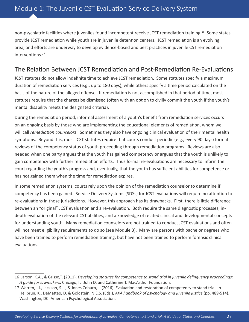<span id="page-32-0"></span>non-psychiatric facilities where juveniles found incompetent receive JCST remediation training.16 Some states provide JCST remediation while youth are in juvenile detention centers. JCST remediation is an evolving area, and efforts are underway to develop evidence-based and best practices in juvenile CST remediation interventions.17

#### The Relation Between JCST Remediation and Post-Remediation Re-Evaluations

JCST statutes do not allow indefinite time to achieve JCST remediation. Some statutes specify a maximum duration of remediation services (e.g., up to 180 days), while others specify a time period calculated on the basis of the nature of the alleged offense. If remediation is not accomplished in that period of time, most statutes require that the charges be dismissed (often with an option to civilly commit the youth if the youth's mental disability meets the designated criteria).

During the remediation period, informal assessment of a youth's benefit from remediation services occurs on an ongoing basis by those who are implementing the educational elements of remediation, whom we will call *remediation counselors*. Sometimes they also have ongoing clinical evaluation of their mental health symptoms. Beyond this, most JCST statutes require that courts conduct periodic (e.g., every 90 days) formal reviews of the competency status of youth proceeding through remediation programs. Reviews are also needed when one party argues that the youth has gained competency or argues that the youth is unlikely to gain competency with further remediation efforts. Thus formal re-evaluations are necessary to inform the court regarding the youth's progress and, eventually, that the youth has sufficient abilities for competence or has not gained them when the time for remediation expires.

In some remediation systems, courts rely upon the opinion of the remediation counselor to determine if competency has been gained. Service Delivery Systems (SDSs) for JCST evaluations will require no attention to re-evaluations in those jurisdictions. However, this approach has its drawbacks. First, there is little difference between an "original" JCST evaluation and a re-evaluation. Both require the same diagnostic processes, indepth evaluation of the relevant CST abilities, and a knowledge of related clinical and developmental concepts for understanding youth. Many remediation counselors are not trained to conduct JCST evaluations and often will not meet eligibility requirements to do so (see Module 3). Many are persons with bachelor degrees who have been trained to perform remediation training, but have not been trained to perform forensic clinical evaluations.

<sup>16</sup> Larson, K.A., & Grisso,T. (2011). *Developing statutes for competence to stand trial in juvenile delinquency proceedings: A guide for lawmakers*. Chicago, IL: John D. and Catherine T. MacArthur Foundation.

<sup>17</sup> Warren, J.I., Jackson, S.L., & Jones Coburn, J. (2016). Evaluation and restoration of competency to stand trial. In Heilbrun, K., DeMatteo, D. & Goldstein, N.E.S. (Eds.), *APA handbook of psychology and juvenile justice* (pp. 489-514). Washington, DC: American Psychological Association.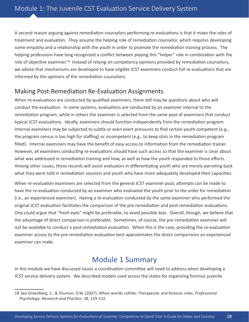<span id="page-33-0"></span>A second reason arguing against remediation counselors performing re-evaluations is that it mixes the roles of treatment and evaluation. They assume the helping role of remediation counselor, which requires developing some empathy and a relationship with the youth in order to promote the remediation training process. The helping professions have long recognized a conflict between playing this "helper" role in combination with the role of objective examiner.<sup>18</sup> Instead of relying on competency opinions provided by remediation counselors, we advise that mechanisms are developed to have eligible JCST examiners conduct full re-evaluations that are informed by the opinions of the remediation counselors.

#### Making Post-Remediation Re-Evaluation Assignments

When re-evaluations are conducted by qualified examiners, there still may be questions about who will conduct the evaluation. In some systems, evaluations are conducted by an examiner internal to the remediation program, while in others the examiner is selected from the same pool of examiners that conduct typical JCST evaluations. Ideally, examiners should function independently from the remediation program. Internal examiners may be subjected to subtle or even overt pressures to find certain youth competent (e.g., the program census is too high for staffing) or incompetent (e.g., to keep slots in the remediation program filled). Internal examiners may have the benefit of easy access to information from the remediation trainer. However, all examiners conducting re-evaluations should have such access so that the examiner is clear about what was addressed in remediation training and how, as well as how the youth responded to those efforts. Among other issues, these records will assist evaluators in differentiating youth who are merely parroting back what they were told in remediation sessions and youth who have more adequately developed their capacities.

When re-evaluation examiners are selected from the general JCST examiner pool, attempts can be made to have the re-evaluation conducted by an examiner who evaluated the youth prior to the order for remediation (i.e., an experienced examiner). Having a re-evaluation conducted by the same examiner who performed the original JCST evaluation facilitates the comparison of the pre-remediation and post-remediation evaluations. One could argue that "fresh eyes" might be preferable, to avoid possible bias. Overall, though, we believe that the advantage of direct comparison is preferable. Sometimes, of course, the pre-remediation examiner will not be available to conduct a post-remediation evaluation. When this is the case, providing the re-evaluation examiner access to the pre-remediation evaluation best approximates the direct comparisons an experienced examiner can make.

## Module 1 Summary

In this module we have discussed issues a coordination committee will need to address when developing a JCST service delivery system. We described models used across the states for organizing forensic juvenile

<sup>18</sup> See Greenberg, S., & Shuman, D.W. (2007). When worlds collide: Therapeutic and forensic roles. *Professional Psychology: Research and Practice, 38,* 129-132.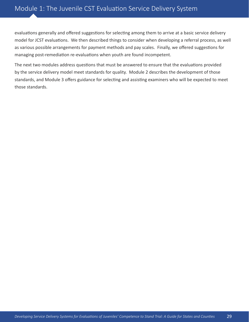## Module 1: The Juvenile CST Evaluation Service Delivery System

evaluations generally and offered suggestions for selecting among them to arrive at a basic service delivery model for JCST evaluations. We then described things to consider when developing a referral process, as well as various possible arrangements for payment methods and pay scales. Finally, we offered suggestions for managing post-remediation re-evaluations when youth are found incompetent.

The next two modules address questions that must be answered to ensure that the evaluations provided by the service delivery model meet standards for quality. Module 2 describes the development of those standards, and Module 3 offers guidance for selecting and assisting examiners who will be expected to meet those standards.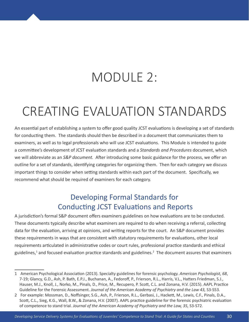## MODULE 2:

## <span id="page-35-0"></span>CREATING EVALUATION STANDARDS

An essential part of establishing a system to offer good quality JCST evaluations is developing a set of standards for conducting them. The standards should then be described in a document that communicates them to examiners, as well as to legal professionals who will use JCST evaluations. This Module is intended to guide a committee's development of JCST evaluation standards and a *Standards and Procedures* document, which we will abbreviate as an *S&P document.* After introducing some basic guidance for the process, we offer an outline for a set of standards, identifying categories for organizing them. Then for each category we discuss important things to consider when setting standards within each part of the document. Specifically, we recommend what should be required of examiners for each category.

## Developing Formal Standards for Conducting JCST Evaluations and Reports

A jurisdiction's formal S&P document offers examiners guidelines on how evaluations are to be conducted. These documents typically describe what examiners are required to do when receiving a referral, collecting data for the evaluation, arriving at opinions, and writing reports for the court. An S&P document provides these requirements in ways that are consistent with statutory requirements for evaluations, other local requirements articulated in administrative codes or court rules, professional practice standards and ethical guidelines,<sup>1</sup> and focused evaluation practice standards and guidelines.<sup>2</sup> The document assures that examiners

<sup>1</sup> American Psychological Association (2013). Specialty guidelines for forensic psychology. *American Psychologist, 68*, 7-19; Glancy, G.D., Ash, P. Bath, E.P.J., Buchanan, A., Fedoroff, P., Frierson, R.L., Harris, V.L., Hatters Friedman, S.J., Hauser, M.J., Knoll, J., Norko, M., Pinals, D., Price, M., Recupero, P. Scott, C.L. and Zonana, H.V. (2015). AAPL Practice Guideline for the Forensic Assessment. *Journal of the American Academy of Psychiatry and the Law 43,* S3-S53.

<sup>2</sup> For example: Mossman, D., Noffsinger, S.G., Ash, P., Frierson, R.L., Gerbasi, J., Hackett, M., Lewis, C.F., Pinals, D.A., Scott, C.L., Sieg, K.G., Wall, B.W., & Zonana, H.V. (2007). AAPL practice guideline for the forensic psychiatric evaluation of competence to stand trial. *Journal of the American Academy of Psychiatry and the Law, 35,* S3-S72.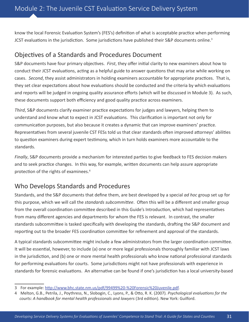know the local Forensic Evaluation System's (FES's) definition of what is acceptable practice when performing JCST evaluations in the jurisdiction. Some jurisdictions have published their S&P documents online.<sup>3</sup>

## Objectives of a Standards and Procedures Document

S&P documents have four primary objectives. *First*, they offer initial clarity to new examiners about how to conduct their JCST evaluations, acting as a helpful guide to answer questions that may arise while working on cases. *Second*, they assist administrators in holding examiners accountable for appropriate practices. That is, they set clear expectations about how evaluations should be conducted and the criteria by which evaluations and reports will be judged in ongoing quality assurance efforts (which will be discussed in Module 3). As such, these documents support both efficiency and good quality practice across examiners.

*Third*, S&P documents clarify examiner practice expectations for judges and lawyers, helping them to understand and know what to expect in JCST evaluations. This clarification is important not only for communication purposes, but also because it creates a dynamic that can improve examiners' practice. Representatives from several juvenile CST FESs told us that clear standards often improved attorneys' abilities to question examiners during expert testimony, which in turn holds examiners more accountable to the standards.

*Finally*, S&P documents provide a mechanism for interested parties to give feedback to FES decision makers and to seek practice changes. In this way, for example, written documents can help assure appropriate protection of the rights of examinees.<sup>4</sup>

## Who Develops Standards and Procedures

Standards, and the S&P documents that define them, are best developed by a special *ad hoc* group set up for this purpose, which we will call the *standards subcommittee*. Often this will be a different and smaller group from the overall coordination committee described in this Guide's Introduction, which had representatives from many different agencies and departments for whom the FES is relevant. In contrast, the smaller standards subcommittee is tasked specifically with developing the standards, drafting the S&P document and reporting out to the broader FES coordination committee for refinement and approval of the standards.

A typical standards subcommittee might include a few administrators from the larger coordination committee. It will be essential, however, to include (a) one or more legal professionals thoroughly familiar with JCST laws in the jurisdiction, and (b) one or more mental health professionals who know national professional standards for performing evaluations for courts. Some jurisdictions might not have professionals with experience in standards for forensic evaluations. An alternative can be found if one's jurisdiction has a local university-based

<sup>3</sup> For example: <http://www.bhc.state.nm.us/pdf/99499%20-%20Forensic%20Juvenile.pdf>.

<sup>4</sup> Melton, G.B., Petrila, J., Poythress, N., Slobogin, C., Lyons, P., & Otto, R. K. (2007)*. Psychological evaluations for the courts: A handbook for mental health professionals and lawyers* (3rd edition). New York: Guilford.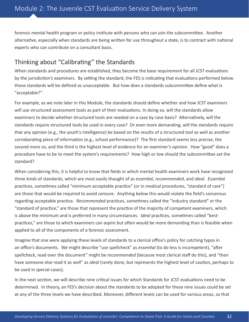forensic mental health program or policy institute with persons who can join the subcommittee. Another alternative, especially when standards are being written for use throughout a state, is to contract with national experts who can contribute on a consultant basis.

## Thinking about "Calibrating" the Standards

When standards and procedures are established, they become the base requirement for all JCST evaluations by the jurisdiction's examiners. By setting the standard, the FES is indicating that evaluations performed below those standards will be defined as unacceptable. But how does a standards subcommittee define what is "acceptable?"

For example, as we note later in this Module, the standards should define whether and how JCST examiners will use structured assessment tools as part of their evaluations. In doing so, will the standards allow examiners to decide whether structured tools are needed on a case by case basis? Alternatively, will the standards require structured tools be used in every case? Or even more demanding, will the standards require that any opinion (e.g., the youth's intelligence) be based on the results of a structured tool as well as another corroborating piece of information (e.g., school performance)? The first standard seems less precise, the second more so, and the third is the highest level of evidence for an examiner's opinion. How "good" does a procedure have to be to meet the system's requirements? How high or low should the subcommittee set the standard?

When considering this, it is helpful to know that fields in which mental health examiners work have recognized three kinds of standards, which are most easily thought of as *essential*, *recommended*, and *ideal*. *Essential* practices, sometimes called "minimum acceptable practice" (or in medical procedures, "standard of care") are those that would be required to avoid censure. Anything below this would violate the field's consensus regarding acceptable practice. *Recommended* practices, sometimes called the "industry standard" or the "standard of practice," are those that represent the practice of the majority of competent examiners, which is above the minimum and is preferred in many circumstances. *Ideal* practices, sometimes called "bestpractices," are those to which examiners can aspire but often would be more demanding than is feasible when applied to all of the components of a forensic assessment.

Imagine that one were applying these levels of standards to a clerical office's policy for catching typos in an office's documents. We might describe "use spellcheck" as *essential* (to do less is incompetent), "after spellcheck, read over the document" might be *recommended* (because most clerical staff do this), and "then have someone else read it as well" as *ideal* (rarely done, but represents the highest level of caution, perhaps to be used in special cases).

In the next section, we will describe nine critical issues for which Standards for JCST evaluations need to be determined. In theory, an FES's decision about the standards to be adopted for these nine issues could be set at any of the three levels we have described. Moreover, different levels can be used for various areas, so that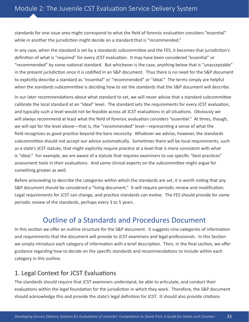standards for one issue area might correspond to what the field of forensic evaluation considers "essential" while in another the jurisdiction might decide on a standard that is "recommended."

In any case, when the standard is set by a standards subcommittee and the FES, it becomes that jurisdiction's definition of what is "required" for every JCST evaluation. It may have been considered "essential" or "recommended" by some national standard. But whichever is the case, anything below that is "unacceptable" in the present jurisdiction once it is codified in an S&P document. Thus there is no need for the S&P document to explicitly describe a standard as "essential" or "recommended" or "ideal." The terms simply are helpful when the standards subcommittee is deciding how to set the standards that the S&P document will describe.

In our later recommendations about what standard to set, we will never advise that a standard subcommittee calibrate the local standard at an "ideal" level. The standard sets the requirements for every JCST evaluation, and typically such a level would not be feasible across all JCST evaluations in all situations. Obviously we will always recommend at least what the field of forensic evaluation considers "essential." At times, though, we will opt for the level above—that is, the "recommended" level—representing a sense of what the field recognizes as good practice beyond the bare necessity. Whatever we advise, however, the standards subcommittee should not accept our advice automatically. Sometimes there will be local requirements, such as a state's JCST statute, that might explicitly require practice at a level that is more consistent with what is "ideal." For example, we are aware of a statute that requires examiners to use specific "best practices" assessment tools in their evaluations. And some clinical experts on the subcommittee might argue for something greater as well.

Before proceeding to describe the categories within which the standards are set, it is worth noting that any S&P document should be considered a "living document." It will require periodic review and modification. Legal requirements for JCST can change, and practice standards can evolve. The FES should provide for some periodic review of the standards, perhaps every 3 to 5 years.

## Outline of a Standards and Procedures Document

In this section we offer an outline structure for the S&P document. It suggests nine categories of information and requirements that the document will provide to JCST examiners and legal professionals. In this Section we simply introduce each category of information with a brief description. Then, in the final section, we offer guidance regarding how to decide on the specific standards and recommendations to include within each category in this outline.

## 1. Legal Context for JCST Evaluations

The standards should require that JCST examiners understand, be able to articulate, and conduct their evaluations within the legal foundation for the jurisdiction in which they work. Therefore, the S&P document should acknowledge this and provide the state's legal definition for JCST. It should also provide citations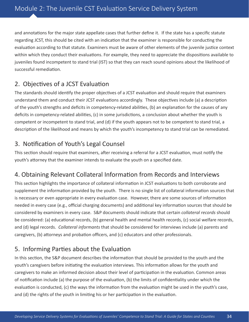and annotations for the major state appellate cases that further define it. If the state has a specific statute regarding JCST, this should be cited with an indication that the examiner is responsible for conducting the evaluation according to that statute. Examiners must be aware of other elements of the juvenile justice context within which they conduct their evaluations. For example, they need to appreciate the dispositions available to juveniles found incompetent to stand trial (IST) so that they can reach sound opinions about the likelihood of successful remediation.

## 2. Objectives of a JCST Evaluation

The standards should identify the proper objectives of a JCST evaluation and should require that examiners understand them and conduct their JCST evaluations accordingly. These objectives include (a) a description of the youth's strengths and deficits in competency-related abilities, (b) an explanation for the causes of any deficits in competency-related abilities, (c) in some jurisdictions, a conclusion about whether the youth is competent or incompetent to stand trial, and (d) if the youth appears not to be competent to stand trial, a description of the likelihood and means by which the youth's incompetency to stand trial can be remediated.

## 3. Notification of Youth's Legal Counsel

This section should require that examiners, after receiving a referral for a JCST evaluation, must notify the youth's attorney that the examiner intends to evaluate the youth on a specified date.

## 4. Obtaining Relevant Collateral Information from Records and Interviews

This section highlights the importance of collateral information in JCST evaluations to both corroborate and supplement the information provided by the youth. There is no single list of collateral information sources that is necessary or even appropriate in every evaluation case. However, there are some sources of information needed in every case (e.g., official charging documents) and additional key information sources that should be considered by examiners in every case. S&P documents should indicate that certain *collateral records* should be considered: (a) educational records, (b) general health and mental health records, (c) social welfare records, and (d) legal records. *Collateral informants* that should be considered for interviews include (a) parents and caregivers, (b) attorneys and probation officers, and (c) educators and other professionals.

## 5. Informing Parties about the Evaluation

In this section, the S&P document describes the information that should be provided to the youth and the youth's caregivers before initiating the evaluation interviews. This information allows for the youth and caregivers to make an informed decision about their level of participation in the evaluation. Common areas of notification include (a) the purpose of the evaluation, (b) the limits of confidentiality under which the evaluation is conducted, (c) the ways the information from the evaluation might be used in the youth's case, and (d) the rights of the youth in limiting his or her participation in the evaluation.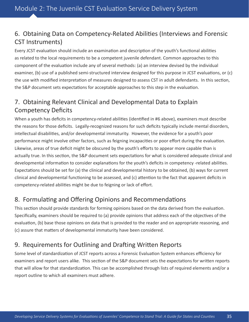## 6. Obtaining Data on Competency-Related Abilities (Interviews and Forensic CST Instruments)

Every JCST evaluation should include an examination and description of the youth's functional abilities as related to the local requirements to be a competent juvenile defendant. Common approaches to this component of the evaluation include any of several methods: (a) an interview devised by the individual examiner, (b) use of a published semi-structured interview designed for this purpose in JCST evaluations, or (c) the use with modified interpretation of measures designed to assess CST in adult defendants. In this section, the S&P document sets expectations for acceptable approaches to this step in the evaluation.

## 7. Obtaining Relevant Clinical and Developmental Data to Explain Competency Deficits

When a youth has deficits in competency-related abilities (identified in #6 above), examiners must describe the reasons for those deficits. Legally-recognized reasons for such deficits typically include mental disorders, intellectual disabilities, and/or developmental immaturity. However, the evidence for a youth's poor performance might involve other factors, such as feigning incapacities or poor effort during the evaluation. Likewise, areas of true deficit might be obscured by the youth's efforts to appear more capable than is actually true. In this section, the S&P document sets expectations for what is considered adequate clinical and developmental information to consider explanations for the youth's deficits in competency -related abilities. Expectations should be set for (a) the clinical and developmental history to be obtained, (b) ways for current clinical and developmental functioning to be assessed, and (c) attention to the fact that apparent deficits in competency-related abilities might be due to feigning or lack of effort.

## 8. Formulating and Offering Opinions and Recommendations

This section should provide standards for forming opinions based on the data derived from the evaluation. Specifically, examiners should be required to (a) provide opinions that address each of the objectives of the evaluation, (b) base those opinions on data that is provided to the reader and on appropriate reasoning, and (c) assure that matters of developmental immaturity have been considered.

## 9. Requirements for Outlining and Drafting Written Reports

Some level of standardization of JCST reports across a Forensic Evaluation System enhances efficiency for examiners and report users alike. This section of the S&P document sets the expectations for written reports that will allow for that standardization. This can be accomplished through lists of required elements and/or a report outline to which all examiners must adhere.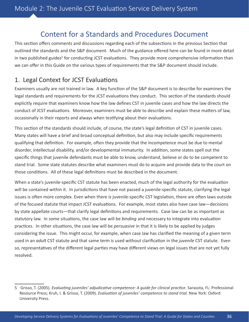## Content for a Standards and Procedures Document

This section offers comments and discussions regarding each of the subsections in the previous Section that outlined the standards and the S&P document. Much of the guidance offered here can be found in more detail in two published guides<sup>5</sup> for conducting JCST evaluations. They provide more comprehensive information than we can offer in this Guide on the various types of requirements that the S&P document should include.

## 1. Legal Context for JCST Evaluations

Examiners usually are not trained in law. A key function of the S&P document is to describe for examiners the legal standards and requirements for the JCST evaluations they conduct. This section of the standards should explicitly require that examiners know how the law defines CST in juvenile cases and how the law directs the conduct of JCST evaluations. Moreover, examiners must be able to describe and explain these matters of law, occasionally in their reports and always when testifying about their evaluations.

This section of the standards should include, of course, the state's legal definition of CST in juvenile cases. Many states will have a brief and broad conceptual definition, but also may include specific requirements qualifying that definition. For example, often they provide that the incompetence must be due to mental disorder, intellectual disability, and/or developmental immaturity. In addition, some states spell out the specific things that juvenile defendants must be able to know, understand, believe or do to be competent to stand trial. Some state statutes describe what examiners must do to acquire and provide data to the court on those conditions. All of these legal definitions must be described in the document.

When a state's juvenile-specific CST statute has been enacted, much of the legal authority for the evaluation will be contained within it. In jurisdictions that have not passed a juvenile-specific statute, clarifying the legal issues is often more complex. Even when there is juvenile-specific CST legislation, there are often laws outside of the focused statute that impact JCST evaluations. For example, most states also have case law—decisions by state appellate courts—that clarify legal definitions and requirements. Case law can be as important as statutory law. In some situations, the case law will be *binding* and necessary to integrate into evaluation practices. In other situations, the case law will be *persuasive* in that it is likely to be applied by judges considering the issue. This might occur, for example, when case law has clarified the meaning of a given term used in an *adult* CST statute and that same term is used without clarification in the *juvenile* CST statute. Even so, representatives of the different legal parties may have different views on legal issues that are not yet fully resolved.

<sup>5</sup> Grisso, T. (2005). *Evaluating juveniles' adjudicative competence: A guide for clinical practice.* Sarasota, FL: Professional Resource Press; Kruh, I. & Grisso, T. (2009). *Evaluation of juveniles' competence to stand trial.* New York: Oxford University Press.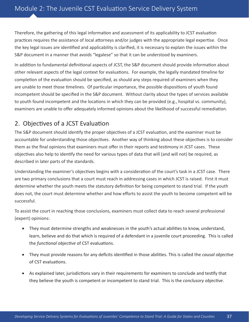Therefore, the gathering of this legal information and assessment of its applicability to JCST evaluation practices requires the assistance of local attorneys and/or judges with the appropriate legal expertise. Once the key legal issues are identified and applicability is clarified, it is necessary to explain the issues within the S&P document in a manner that avoids "legalese" so that it can be understood by examiners.

In addition to fundamental definitional aspects of JCST, the S&P document should provide information about other relevant aspects of the legal context for evaluations. For example, the legally mandated timeline for completion of the evaluation should be specified, as should any steps required of examiners when they are unable to meet those timelines. Of particular importance, the possible dispositions of youth found incompetent should be specified in the S&P document. Without clarity about the types of services available to youth found incompetent and the locations in which they can be provided (e.g., hospital vs. community), examiners are unable to offer adequately informed opinions about the likelihood of successful remediation.

## 2. Objectives of a JCST Evaluation

The S&P document should identify the proper objectives of a JCST evaluation, and the examiner must be accountable for understanding those objectives. Another way of thinking about these objectives is to consider them as the final opinions that examiners must offer in their reports and testimony in JCST cases. These objectives also help to identify the need for various types of data that will (and will not) be required, as described in later parts of the standards.

Understanding the examiner's objectives begins with a consideration of the court's task in a JCST case. There are two primary conclusions that a court must reach in addressing cases in which JCST is raised. First it must determine whether the youth meets the statutory definition for being competent to stand trial. If the youth does not, the court must determine whether and how efforts to assist the youth to become competent will be successful.

To assist the court in reaching those conclusions, examiners must collect data to reach several professional (expert) opinions:

- They must determine strengths and weaknesses in the youth's actual abilities to know, understand, learn, believe and do that which is required of a defendant in a juvenile court proceeding. This is called the *functional objective* of CST evaluations.
- • They must provide reasons for any deficits identified in those abilities. This is called the *causal objective* of CST evaluations.
- As explained later, jurisdictions vary in their requirements for examiners to conclude and testify that they believe the youth is competent or incompetent to stand trial. This is the *conclusory objective*.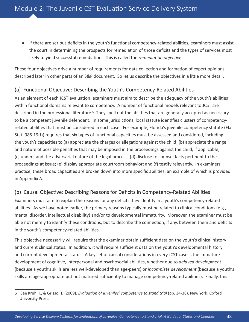• If there are serious deficits in the youth's functional competency-related abilities, examiners must assist the court in determining the prospects for remediation of those deficits and the types of services most likely to yield successful remediation. This is called the *remediation objective*.

These four objectives drive a number of requirements for data collection and formation of expert opinions described later in other parts of an S&P document. So let us describe the objectives in a little more detail.

#### (a) Functional Objective: Describing the Youth's Competency-Related Abilities

As an element of each JCST evaluation, examiners must aim to describe the adequacy of the youth's abilities within functional domains relevant to competency. A number of functional models relevant to JCST are described in the professional literature.<sup>6</sup> They spell out the abilities that are generally accepted as necessary to be a competent juvenile defendant. In some jurisdictions, local statute identifies clusters of competencyrelated abilities that must be considered in each case. For example, Florida's juvenile competency statute (Fla. Stat. 985.19(f)) requires that six types of functional capacities must be assessed and considered, including the youth's capacities to (a) appreciate the charges or allegations against the child; (b) appreciate the range and nature of possible penalties that may be imposed in the proceedings against the child, if applicable; (c) understand the adversarial nature of the legal process; (d) disclose to counsel facts pertinent to the proceedings at issue; (e) display appropriate courtroom behavior; and (f) testify relevantly. In examiners' practice, these broad capacities are broken down into more specific abilities, an example of which is provided in Appendix A.

#### (b) Causal Objective: Describing Reasons for Deficits in Competency-Related Abilities

Examiners must aim to explain the reasons for any deficits they identify in a youth's competency-related abilities. As we have noted earlier, the primary reasons typically must be related to clinical conditions (e.g., mental disorder, intellectual disability) and/or to developmental immaturity. Moreover, the examiner must be able not merely to identify these conditions, but to describe the connection, if any, between them and deficits in the youth's competency-related abilities.

This objective necessarily will require that the examiner obtain sufficient data on the youth's clinical history and current clinical status. In addition, it will require sufficient data on the youth's developmental history and current developmental status. A key set of causal considerations in every JCST case is the immature development of cognitive, interpersonal and psychosocial abilities, whether due to *delayed development*  (because a youth's skills are less well-developed than age-peers) or *incomplete development* (because a youth's skills are age-appropriate but not matured sufficiently to manage competency-related abilities). Finally, this

<sup>6</sup> See Kruh, I., & Grisso, T. (2009). *Evaluation of juveniles' competence to stand trial* (pp. 34-38). New York: Oxford University Press.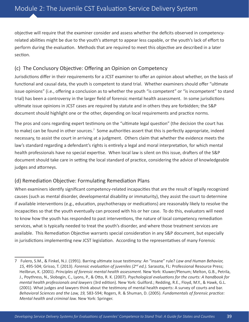objective will require that the examiner consider and assess whether the deficits observed in competencyrelated abilities might be due to the youth's attempt to appear less capable, or the youth's lack of effort to perform during the evaluation. Methods that are required to meet this objective are described in a later section.

#### (c) The Conclusory Objective: Offering an Opinion on Competency

Jurisdictions differ in their requirements for a JCST examiner to offer an opinion about whether, on the basis of functional and causal data, the youth is competent to stand trial. Whether examiners should offer "ultimate issue opinions" (i.e., offering a conclusion as to whether the youth "is competent" or "is incompetent" to stand trial) has been a controversy in the larger field of forensic mental health assessment. In some jurisdictions ultimate issue opinions in JCST cases are required by statute and in others they are forbidden; the S&P document should highlight one or the other, depending on local requirements and practice norms.

The pros and cons regarding expert testimony on the "ultimate legal question" (the decision the court has to make) can be found in other sources.<sup>7</sup> Some authorities assert that this is perfectly appropriate, indeed necessary, to assist the court in arriving at a judgment. Others claim that whether the evidence meets the law's standard regarding a defendant's rights is entirely a legal and moral interpretation, for which mental health professionals have no special expertise. When local law is silent on this issue, drafters of the S&P document should take care in setting the local standard of practice, considering the advice of knowledgeable judges and attorneys.

#### (d) Remediation Objective: Formulating Remediation Plans

When examiners identify significant competency-related incapacities that are the result of legally recognized causes (such as mental disorder, developmental disability or immaturity), they assist the court to determine if available interventions (e.g., education, psychotherapy or medications) are reasonably likely to resolve the incapacities so that the youth eventually can proceed with his or her case. To do this, evaluators will need to know how the youth has responded to past interventions, the nature of local competency remediation services, what is typically needed to treat the youth's disorder, and where those treatment services are available. This Remediation Objective warrants special consideration in any S&P document, but especially in jurisdictions implementing new JCST legislation. According to the representatives of many Forensic

<sup>7</sup> Fulero, S.M., & Finkel, N.J. (1991). Barring ultimate issue testimony: An "insane" rule? *Law and Human Behavior, 15,* 495-504; Grisso, T. (2013). *Forensic evaluation of juveniles (2nd ed.).* Sarasota, FL: Professional Resource Press; Heilbrun, K. (2001). *Principles of forensic mental health assessment.* New York: Kluwer/Plenum; Melton, G.B., Petrila, J., Poythress, N., Slobogin, C., Lyons, P., & Otto, R. K. (2007). *Psychological evaluations for the courts: A handbook for mental health professionals and lawyers* (3rd edition). New York: Guilford.; Redding, R.E., Floyd, M.Y., & Hawk, G.L. (2001). What judges and lawyers think about the testimony of mental health experts: A survey of courts and bar. *Behavioral Sciences and the Law, 19,* 583-594; Rogers, R. & Shuman, D. (2005). *Fundamentals of forensic practice: Mental health and criminal law.* New York: Springer.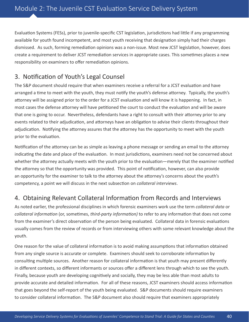Evaluation Systems (FESs), prior to juvenile-specific CST legislation, jurisdictions had little if any programming available for youth found incompetent, and most youth receiving that designation simply had their charges dismissed. As such, forming remediation opinions was a non-issue. Most new JCST legislation, however, does create a requirement to deliver JCST remediation services in appropriate cases. This sometimes places a new responsibility on examiners to offer remediation opinions.

## 3. Notification of Youth's Legal Counsel

The S&P document should require that when examiners receive a referral for a JCST evaluation and have arranged a time to meet with the youth, they must notify the youth's defense attorney. Typically, the youth's attorney will be assigned prior to the order for a JCST evaluation and will know it is happening. In fact, in most cases the defense attorney will have petitioned the court to conduct the evaluation and will be aware that one is going to occur. Nevertheless, defendants have a right to consult with their attorney prior to any events related to their adjudication, and attorneys have an obligation to advise their clients throughout their adjudication. Notifying the attorney assures that the attorney has the opportunity to meet with the youth prior to the evaluation.

Notification of the attorney can be as simple as leaving a phone message or sending an email to the attorney indicating the date and place of the evaluation. In most jurisdictions, examiners need not be concerned about whether the attorney actually meets with the youth prior to the evaluation—merely that the examiner notified the attorney so that the opportunity was provided. This point of notification, however, can also provide an opportunity for the examiner to talk to the attorney about the attorney's concerns about the youth's competency, a point we will discuss in the next subsection on *collateral interviews*.

## 4. Obtaining Relevant Collateral Information from Records and Interviews

As noted earlier, the professional disciplines in which forensic examiners work use the term *collateral data* or *collateral information* (or, sometimes, *third-party information)* to refer to any information that does not come from the examiner's direct observation of the person being evaluated. Collateral data in forensic evaluations usually comes from the review of records or from interviewing others with some relevant knowledge about the youth.

One reason for the value of collateral information is to avoid making assumptions that information obtained from any single source is accurate or complete. Examiners should seek to corroborate information by consulting multiple sources. Another reason for collateral information is that youth may present differently in different contexts, so different informants or sources offer a different lens through which to see the youth. Finally, because youth are developing cognitively and socially, they may be less able than most adults to provide accurate and detailed information. For all of these reasons, JCST examiners should access information that goes beyond the self-report of the youth being evaluated. S&P documents should require examiners to consider collateral information. The S&P document also should require that examiners appropriately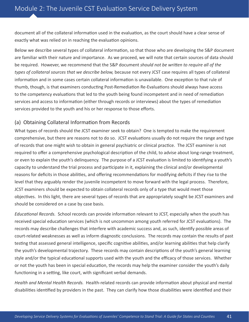document all of the collateral information used in the evaluation, as the court should have a clear sense of exactly what was relied on in reaching the evaluation opinions.

Below we describe several types of collateral information, so that those who are developing the S&P document are familiar with their nature and importance. As we proceed, we will note that certain sources of data should be required. However, we recommend that the S&P document *should not be written to require all of the types of collateral sources that we describe below,* because not every JCST case requires all types of collateral information and in some cases certain collateral information is unavailable. One exception to that rule of thumb, though, is that examiners conducting Post-Remediation Re-Evaluations should always have access to the competency evaluations that led to the youth being found incompetent and in need of remediation services and access to information (either through records or interviews) about the types of remediation services provided to the youth and his or her response to those efforts.

#### (a) Obtaining Collateral Information from Records

What types of records should the JCST examiner seek to obtain? One is tempted to make the requirement comprehensive, but there are reasons not to do so. JCST evaluations usually do not require the range and type of records that one might wish to obtain in general psychiatric or clinical practice. The JCST examiner is not required to offer a comprehensive psychological description of the child, to advise about long-range treatment, or even to explain the youth's delinquency. The purpose of a JCST evaluation is limited to identifying a youth's capacity to understand the trial process and participate in it, explaining the clinical and/or developmental reasons for deficits in those abilities, and offering recommendations for modifying deficits if they rise to the level that they arguably render the juvenile incompetent to move forward with the legal process. Therefore, JCST examiners should be expected to obtain collateral records only of a type that would meet those objectives. In this light, there are several types of records that are appropriately sought be JCST examiners and should be considered on a case by case basis.

*Educational Records.* School records can provide information relevant to JCST, especially when the youth has received special education services (which is not uncommon among youth referred for JCST evaluations). The records may describe challenges that interfere with academic success and, as such, identify possible areas of court-related weaknesses as well as inform diagnostic conclusions. The records may contain the results of past testing that assessed general intelligence, specific cognitive abilities, and/or learning abilities that help clarify the youth's developmental trajectory. These records may contain descriptions of the youth's general learning style and/or the typical educational supports used with the youth and the efficacy of those services. Whether or not the youth has been in special education, the records may help the examiner consider the youth's daily functioning in a setting, like court, with significant verbal demands.

*Health and Mental Health Records.* Health-related records can provide information about physical and mental disabilities identified by providers in the past. They can clarify how those disabilities were identified and their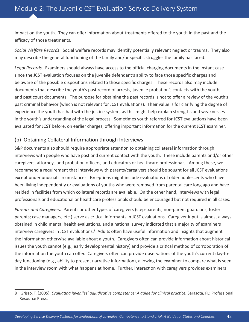impact on the youth. They can offer information about treatments offered to the youth in the past and the efficacy of those treatments.

*Social Welfare Records*. Social welfare records may identify potentially relevant neglect or trauma. They also may describe the general functioning of the family and/or specific struggles the family has faced.

*Legal Records*. Examiners should always have access to the official charging documents in the instant case since the JCST evaluation focuses on the juvenile defendant's ability to face those specific charges and be aware of the possible dispositions related to those specific charges. These records also may include documents that describe the youth's past record of arrests, juvenile probation's contacts with the youth, and past court documents. The purpose for obtaining the past records is not to offer a review of the youth's past criminal behavior (which is not relevant for JCST evaluations). Their value is for clarifying the degree of experience the youth has had with the justice system, as this might help explain strengths and weaknesses in the youth's understanding of the legal process. Sometimes youth referred for JCST evaluations have been evaluated for JCST before, on earlier charges, offering important information for the current JCST examiner.

#### (b) Obtaining Collateral Information through Interviews

S&P documents also should require appropriate attention to obtaining collateral information through interviews with people who have past and current contact with the youth. These include parents and/or other caregivers, attorneys and probation officers, and educators or healthcare professionals. Among these, we recommend a requirement that interviews with parents/caregivers should be sought for all JCST evaluations except under unusual circumstances. Exceptions might include evaluations of older adolescents who have been living independently or evaluations of youths who were removed from parental care long ago and have resided in facilities from which collateral records are available. On the other hand, interviews with legal professionals and educational or healthcare professionals should be encouraged but not required in all cases.

*Parents and Caregivers.* Parents or other types of caregivers (step-parents; non-parent guardians; foster parents; case managers; etc.) serve as critical informants in JCST evaluations. Caregiver input is almost always obtained in child mental health evaluations, and a national survey indicated that a majority of examiners interview caregivers in JCST evaluations.<sup>8</sup> Adults often have useful information and insights that augment the information otherwise available about a youth. Caregivers often can provide information about historical issues the youth cannot (e.g., early developmental history) and provide a critical method of corroboration of the information the youth can offer. Caregivers often can provide observations of the youth's current day-today functioning (e.g., ability to present narrative information), allowing the examiner to compare what is seen in the interview room with what happens at home. Further, interaction with caregivers provides examiners

<sup>8</sup> Grisso, T. (2005). *Evaluating juveniles' adjudicative competence: A guide for clinical practice.* Sarasota, FL: Professional Resource Press.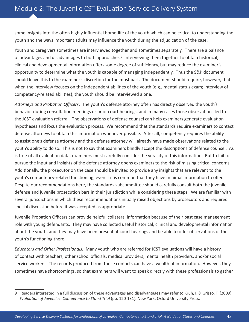some insights into the often highly influential home-life of the youth which can be critical to understanding the youth and the ways important adults may influence the youth during the adjudication of the case.

Youth and caregivers sometimes are interviewed together and sometimes separately. There are a balance of advantages and disadvantages to both approaches.<sup>9</sup> Interviewing them together to obtain historical, clinical and developmental information offers some degree of sufficiency, but may reduce the examiner's opportunity to determine what the youth is capable of managing independently. Thus the S&P document should leave this to the examiner's discretion for the most part. The document should require, however, that when the interview focuses on the independent abilities of the youth (e.g., mental status exam; interview of competency-related abilities), the youth should be interviewed alone.

*Attorneys and Probation Officers*. The youth's defense attorney often has directly observed the youth's behavior during consultation meetings or prior court hearings, and in many cases those observations led to the JCST evaluation referral. The observations of defense counsel can help examiners generate evaluation hypotheses and focus the evaluation process. We recommend that the standards require examiners to contact defense attorneys to obtain this information whenever possible. After all, competency requires the ability to assist one's defense attorney and the defense attorney will already have made observations related to the youth's ability to do so. This is not to say that examiners blindly accept the descriptions of defense counsel. As is true of all evaluation data, examiners must carefully consider the veracity of this information. But to fail to pursue the input and insights of the defense attorney opens examiners to the risk of missing critical concerns. Additionally, the prosecutor on the case should be invited to provide any insights that are relevant to the youth's competency-related functioning, even if it is common that they have minimal information to offer. Despite our recommendations here, the standards subcommittee should carefully consult both the juvenile defense and juvenile prosecution bars in their jurisdiction while considering these steps. We are familiar with several jurisdictions in which these recommendations initially raised objections by prosecutors and required special discussion before it was accepted as appropriate.

Juvenile Probation Officers can provide helpful collateral information because of their past case management role with young defendants. They may have collected useful historical, clinical and developmental information about the youth, and they may have been present at court hearings and be able to offer observations of the youth's functioning there.

*Educators and Other Professionals.* Many youth who are referred for JCST evaluations will have a history of contact with teachers, other school officials, medical providers, mental health providers, and/or social service workers. The records produced from those contacts can have a wealth of information. However, they sometimes have shortcomings, so that examiners will want to speak directly with these professionals to gather

<sup>9</sup> Readers interested in a full discussion of these advantages and disadvantages may refer to Kruh, I. & Grisso, T. (2009). *Evaluation of Juveniles' Competence to Stand Trial (pp. 120-131). New York: Oxford University Press.*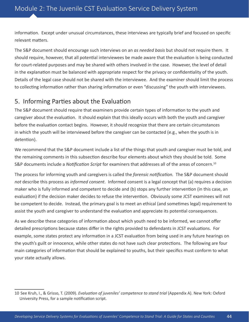information. Except under unusual circumstances, these interviews are typically brief and focused on specific relevant matters.

The S&P document should encourage such interviews on an *as needed basis* but should not require them. It should require, however, that all potential interviewees be made aware that the evaluation is being conducted for court-related purposes and may be shared with others involved in the case. However, the level of detail in the explanation must be balanced with appropriate respect for the privacy or confidentiality of the youth. Details of the legal case should not be shared with the interviewee. And the examiner should limit the process to collecting information rather than sharing information or even "discussing" the youth with interviewees.

## 5. Informing Parties about the Evaluation

The S&P document should require that examiners provide certain types of information to the youth and caregiver about the evaluation. It should explain that this ideally occurs with both the youth and caregiver before the evaluation contact begins. However, it should recognize that there are certain circumstances in which the youth will be interviewed before the caregiver can be contacted (e.g., when the youth is in detention).

We recommend that the S&P document include a list of the things that youth and caregiver must be told, and the remaining comments in this subsection describe four elements about which they should be told. Some S&P documents include a *Notification Script* for examiners that addresses all of the areas of concern.10

The process for informing youth and caregivers is called the *forensic notification.* The S&P document should *not* describe this process as *informed consent*. Informed consent is a legal concept that (a) requires a decision maker who is fully informed and competent to decide and (b) stops any further intervention (in this case, an evaluation) if the decision maker decides to refuse the intervention. Obviously some JCST examinees will not be competent to decide. Instead, the primary goal is to meet an ethical (and sometimes legal) requirement to assist the youth and caregiver to understand the evaluation and appreciate its potential consequences.

As we describe these categories of information about which youth need to be informed, we cannot offer detailed prescriptions because states differ in the rights provided to defendants in JCST evaluations. For example, some states protect any information in a JCST evaluation from being used in any future hearings on the youth's guilt or innocence, while other states do not have such clear protections. The following are four main categories of information that should be explained to youths, but their specifics must conform to what your state actually allows.

<sup>10</sup> See Kruh, I., & Grisso, T. (2009). *Evaluation of juveniles' competence to stand trial* (Appendix A). New York: Oxford University Press, for a sample notification script.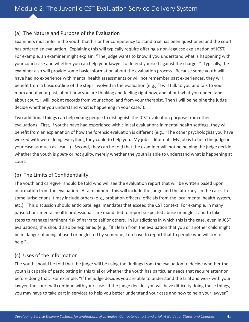#### (a) The Nature and Purpose of the Evaluation

Examiners must inform the youth that his or her competency to stand trial has been questioned and the court has ordered an evaluation. Explaining this will typically require offering a non-legalese explanation of JCST. For example, an examiner might explain, "The judge wants to know if you understand what is happening with your court case and whether you can help your lawyer to defend yourself against the charges." Typically, the examiner also will provide some basic information about the evaluation process. Because some youth will have had no experience with mental health assessments or will not remember past experiences, they will benefit from a basic outline of the steps involved in the evaluation (e.g., "I will talk to you and talk to your mom about your past, about how you are thinking and feeling right now, and about what you understand about court. I will look at records from your school and from your therapist. Then I will be helping the judge decide whether you understand what is happening in your case.").

Two additional things can help young people to distinguish the JCST evaluation purpose from other evaluations. First, if youths have had experience with clinical evaluations in mental health settings, they will benefit from an explanation of how the forensic evaluation is different (e.g., "The other psychologists you have worked with were doing everything they could to help you. My job is different. My job is to help the judge in your case as much as I can."). Second, they can be told that the examiner will not be helping the judge decide whether the youth is *guilty* or *not* guilty, merely whether the youth is able to understand what is happening at court.

#### (b) The Limits of Confidentiality

The youth and caregiver should be told who will see the evaluation report that will be written based upon information from the evaluation. At a minimum, this will include the judge and the attorneys in the case. In some jurisdictions it may include others (e.g., probation officers; officials from the local mental health system, etc.). This discussion should anticipate legal mandates that exceed the CST context. For example, in many jurisdictions mental health professionals are mandated to report suspected abuse or neglect and to take steps to manage imminent risk of harm to self or others. In jurisdictions in which this is the case, even in JCST evaluations, this should also be explained (e.g., "If I learn from the evaluation that you or another child might be in danger of being abused or neglected by someone, I do have to report that to people who will try to help.").

#### (c) Uses of the Information

The youth should be told that the judge will be using the findings from the evaluation to decide whether the youth is capable of participating in this trial or whether the youth has particular needs that require attention before doing that. For example, "If the judge decides you are able to understand the trial and work with your lawyer, the court will continue with your case. If the judge decides you will have difficulty doing those things, you may have to take part in services to help you better understand your case and how to help your lawyer."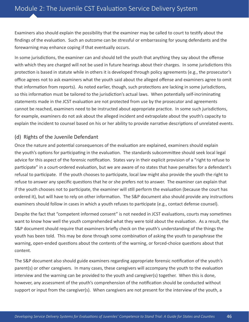Examiners also should explain the possibility that the examiner may be called to court to testify about the findings of the evaluation. Such an outcome can be stressful or embarrassing for young defendants and the forewarning may enhance coping if that eventually occurs.

In some jurisdictions, the examiner can and should tell the youth that anything they say about the offense with which they are charged will not be used in future hearings about their charges. In some jurisdictions this protection is based in statute while in others it is developed through policy agreements (e.g., the prosecutor's office agrees not to ask examiners what the youth said about the alleged offense and examiners agree to omit that information from reports). As noted earlier, though, such protections are lacking in some jurisdictions, so this information must be tailored to the jurisdiction's actual laws. When potentially self-incriminating statements made in the JCST evaluation are not protected from use by the prosecutor and agreements cannot be reached, examiners need to be instructed about appropriate practice. In some such jurisdictions, for example, examiners do not ask about the alleged incident and extrapolate about the youth's capacity to explain the incident to counsel based on his or her ability to provide narrative descriptions of unrelated events.

#### (d) Rights of the Juvenile Defendant

Once the nature and potential consequences of the evaluation are explained, examiners should explain the youth's options for participating in the evaluation. The standards subcommittee should seek local legal advice for this aspect of the forensic notification. States vary in their explicit provision of a "right to refuse to participate" in a court-ordered evaluation, but we are aware of no states that have penalties for a defendant's refusal to participate. If the youth chooses to participate, local law might also provide the youth the right to refuse to answer any specific questions that he or she prefers not to answer. The examiner can explain that if the youth chooses not to participate, the examiner will still perform the evaluation (because the court has ordered it), but will have to rely on other information. The S&P document also should provide any instructions examiners should follow in cases in which a youth refuses to participate (e.g., contact defense counsel).

Despite the fact that "competent informed consent" is not needed in JCST evaluations, courts may sometimes want to know how well the youth comprehended what they were told about the evaluation. As a result, the S&P document should require that examiners briefly check on the youth's understanding of the things the youth has been told. This may be done through some combination of asking the youth to paraphrase the warning, open-ended questions about the contents of the warning, or forced-choice questions about that content.

The S&P document also should guide examiners regarding appropriate forensic notification of the youth's parent(s) or other caregivers. In many cases, these caregivers will accompany the youth to the evaluation interview and the warning can be provided to the youth and caregiver(s) together. When this is done, however, any assessment of the youth's comprehension of the notification should be conducted without support or input from the caregiver(s). When caregivers are not present for the interview of the youth, a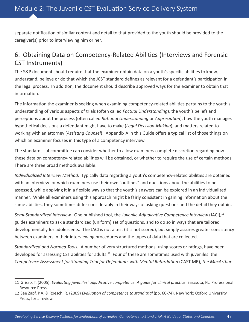separate notification of similar content and detail to that provided to the youth should be provided to the caregiver(s) prior to interviewing him or her.

## 6. Obtaining Data on Competency-Related Abilities (Interviews and Forensic CST Instruments)

The S&P document should require that the examiner obtain data on a youth's specific abilities to know, understand, believe or do that which the JCST standard defines as relevant for a defendant's participation in the legal process. In addition, the document should describe approved ways for the examiner to obtain that information.

The information the examiner is seeking when examining competency-related abilities pertains to the youth's understanding of various aspects of trials (often called *Factual Understanding*), the youth's beliefs and perceptions about the process (often called *Rational Understanding* or *Appreciation*), how the youth manages hypothetical decisions a defendant might have to make (*Legal Decision-Making*), and matters related to working with an attorney (*Assisting Counsel*). Appendix A in this Guide offers a typical list of those things on which an examiner focuses in this type of a competency interview.

The standards subcommittee can consider whether to allow examiners complete discretion regarding how these data on competency-related abilities will be obtained, or whether to require the use of certain methods. There are three broad methods available:

*Individualized Interview Method:* Typically data regarding a youth's competency-related abilities are obtained with an interview for which examiners use their own "outlines" and questions about the abilities to be assessed, while applying it in a flexible way so that the youth's answers can be explored in an individualized manner. While all examiners using this approach might be fairly consistent in gaining information about the same abilities, they sometimes differ considerably in their ways of asking questions and the detail they obtain.

*Semi-Standardized Interview.* One published tool, the *Juvenile Adjudicative Competence Interview* (JACI),<sup>11</sup> guides examiners to ask a standardized (uniform) set of questions, and to do so in ways that are tailored developmentally for adolescents. The JACI is not a test (it is not scored), but simply assures greater consistency between examiners in their interviewing procedures and the types of data that are collected.

*Standardized and Normed Tools.* A number of very structured methods, using scores or ratings, have been developed for assessing CST abilities for adults.<sup>12</sup> Four of these are sometimes used with juveniles: the *Competence Assessment for Standing Trial for Defendants with Mental Retardation* (CAST-MR), *the MacArthur* 

<sup>11</sup> Grisso, T. (2005). *Evaluating juveniles' adjudicative competence: A guide for clinical practice*. Sarasota, FL: Professional Resource Press.

<sup>12</sup> See Zapf, P.A. & Roesch, R. (2009) *Evaluation of competence to stand trial* (pp. 60-74). New York: Oxford University Press, for a review.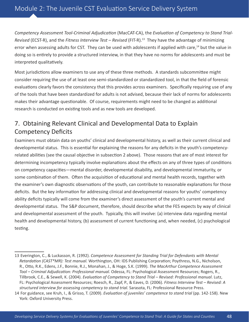*Competency Assessment Tool-Criminal Adjudication* (MacCAT-CA), the *Evaluation of Competency to Stand Trial-Revised* (ECST-R), and the *Fitness Interview Test – Revised* (FIT-R).<sup>13</sup> They have the advantage of minimizing error when assessing adults for CST. They can be used with adolescents if applied with care,<sup>14</sup> but the value in doing so is entirely to provide a structured interview, in that they have no norms for adolescents and must be interpreted qualitatively.

Most jurisdictions allow examiners to use any of these three methods. A standards subcommittee might consider requiring the use of at least one semi-standardized or standardized tool, in that the field of forensic evaluations clearly favors the consistency that this provides across examiners. Specifically requiring use of any of the tools that have been standardized for adults is not advised, because their lack of norms for adolescents makes their advantage questionable. Of course, requirements might need to be changed as additional research is conducted on existing tools and as new tools are developed.

## 7. Obtaining Relevant Clinical and Developmental Data to Explain Competency Deficits

Examiners must obtain data on youths' clinical and developmental history, as well as their current clinical and developmental status. This is essential for explaining the reasons for any deficits in the youth's competencyrelated abilities (see the causal objective in subsection 2 above). Those reasons that are of most interest for determining incompetency typically involve explanations about the effects on any of three types of conditions on competency capacities—mental disorder, developmental disability, and developmental immaturity, or some combination of them. Often the acquisition of educational and mental health records, together with the examiner's own diagnostic observations of the youth, can contribute to reasonable explanations for those deficits. But the key information for addressing clinical and developmental reasons for youths' competency ability deficits typically will come from the examiner's direct assessment of the youth's current mental and developmental status. The S&P document, therefore, should describe what the FES expects by way of clinical and developmental assessment of the youth. Typically, this will involve: (a) interview data regarding mental health and developmental history, (b) assessment of current functioning and, when needed, (c) psychological testing.

<sup>13</sup> Everington, C., & Luckasson, R. (1992). *Competence Assessment for Standing Trial for Defendants with Mental Retardation (CAST\*MR): Test manual.* Worthington, OH: IDS Publishing Corporation; Poythress, N.G., Nicholson, R., Otto, R.K., Edens, J.F., Bonnie, R.J., Monahan, J., & Hoge, S.K. (1999). *The MacArthur Competence Assessment Tool – Criminal Adjudication: Professional manual.* Odessa, FL: Psychological Assessment Resources; Rogers, R., Tillbrook, C.E., & Sewell, K. (2004). *Evaluation of Competency to Stand Trial – Revised: Professional manual*. Lutz, FL: Psychological Assessment Resources; Roesch, R., Zapf, P., & Eaves, D. (2006). *Fitness Interview Test – Revised: A structured interview for assessing competency to stand trial.* Sarasota, FL: Professional Resource Press.

<sup>14</sup> For guidance, see Kruh, I., & Grisso, T. (2009). *Evaluation of juveniles' competence to stand trial* (pp. 142-158). New York: Oxford University Press.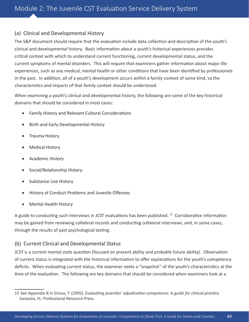#### (a) Clinical and Developmental History

The S&P document should require that the evaluation include data collection and description of the youth's clinical and developmental history. Basic information about a youth's historical experiences provides critical context with which to understand current functioning, current developmental status, and the current symptoms of mental disorders. This will require that examiners gather information about major life experiences, such as any medical, mental health or other conditions that have been identified by professionals in the past. In addition, all of a youth's development occurs within a family context of some kind, so the characteristics and impacts of that family context should be understood.

When examining a youth's clinical and developmental history, the following are some of the key historical domains that should be considered in most cases:

- • Family History and Relevant Cultural Considerations
- • Birth and Early Developmental History
- Trauma History
- **Medical History**
- Academic History
- Social/Relationship History
- **Substance Use History**
- History of Conduct Problems and Juvenile Offenses
- Mental Health History

A guide to conducting such interviews in JCST evaluations has been published. <sup>15</sup> Corroborative information may be gained from reviewing collateral records and conducting collateral interviews, and, in some cases, through the results of past psychological testing.

#### (b) Current Clinical and Developmental Status

JCST is a current mental state question (focused on present ability and probable future ability). Observation of current status is integrated with the historical information to offer explanations for the youth's competency deficits. When evaluating current status, the examiner seeks a "snapshot" of the youth's characteristics at the time of the evaluation. The following are key domains that should be considered when examiners look at a

<sup>15</sup> See Appendix B in Grisso, T. (2005). *Evaluating juveniles' adjudicative competence: A guide for clinical practice*. Sarasota, FL: Professional Resource Press.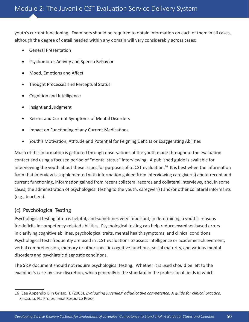youth's current functioning. Examiners should be required to obtain information on each of them in all cases, although the degree of detail needed within any domain will vary considerably across cases:

- **General Presentation**
- Psychomotor Activity and Speech Behavior
- Mood, Emotions and Affect
- Thought Processes and Perceptual Status
- Cognition and Intelligence
- Insight and Judgment
- Recent and Current Symptoms of Mental Disorders
- Impact on Functioning of any Current Medications
- Youth's Motivation, Attitude and Potential for Feigning Deficits or Exaggerating Abilities

Much of this information is gathered through observations of the youth made throughout the evaluation contact and using a focused period of "mental status" interviewing. A published guide is available for interviewing the youth about these issues for purposes of a JCST evaluation.<sup>16</sup> It is best when the information from that interview is supplemented with information gained from interviewing caregiver(s) about recent and current functioning, information gained from recent collateral records and collateral interviews, and, in some cases, the administration of psychological testing to the youth, caregiver(s) and/or other collateral informants (e.g., teachers).

#### (c) Psychological Testing

Psychological testing often is helpful, and sometimes very important, in determining a youth's reasons for deficits in competency-related abilities. Psychological testing can help reduce examiner-based errors in clarifying cognitive abilities, psychological traits, mental health symptoms, and clinical conditions. Psychological tests frequently are used in JCST evaluations to assess intelligence or academic achievement, verbal comprehension, memory or other specific cognitive functions, social maturity, and various mental disorders and psychiatric diagnostic conditions.

The S&P document should not require psychological testing. Whether it is used should be left to the examiner's case-by-case discretion, which generally is the standard in the professional fields in which

<sup>16</sup> See Appendix B in Grisso, T. (2005). *Evaluating juveniles' adjudicative competence: A guide for clinical practice*. Sarasota, FL: Professional Resource Press.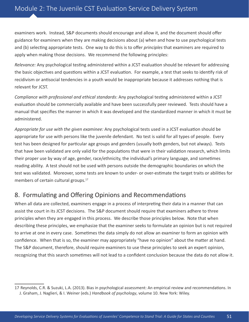examiners work. Instead, S&P documents should encourage and allow it, and the document should offer guidance for examiners when they are making decisions about (a) when and how to use psychological tests and (b) selecting appropriate tests. One way to do this is to offer *principles* that examiners are required to apply when making those decisions. We recommend the following principles:

*Relevance:* Any psychological testing administered within a JCST evaluation should be relevant for addressing the basic objectives and questions within a JCST evaluation. For example, a test that seeks to identify risk of recidivism or antisocial tendencies in a youth would be inappropriate because it addresses nothing that is relevant for JCST.

*Compliance with professional and ethical standards*: Any psychological testing administered within a JCST evaluation should be commercially available and have been successfully peer reviewed. Tests should have a manual that specifies the manner in which it was developed and the standardized manner in which it must be administered.

*Appropriate for use with the given examinee:* Any psychological tests used in a JCST evaluation should be appropriate for use with persons like the juvenile defendant. No test is valid for all types of people. Every test has been designed for particular age groups and genders (usually both genders, but not always). Tests that have been validated are only valid for the populations that were in their validation research, which limits their proper use by way of age, gender, race/ethnicity, the individual's primary language, and sometimes reading ability. A test should not be used with persons outside the demographic boundaries on which the test was validated. Moreover, some tests are known to under- or over-estimate the target traits or abilities for members of certain cultural groups.<sup>17</sup>

## 8. Formulating and Offering Opinions and Recommendations

When all data are collected, examiners engage in a process of interpreting their data in a manner that can assist the court in its JCST decisions. The S&P document should require that examiners adhere to three principles when they are engaged in this process. We describe those principles below. Note that when describing these principles, we emphasize that the examiner seeks to formulate an opinion but is not required to arrive at one in every case. Sometimes the data simply do not allow an examiner to form an opinion with confidence. When that is so, the examiner may appropriately "have no opinion" about the matter at hand. The S&P document, therefore, should require examiners to use these principles to seek an expert opinion, recognizing that this search sometimes will not lead to a confident conclusion because the data do not allow it.

<sup>17</sup> Reynolds, C.R. & Suzuki, L.A. (2013). Bias in psychological assessment: An empirical review and recommendations. In J. Graham, J. Naglieri, & I. Weiner (eds.) *Handbook of psychology*, volume 10. New York: Wiley.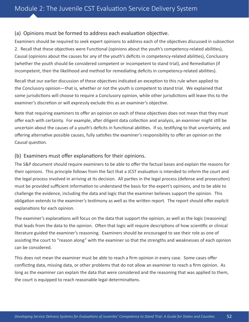#### (a) Opinions must be formed to address each evaluation objective.

Examiners should be required to seek expert opinions to address each of the objectives discussed in subsection 2. Recall that these objectives were Functional (opinions about the youth's competency-related abilities), Causal (opinions about the causes for any of the youth's deficits in competency-related abilities), Conclusory (whether the youth should be considered competent or incompetent to stand trial), and Remediation (if incompetent, then the likelihood and method for remediating deficits in competency-related abilities).

Recall that our earlier discussion of these objectives indicated an exception to this rule when applied to the Conclusory opinion—that is, whether or not the youth is competent to stand trial. We explained that some jurisdictions will choose to require a Conclusory opinion, while other jurisdictions will leave this to the examiner's discretion or will expressly exclude this as an examiner's objective.

Note that requiring examiners to offer an opinion on each of these objectives does not mean that they must offer each with certainty. For example, after diligent data collection and analysis, an examiner might still be uncertain about the causes of a youth's deficits in functional abilities. If so, testifying to that uncertainty, and offering alternative possible causes, fully satisfies the examiner's responsibility to offer an opinion on the Causal question.

#### (b) Examiners must offer explanations for their opinions.

The S&P document should require examiners to be able to offer the factual bases and explain the reasons for their opinions. This principle follows from the fact that a JCST evaluation is intended to inform the court and the legal process involved in arriving at its decision. All parties in the legal process (defense and prosecution) must be provided sufficient information to understand the basis for the expert's opinions, and to be able to challenge the evidence, including the data and logic that the examiner believes support the opinion. This obligation extends to the examiner's testimony as well as the written report. The report should offer explicit explanations for each opinion.

The examiner's explanations will focus on the data that support the opinion, as well as the logic (reasoning) that leads from the data to the opinion. Often that logic will require descriptions of how scientific or clinical literature guided the examiner's reasoning. Examiners should be encouraged to see their role as one of assisting the court to "reason along" with the examiner so that the strengths and weaknesses of each opinion can be considered.

This does not mean the examiner must be able to reach a firm opinion in every case. Some cases offer conflicting data, missing data, or other problems that do not allow an examiner to reach a firm opinion. As long as the examiner can explain the data that were considered and the reasoning that was applied to them, the court is equipped to reach reasonable legal determinations.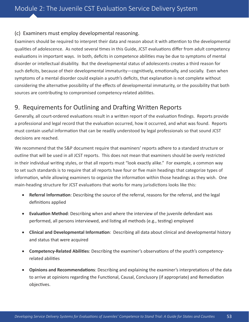#### (c) Examiners must employ developmental reasoning.

Examiners should be required to interpret their data and reason about it with attention to the developmental qualities of adolescence. As noted several times in this Guide, JCST evaluations differ from adult competency evaluations in important ways. In both, deficits in competence abilities may be due to symptoms of mental disorder or intellectual disability. But the developmental status of adolescents creates a third reason for such deficits, because of their developmental immaturity—cognitively, emotionally, and socially. Even when symptoms of a mental disorder could explain a youth's deficits, that explanation is not complete without considering the alternative possibility of the effects of developmental immaturity, or the possibility that both sources are contributing to compromised competency-related abilities.

### 9. Requirements for Outlining and Drafting Written Reports

Generally, all court-ordered evaluations result in a written report of the evaluation findings. Reports provide a professional and legal record that the evaluation occurred, how it occurred, and what was found. Reports must contain useful information that can be readily understood by legal professionals so that sound JCST decisions are reached.

We recommend that the S&P document require that examiners' reports adhere to a standard structure or outline that will be used in all JCST reports. This does not mean that examiners should be overly restricted in their individual writing styles, or that all reports must "look exactly alike." For example, a common way to set such standards is to require that all reports have four or five main headings that categorize types of information, while allowing examiners to organize the information within those headings as they wish. One main-heading structure for JCST evaluations that works for many jurisdictions looks like this:

- • **Referral Information**: Describing the source of the referral, reasons for the referral, and the legal definitions applied
- • **Evaluation Method**: Describing when and where the interview of the juvenile defendant was performed, all persons interviewed, and listing all methods (e.g., testing) employed
- • **Clinical and Developmental Information**: Describing all data about clinical and developmental history and status that were acquired
- • **Competency-Related Abilities**: Describing the examiner's observations of the youth's competencyrelated abilities
- • **Opinions and Recommendations**: Describing and explaining the examiner's interpretations of the data to arrive at opinions regarding the Functional, Causal, Conclusory (if appropriate) and Remediation objectives.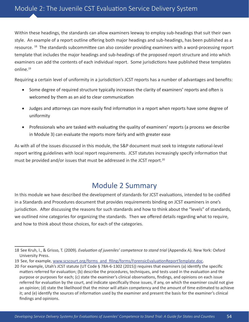Within these headings, the standards can allow examiners leeway to employ sub-headings that suit their own style. An example of a report outline offering both major headings and sub-headings, has been published as a resource.<sup>18</sup> The standards subcommittee can also consider providing examiners with a word-processing report template that includes the major headings and sub-headings of the proposed report structure and into which examiners can add the contents of each individual report. Some jurisdictions have published these templates online.<sup>19</sup>

Requiring a certain level of uniformity in a jurisdiction's JCST reports has a number of advantages and benefits:

- Some degree of required structure typically increases the clarity of examiners' reports and often is welcomed by them as an aid to clear communication
- Judges and attorneys can more easily find information in a report when reports have some degree of uniformity
- Professionals who are tasked with evaluating the quality of examiners' reports (a process we describe in Module 3) can evaluate the reports more fairly and with greater ease

As with all of the issues discussed in this module, the S&P document must seek to integrate national-level report writing guidelines with local report requirements. JCST statutes increasingly specify information that must be provided and/or issues that must be addressed in the JCST report.<sup>20</sup>

## Module 2 Summary

In this module we have described the development of standards for JCST evaluations, intended to be codified in a Standards and Procedures document that provides requirements binding on JCST examiners in one's jurisdiction. After discussing the reasons for such standards and how to think about the "levels" of standards, we outlined nine categories for organizing the standards. Then we offered details regarding what to require, and how to think about those choices, for each of the categories.

<sup>18</sup> See Kruh, I., & Grisso, T. (2009). *Evaluation of juveniles' competence to stand trial* (Appendix A). New York: Oxford University Press.

<sup>19</sup> See, for example, [www.scscourt.org/forms\\_and\\_filing/forms/ForensicEvaluationReportTemplate.doc](http://www.scscourt.org/forms_and_filing/forms/ForensicEvaluationReportTemplate.doc).

<sup>20</sup> For example, Utah's JCST statute (UT Code § 78A-6-1302 (2015)) requires that examiners (a) identify the specific matters referred for evaluation; (b) describe the procedures, techniques, and tests used in the evaluation and the purpose or purposes for each; (c) state the examiner's clinical observations, findings, and opinions on each issue referred for evaluation by the court, and indicate specifically those issues, if any, on which the examiner could not give an opinion; (d) state the likelihood that the minor will attain competency and the amount of time estimated to achieve it; and (e) identify the sources of information used by the examiner and present the basis for the examiner's clinical findings and opinions.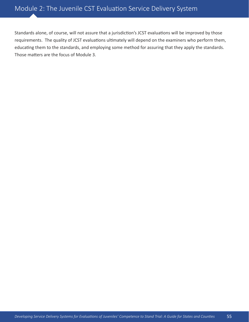# Module 2: The Juvenile CST Evaluation Service Delivery System

Standards alone, of course, will not assure that a jurisdiction's JCST evaluations will be improved by those requirements. The quality of JCST evaluations ultimately will depend on the examiners who perform them, educating them to the standards, and employing some method for assuring that they apply the standards. Those matters are the focus of Module 3.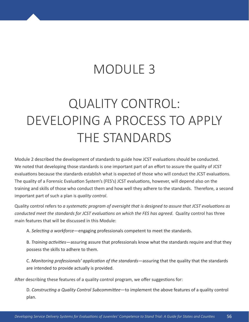# MODULE 3

# QUALITY CONTROL: DEVELOPING A PROCESS TO APPLY THE STANDARDS

Module 2 described the development of standards to guide how JCST evaluations should be conducted. We noted that developing those standards is one important part of an effort to assure the quality of JCST evaluations because the standards establish what is expected of those who will conduct the JCST evaluations. The quality of a Forensic Evaluation System's (FES's) JCST evaluations, however, will depend also on the training and skills of those who conduct them and how well they adhere to the standards. Therefore, a second important part of such a plan is *quality control*.

Quality control refers to *a systematic program of oversight that is designed to assure that JCST evaluations as conducted meet the standards for JCST evaluations on which the FES has agreed*. Quality control has three main features that will be discussed in this Module:

A. *Selecting a workforce*—engaging professionals competent to meet the standards.

B. *Training activities*—assuring assure that professionals know what the standards require and that they possess the skills to adhere to them.

C. *Monitoring professionals' application of the standards*—assuring that the quality that the standards are intended to provide actually is provided.

After describing these features of a quality control program, we offer suggestions for:

D. *Constructing a Quality Control Subcommittee*—to implement the above features of a quality control plan.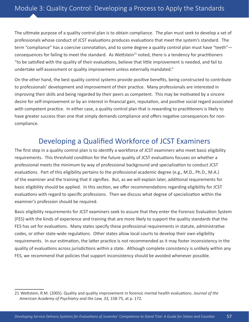The ultimate purpose of a quality control plan is to obtain compliance. The plan must seek to develop a set of professionals whose conduct of JCST evaluations produces evaluations that meet the system's standard. The term "compliance" has a coercive connotation, and to some degree a quality control plan must have "teeth" consequences for failing to meet the standard. As Wettstein<sup>21</sup> noted, there is a tendency for practitioners "to be satisfied with the quality of their evaluations, believe that little improvement is needed, and fail to undertake self-assessment or quality improvement unless externally mandated."

On the other hand, the best quality control systems provide positive benefits, being constructed to contribute to professionals' development and improvement of their practice. Many professionals are interested in improving their skills and being regarded by their peers as competent. This may be motivated by a sincere desire for self-improvement or by an interest in financial gain, reputation, and positive social regard associated with competent practice. In either case, a quality control plan that is rewarding to practitioners is likely to have greater success than one that simply demands compliance and offers negative consequences for noncompliance.

## Developing a Qualified Workforce of JCST Examiners

The first step in a quality control plan is to identify a workforce of JCST examiners who meet basic eligibility requirements. This threshold condition for the future quality of JCST evaluations focuses on whether a professional meets the minimum by way of professional background and specialization to conduct JCST evaluations. Part of this eligibility pertains to the professional academic degree (e.g., M.D., Ph.D., M.A.) of the examiner and the training that it signifies. But, as we will explain later, additional requirements for basic eligibility should be applied. In this section, we offer recommendations regarding eligibility for JCST evaluations with regard to specific professions. Then we discuss what degree of specialization within the examiner's profession should be required.

Basic eligibility requirements for JCST examiners seek to assure that they enter the Forensic Evaluation System (FES) with the kinds of experience and training that are more likely to support the quality standards that the FES has set for evaluations. Many states specify these professional requirements in statute, administrative codes, or other state-wide regulations. Other states allow local courts to develop their own eligibility requirements. In our estimation, the latter practice is not recommended as it may foster inconsistency in the quality of evaluations across jurisdictions within a state. Although complete consistency is unlikely within any FES, we recommend that policies that support inconsistency should be avoided whenever possible.

<sup>21</sup> Wettstein, R.M. (2005). Quality and quality improvement in forensic mental health evaluations. *Journal of the American Academy of Psychiatry and the Law, 33,* 158-75, at p. 172.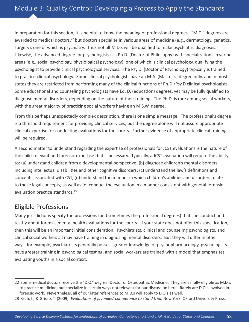In preparation for this section, it is helpful to know the meaning of professional degrees. "M.D." degrees are awarded to medical doctors,<sup>22</sup> but doctors specialize in various areas of medicine (e.g., dermatology, genetics, surgery), one of which is psychiatry. Thus not all M.D.s will be qualified to make psychiatric diagnoses. Likewise, the advanced degree for psychologists is a Ph.D. (Doctor of Philosophy) with specializations in various areas (e.g., social psychology, physiological psychology), one of which is clinical psychology, qualifying the psychologist to provide clinical psychological services. The Psy.D. (Doctor of Psychology) typically is trained to practice clinical psychology. Some clinical psychologists have an M.A. (Master's) degree only, and in most states they are restricted from performing many of the clinical functions of Ph.D./Psy.D clinical psychologists. Some educational and counseling psychologists have Ed. D. (education) degrees, yet may be fully qualified to diagnose mental disorders, depending on the nature of their training. The Ph.D. is rare among social workers, with the great majority of practicing social workers having an M.S.W. degree.

From this perhaps unexpectedly complex description, there is one simple message. The professional's degree is a threshold requirement for providing clinical services, but the degree alone will not assure appropriate clinical expertise for conducting evaluations for the courts. Further evidence of appropriate clinical training will be required.

A second matter to understand regarding the expertise of professionals for JCST evaluations is the nature of the child-relevant and forensic expertise that is necessary. Typically, a JCST evaluation will require the ability to: (a) understand children from a developmental perspective; (b) diagnose children's mental disorders, including intellectual disabilities and other cognitive disorders; (c) understand the law's definitions and concepts associated with CST; (d) understand the manner in which children's abilities and disorders relate to those legal concepts, as well as (e) conduct the evaluation in a manner consistent with general forensic evaluation practice standards.<sup>23</sup>

## Eligible Professions

Many jurisdictions specify the professions (and sometimes the professional degrees) that can conduct and testify about forensic mental health evaluations for the courts. If your state does not offer this specification, then this will be an important initial consideration. Psychiatrists, clinical and counseling psychologists, and clinical social workers all may have training in diagnosing mental disorders. But they will differ in other ways: for example, psychiatrists generally possess greater knowledge of psychopharmacology, psychologists have greater training in psychological testing, and social workers are trained with a model that emphasizes evaluating youths in a social context.

<sup>22</sup> Some medical doctors receive the "D.O." degree, Doctor of Osteopathic Medicine. They are as fully eligible as M.D.'s to practice medicine, but specialize in certain ways not relevant for our discussion here. Rarely are D.O.s involved in forensic work. Nevertheless, all of our later references to M.D.s will apply to D.O.s as well.

<sup>23</sup> Kruh, I., & Grisso, T. (2009). *Evaluations of juveniles' competence to stand trial*. New York: Oxford University Press.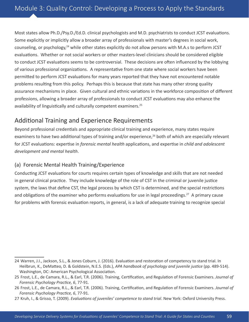Most states allow Ph.D./Psy.D./Ed.D. clinical psychologists and M.D. psychiatrists to conduct JCST evaluations. Some explicitly or implicitly allow a broader array of professionals with master's degrees in social work, counseling, or psychology,<sup>24</sup> while other states explicitly do not allow persons with M.A.s to perform JCST evaluations. Whether or not social workers or other masters-level clinicians should be considered eligible to conduct JCST evaluations seems to be controversial. These decisions are often influenced by the lobbying of various professional organizations. A representative from one state where social workers have been permitted to perform JCST evaluations for many years reported that they have not encountered notable problems resulting from this policy. Perhaps this is because that state has many other strong quality assurance mechanisms in place. Given cultural and ethnic variations in the workforce composition of different professions, allowing a broader array of professionals to conduct JCST evaluations may also enhance the availability of linguistically and culturally competent examiners.<sup>25</sup>

## Additional Training and Experience Requirements

Beyond professional credentials and appropriate clinical training and experience, many states require examiners to have two additional types of training and/or experience,<sup>26</sup> both of which are especially relevant for JCST evaluations: expertise in *forensic mental health* applications, and expertise in *child and adolescent development and mental health*.

#### (a) Forensic Mental Health Training/Experience

Conducting JCST evaluations for courts requires certain types of knowledge and skills that are not needed in general clinical practice. They include knowledge of the role of CST in the criminal or juvenile justice system, the laws that define CST, the legal process by which CST is determined, and the special restrictions and obligations of the examiner who performs evaluations for use in legal proceedings.<sup>27</sup> A primary cause for problems with forensic evaluation reports, in general, is a lack of adequate training to recognize special

<sup>24</sup> Warren, J.I., Jackson, S.L., & Jones Coburn, J. (2016). Evaluation and restoration of competency to stand trial. In Heilbrun, K., DeMatteo, D. & Goldstein, N.E.S. (Eds.), *APA handbook of psychology and juvenile justice* (pp. 489-514). Washington, DC: American Psychological Association.

<sup>25</sup> Frost, L.E., de Camara, R.L., & Earl, T.R. (2006). Training, Certification, and Regulation of Forensic Examiners. *Journal of Forensic Psychology Practice, 6*, 77-91.

<sup>26</sup> Frost, L.E., de Camara, R.L., & Earl, T.R. (2006). Training, Certification, and Regulation of Forensic Examiners. *Journal of Forensic Psychology Practice, 6*, 77-91.

<sup>27</sup> Kruh, I., & Grisso, T. (2009). *Evaluations of juveniles' competence to stand trial*. New York: Oxford University Press.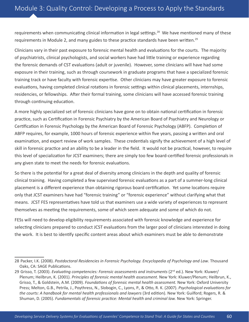requirements when communicating clinical information in legal settings.<sup>28</sup> We have mentioned many of these requirements in Module 2, and many guides to these practice standards have been written.<sup>29</sup>

Clinicians vary in their past exposure to forensic mental health and evaluations for the courts. The majority of psychiatrists, clinical psychologists, and social workers have had little training or experience regarding the forensic demands of CST evaluations (adult or juvenile). However, some clinicians will have had some exposure in their training, such as through coursework in graduate programs that have a specialized forensic training track or have faculty with forensic expertise. Other clinicians may have greater exposure to forensic evaluations, having completed clinical rotations in forensic settings within clinical placements, internships, residencies, or fellowships. After their formal training, some clinicians will have accessed forensic training through continuing education.

A more highly specialized set of forensic clinicians have gone on to obtain national certification in forensic practice, such as Certification in Forensic Psychiatry by the American Board of Psychiatry and Neurology or Certification in Forensic Psychology by the American Board of Forensic Psychology (ABFP). Completion of ABFP requires, for example, 1000 hours of forensic experience within five years, passing a written and oral examination, and expert review of work samples. These credentials signify the achievement of a high level of skill in forensic practice and an ability to be a leader in the field. It would not be practical, however, to require this level of specialization for JCST examiners; there are simply too few board-certified forensic professionals in any given state to meet the needs for forensic evaluations.

So there is the potential for a great deal of diversity among clinicians in the depth and quality of forensic clinical training. Having completed a few supervised forensic evaluations as a part of a summer-long clinical placement is a different experience than obtaining rigorous board certification. Yet some locations require only that JCST examiners have had "forensic training" or "forensic experience" without clarifying what that means. JCST FES representatives have told us that examiners use a wide variety of experiences to represent themselves as meeting the requirements, some of which seem adequate and some of which do not.

FESs will need to develop eligibility requirements associated with forensic knowledge and experience for selecting clinicians prepared to conduct JCST evaluations from the larger pool of clinicians interested in doing the work. It is best to identify specific content areas about which examiners must be able to demonstrate

<sup>28</sup> Packer, I.K. (2008). *Postdoctoral Residencies in Forensic Psychology. Encyclopedia of Psychology and Law*. Thousand Oaks, CA: SAGE Publications.

<sup>29</sup> Grisso, T. (2003). *Evaluating competencies: Forensic assessments and instruments* (2nd ed.). New York: Kluwer/ Plenum; Heilbrun, K. (2001). *Principles of forensic mental health assessment.* New York: Kluwer/Plenum; Heilbrun, K., Grisso, T., & Goldstein, A.M. (2009). *Foundations of forensic mental health assessment.* New York: Oxford University Press; Melton, G.B., Petrila, J., Poythress, N., Slobogin, C., Lyons, P., & Otto, R. K. (2007). *Psychological evaluations for the courts: A handbook for mental health professionals and lawyers* (3rd edition). New York: Guilford; Rogers, R. & Shuman, D. (2005). *Fundamentals of forensic practice: Mental health and criminal law.* New York: Springer.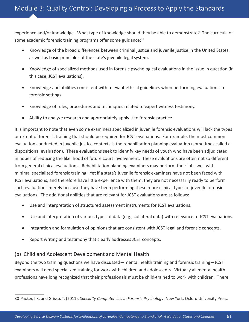experience and/or knowledge. What type of knowledge should they be able to demonstrate? The curricula of some academic forensic training programs offer some guidance:<sup>30</sup>

- Knowledge of the broad differences between criminal justice and juvenile justice in the United States, as well as basic principles of the state's juvenile legal system.
- Knowledge of specialized methods used in forensic psychological evaluations in the issue in question (in this case, JCST evaluations).
- • Knowledge and abilities consistent with relevant ethical guidelines when performing evaluations in forensic settings.
- Knowledge of rules, procedures and techniques related to expert witness testimony.
- Ability to analyze research and appropriately apply it to forensic practice.

It is important to note that even some examiners specialized in juvenile forensic evaluations will lack the types or extent of forensic training that should be required for JCST evaluations. For example, the most common evaluation conducted in juvenile justice contexts is the rehabilitation planning evaluation (sometimes called a dispositional evaluation). These evaluations seek to identify key needs of youth who have been adjudicated in hopes of reducing the likelihood of future court involvement. These evaluations are often not so different from general clinical evaluations. Rehabilitation planning examiners may perform their jobs well with minimal specialized forensic training. Yet if a state's juvenile forensic examiners have not been faced with JCST evaluations, and therefore have little experience with them, they are not necessarily ready to perform such evaluations merely because they have been performing these more clinical types of juvenile forensic evaluations. The additional abilities that are relevant for JCST evaluations are as follows:

- Use and interpretation of structured assessment instruments for JCST evaluations.
- Use and interpretation of various types of data (e.g., collateral data) with relevance to JCST evaluations.
- Integration and formulation of opinions that are consistent with JCST legal and forensic concepts.
- Report writing and testimony that clearly addresses JCST concepts.

#### (b) Child and Adolescent Development and Mental Health

Beyond the two training questions we have discussed—mental health training and forensic training—JCST examiners will need specialized training for work with children and adolescents. Virtually all mental health professions have long recognized that their professionals must be child-trained to work with children. There

<sup>30</sup> Packer, I.K. and Grisso, T. (2011). *Specialty Competencies in Forensic Psychology*. New York: Oxford University Press.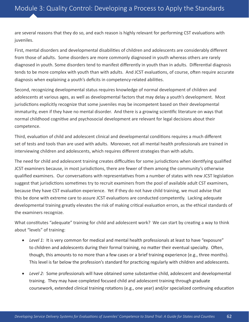are several reasons that they do so, and each reason is highly relevant for performing CST evaluations with juveniles.

First, mental disorders and developmental disabilities of children and adolescents are considerably different from those of adults. Some disorders are more commonly diagnosed in youth whereas others are rarely diagnosed in youth. Some disorders tend to manifest differently in youth than in adults. Differential diagnosis tends to be more complex with youth than with adults. And JCST evaluations, of course, often require accurate diagnosis when explaining a youth's deficits in competency-related abilities.

Second, recognizing developmental status requires knowledge of normal development of children and adolescents at various ages, as well as developmental factors that may delay a youth's development. Most jurisdictions explicitly recognize that some juveniles may be incompetent based on their developmental immaturity, even if they have no mental disorder. And there is a growing scientific literature on ways that normal childhood cognitive and psychosocial development are relevant for legal decisions about their competence.

Third, evaluation of child and adolescent clinical and developmental conditions requires a much different set of tests and tools than are used with adults. Moreover, not all mental health professionals are trained in interviewing children and adolescents, which requires different strategies than with adults.

The need for child and adolescent training creates difficulties for some jurisdictions when identifying qualified JCST examiners because, in most jurisdictions, there are fewer of them among the community's otherwise qualified examiners. Our conversations with representatives from a number of states with new JCST legislation suggest that jurisdictions sometimes try to recruit examiners from the pool of available adult CST examiners, because they have CST evaluation experience. Yet if they do not have child training, we must advise that this be done with extreme care to assure JCST evaluations are conducted competently. Lacking adequate developmental training greatly elevates the risk of making critical evaluation errors, as the ethical standards of the examiners recognize.

What constitutes "adequate" training for child and adolescent work? We can start by creating a way to think about "levels" of training:

- Level 1: It is very common for medical and mental health professionals at least to have "exposure" to children and adolescents during their formal training, no matter their eventual specialty. Often, though, this amounts to no more than a few cases or a brief training experience (e.g., three months). This level is far below the profession's standard for practicing regularly with children and adolescents.
- *Level 2:* Some professionals will have obtained some substantive child, adolescent and developmental training. They may have completed focused child and adolescent training through graduate coursework, extended clinical training rotations (e.g., one year) and/or specialized continuing education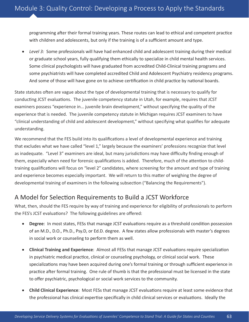programming after their formal training years. These routes can lead to ethical and competent practice with children and adolescents, but only if the training is of a sufficient amount and type.

• Level 3: Some professionals will have had enhanced child and adolescent training during their medical or graduate school years, fully qualifying them ethically to specialize in child mental health services. Some clinical psychologists will have graduated from accredited Child-Clinical training programs and some psychiatrists will have completed accredited Child and Adolescent Psychiatry residency programs. And some of those will have gone on to achieve certification in child practice by national boards.

State statutes often are vague about the type of developmental training that is necessary to qualify for conducting JCST evaluations. The juvenile competency statute in Utah, for example, requires that JCST examiners possess "experience in… juvenile brain development," without specifying the quality of the experience that is needed. The juvenile competency statute in Michigan requires JCST examiners to have "clinical understanding of child and adolescent development," without specifying what qualifies for adequate understanding.

We recommend that the FES build into its qualifications a level of developmental experience and training that excludes what we have called "level 1," largely because the examiners' professions recognize that level as inadequate. "Level 3" examiners are ideal, but many jurisdictions may have difficulty finding enough of them, especially when need for forensic qualifications is added. Therefore, much of the attention to childtraining qualifications will focus on "level 2" candidates, where screening for the amount and type of training and experience becomes especially important. We will return to this matter of weighing the degree of developmental training of examiners in the following subsection ("Balancing the Requirements").

## A Model for Selection Requirements to Build a JCST Workforce

What, then, should the FES require by way of training and experience for eligibility of professionals to perform the FES's JCST evaluations? The following guidelines are offered:

- • **Degree**: In most states, FESs that manage JCST evaluations require as a threshold condition possession of an M.D., D.O., Ph.D., Psy.D, or Ed.D. degree. A few states allow professionals with master's degrees in social work or counseling to perform them as well.
- • **Clinical Training and Experience**: Almost all FESs that manage JCST evaluations require specialization in psychiatric medical practice, clinical or counseling psychology, or clinical social work. These specializations may have been acquired during one's formal training or through sufficient experience in practice after formal training. One rule of thumb is that the professional must be licensed in the state to offer psychiatric, psychological or social work services to the community.
- • **Child Clinical Experience**: Most FESs that manage JCST evaluations require at least some evidence that the professional has clinical expertise specifically in child clinical services or evaluations. Ideally the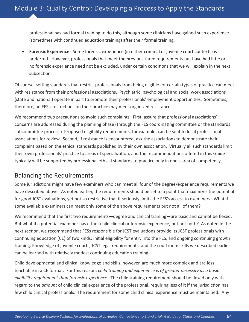professional has had formal training to do this, although some clinicians have gained such experience (sometimes with continued education training) after their formal training.

• **Forensic Experience**: Some forensic experience (in either criminal or juvenile court contexts) is preferred. However, professionals that meet the previous three requirements but have had little or no forensic experience need not be excluded, under certain conditions that we will explain in the next subsection.

Of course, setting standards that restrict professionals from being eligible for certain types of practice can meet with resistance from their professional associations. Psychiatric, psychological and social work associations (state and national) operate in part to promote their professionals' employment opportunities. Sometimes, therefore, an FES's restrictions on their practice may meet organized resistance.

We recommend two precautions to avoid such complaints. First, assure that professional associations' concerns are addressed during the planning phase (through the FES coordinating committee or the standards subcommittee process.) Proposed eligibility requirements, for example, can be sent to local professional associations for review. Second, if resistance is encountered, ask the associations to demonstrate their complaint based on the ethical standards published by their own association. Virtually all such standards limit their own professionals' practice to areas of specialization, and the recommendations offered in this Guide typically will be supported by professional ethical standards to practice only in one's area of competency.

## Balancing the Requirements

Some jurisdictions might have few examiners who can meet all four of the degree/experience requirements we have described above. As noted earlier, the requirements should be set to a point that maximizes the potential for good JCST evaluations, yet not so restrictive that it seriously limits the FES's access to examiners. What if some available examiners can meet only some of the above requirements but not all of them?

We recommend that the first two requirements—degree and clinical training—are basic and cannot be flexed. But what if a potential examiner has either child clinical or forensic experience, but not both? As noted in the next section, we recommend that FESs responsible for JCST evaluations provide its JCST professionals with continuing education (CE) of two kinds: initial eligibility for entry into the FES, and ongoing continuing growth training. Knowledge of juvenile courts, JCST legal requirements, and the courtroom skills we described earlier can be learned with relatively modest continuing education training.

Child developmental and clinical knowledge and skills, however, are much more complex and are less teachable in a CE format. For this reason, *child training and experience is of greater necessity as a basic eligibility requirement than forensic experience*. The child training requirement should be flexed only with regard to the *amount* of child clinical experience of the professional, requiring less of it if the jurisdiction has few child clinical professionals. The requirement for some child clinical experience must be maintained. Any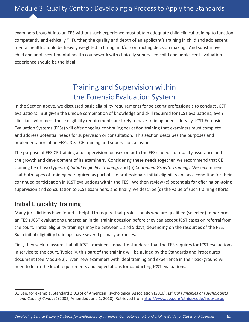examiners brought into an FES without such experience must obtain adequate child clinical training to function competently and ethically.<sup>31</sup> Further, the quality and depth of an applicant's training in child and adolescent mental health should be heavily weighted in hiring and/or contracting decision making. And substantive child and adolescent mental health coursework with clinically supervised child and adolescent evaluation experience should be the ideal.

# Training and Supervision within the Forensic Evaluation System

In the Section above, we discussed basic eligibility requirements for selecting professionals to conduct JCST evaluations. But given the unique combination of knowledge and skill required for JCST evaluations, even clinicians who meet these eligibility requirements are likely to have training needs. Ideally, JCST Forensic Evaluation Systems (FESs) will offer ongoing continuing education training that examiners must complete and address potential needs for supervision or consultation. This section describes the purposes and implementation of an FES's JCST CE training and supervision activities.

The purpose of FES CE training and supervision focuses on both the FES's needs for quality assurance and the growth and development of its examiners. Considering these needs together, we recommend that CE training be of two types: (a) *Initial Eligibility Training*, and (b) *Continued Growth Training*. We recommend that both types of training be required as part of the professional's initial eligibility and as a condition for their continued participation in JCST evaluations within the FES. We then review (c) potentials for offering on-going supervision and consultation to JCST examiners, and finally, we describe (d) the value of such training efforts.

## Initial Eligibility Training

Many jurisdictions have found it helpful to require that professionals who are qualified (selected) to perform an FES's JCST evaluations undergo an initial training session before they can accept JCST cases on referral from the court. Initial eligibility trainings may be between 1 and 5 days, depending on the resources of the FES. Such initial eligibility trainings have several primary purposes.

First, they seek to assure that all JCST examiners know the standards that the FES requires for JCST evaluations in service to the court. Typically, this part of the training will be guided by the Standards and Procedures document (see Module 2). Even new examiners with ideal training and experience in their background will need to learn the local requirements and expectations for conducting JCST evaluations.

<sup>31</sup> See, for example, Standard 2.01(b) of American Psychological Association (2010). *Ethical Principles of Psychologists and Code of Conduct* (2002, Amended June 1, 2010). Retrieved from <http://www.apa.org/ethics/code/index.aspx>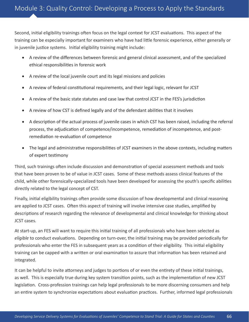Second, initial eligibility trainings often focus on the legal context for JCST evaluations. This aspect of the training can be especially important for examiners who have had little forensic experience, either generally or in juvenile justice systems. Initial eligibility training might include:

- • A review of the differences between forensic and general clinical assessment, and of the specialized ethical responsibilities in forensic work
- A review of the local juvenile court and its legal missions and policies
- A review of federal constitutional requirements, and their legal logic, relevant for JCST
- A review of the basic state statutes and case law that control JCST in the FES's jurisdiction
- A review of how CST is defined legally and of the defendant abilities that it involves
- • A description of the actual process of juvenile cases in which CST has been raised, including the referral process, the adjudication of competence/incompetence, remediation of incompetence, and postremediation re-evaluation of competence
- The legal and administrative responsibilities of JCST examiners in the above contexts, including matters of expert testimony

Third, such trainings often include discussion and demonstration of special assessment methods and tools that have been proven to be of value in JCST cases. Some of these methods assess clinical features of the child, while other forensically-specialized tools have been developed for assessing the youth's specific abilities directly related to the legal concept of CST.

Finally, initial eligibility trainings often provide some discussion of how developmental and clinical reasoning are applied to JCST cases. Often this aspect of training will involve intensive case studies, amplified by descriptions of research regarding the relevance of developmental and clinical knowledge for thinking about JCST cases.

At start-up, an FES will want to require this initial training of all professionals who have been selected as *eligible* to conduct evaluations. Depending on turn-over, the initial training may be provided periodically for professionals who enter the FES in subsequent years as a condition of their eligibility. This initial eligibility training can be capped with a written or oral examination to assure that information has been retained and integrated.

It can be helpful to invite attorneys and judges to portions of or even the entirety of these initial trainings, as well. This is especially true during key system transition points, such as the implementation of new JCST legislation. Cross-profession trainings can help legal professionals to be more discerning consumers and help an entire system to synchronize expectations about evaluation practices. Further, informed legal professionals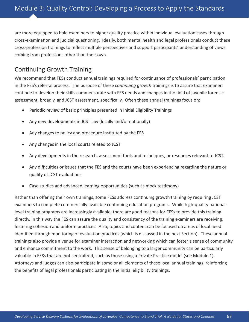are more equipped to hold examiners to higher quality practice within individual evaluation cases through cross-examination and judicial questioning. Ideally, both mental health and legal professionals conduct these cross-profession trainings to reflect multiple perspectives and support participants' understanding of views coming from professions other than their own.

#### Continuing Growth Training

We recommend that FESs conduct annual trainings required for continuance of professionals' participation in the FES's referral process. The purpose of these *continuing growth* trainings is to assure that examiners continue to develop their skills commensurate with FES needs and changes in the field of juvenile forensic assessment, broadly, and JCST assessment, specifically. Often these annual trainings focus on:

- Periodic review of basic principles presented in Initial Eligibility Trainings
- Any new developments in JCST law (locally and/or nationally)
- Any changes to policy and procedure instituted by the FES
- Any changes in the local courts related to JCST
- Any developments in the research, assessment tools and techniques, or resources relevant to JCST.
- • Any difficulties or issues that the FES and the courts have been experiencing regarding the nature or quality of JCST evaluations
- Case studies and advanced learning opportunities (such as mock testimony)

Rather than offering their own trainings, some FESs address continuing growth training by requiring JCST examiners to complete commercially available continuing education programs. While high-quality nationallevel training programs are increasingly available, there are good reasons for FESs to provide this training directly. In this way the FES can assure the quality and consistency of the training examiners are receiving, fostering cohesion and uniform practices. Also, topics and content can be focused on areas of local need identified through monitoring of evaluation practices (which is discussed in the next Section). These annual trainings also provide a venue for examiner interaction and networking which can foster a sense of community and enhance commitment to the work. This sense of belonging to a larger community can be particularly valuable in FESs that are not centralized, such as those using a Private Practice model (see Module 1). Attorneys and judges can also participate in some or all elements of these local annual trainings, reinforcing the benefits of legal professionals participating in the initial eligibility trainings.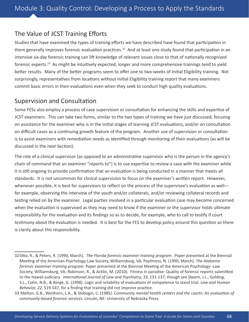#### The Value of JCST Training Efforts

Studies that have examined the types of training efforts we have described have found that participation in them generally improves forensic evaluation practices.<sup>32</sup> And at least one study found that participation in an intensive six-day forensic training can lift knowledge of relevant issues close to that of nationally recognized forensic experts.33 As might be intuitively expected, longer and more comprehensive trainings tend to yield better results. Many of the better programs seem to offer one to two weeks of Initial Eligibility training. Not surprisingly, representatives from locations without Initial Eligibility training report that many examiners commit basic errors in their evaluations even when they seek to conduct high quality evaluations.

#### Supervision and Consultation

Some FESs also employ a process of case supervision or consultation for enhancing the skills and expertise of JCST examiners. This can take two forms, similar to the two types of training we have just discussed, focusing on assistance for the examiner who is in the initial stages of learning JCST evaluations, and/or on consultation on difficult cases as a continuing growth feature of the program. Another use of supervision or consultation is to assist examiners with remediation needs as identified through monitoring of their evaluations (as will be discussed in the next Section).

The role of a clinical supervisor (as opposed to an administrative supervisor who is the person in the agency's chain of command that an examiner "reports to") is to use expertise to review a case with the examiner while it is still ongoing to provide confirmation that an evaluation is being conducted in a manner that meets all standards. It is not uncommon for clinical supervision to focus on the examiner's written report. However, whenever possible, it is best for supervisors to reflect on the process of the supervisee's evaluation as wellfor example, observing the interview of the youth and/or collaterals, and/or reviewing collateral records and testing relied on by the examiner. Legal parties involved in a particular evaluation case may become concerned when the evaluation is supervised as they may need to know if the examiner or the supervisor holds ultimate responsibility for the evaluation and its findings so as to decide, for example, who to call to testify if court testimony about the evaluation is needed. It is best for the FES to develop policy around this question so there is clarity about this responsibility.

<sup>32</sup>Otto, R., & Peters, R. (1990, March). *The Florida forensic examiner training program*. Paper presented at the Biennial Meeting of the American Psychology-Law Society, Williamsburg, VA; Poythress, N. (1990, March). *The Alabama forensic examiner training program*. Paper presented at the Biennial Meeting of the American Psychology--Law Society, Williamsburg, VA; Robinson, R., & Acklin, M. (2010). Fitness in paradise: Quality of forensic reports submitted to the Hawaii judiciary. *International Journal of Law and Psychiatry, 33,* 131-137; though see Skeem, J.L., Golding, S.L., Cohn, N.B., & Berge, G. (1998). Logic and reliability of evaluations of competence to stand trial. *Law and Human Behavior, 22,* 519-547, for a finding that training did not improve practice.

<sup>33</sup> Melton, G.B., Weithorn, L.A., & Slobogin, C. (1985*). Community mental health centers and the courts: An evaluation of community-based forensic services*. Lincoln, NE: University of Nebraska Press.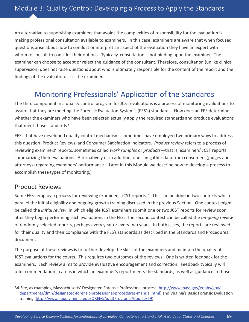An alternative to supervising examiners that avoids the complexities of responsibility for the evaluation is making professional consultation available to examiners. In this case, examiners are aware that when focused questions arise about how to conduct or interpret an aspect of the evaluation they have an expert with whom to consult to consider their options. Typically, consultation is not binding upon the examiner. The examiner can choose to accept or reject the guidance of the consultant. Therefore, consultation (unlike clinical supervision) does not raise questions about who is ultimately responsible for the content of the report and the findings of the evaluation. It is the examiner.

## Monitoring Professionals' Application of the Standards

The third component in a quality control program for JCST evaluations is a process of monitoring evaluations to assure that they are meeting the Forensic Evaluation System's (FES's) standards. How does an FES determine whether the examiners who have been selected actually apply the required standards and produce evaluations that meet those standards?

FESs that have developed quality control mechanisms sometimes have employed two primary ways to address this question: Product Reviews, and Consumer Satisfaction indicators. *Product review* refers to a process of reviewing examiners' reports, sometimes called *work samples* or *products*—that is, examiners' JCST reports summarizing their evaluations. Alternatively or in addition, one can gather data from consumers (judges and attorneys) regarding examiners' performance. (Later in this Module we describe how to develop a process to accomplish these types of monitoring.)

#### Product Reviews

Some FESs employ a process for reviewing examiners' JCST reports.<sup>34</sup> This can be done in two contexts which parallel the initial eligibility and ongoing growth training discussed in the previous Section. One context might be called the *initial review*, in which eligible JCST examiners submit one or two JCST reports for review soon after they begin performing such evaluations in the FES. The second context can be called the *on-going review* of randomly selected reports, perhaps every year or every two years. In both cases, the reports are reviewed for their quality and their compliance with the FES's standards as described in the Standards and Procedures document.

The purpose of these reviews is to further develop the skills of the examiners and maintain the quality of JCST evaluations for the courts. This requires two outcomes of the reviews. One is written feedback for the examiners. Each review aims to provide evaluative encouragement and correction. Feedback typically will offer commendation in areas in which an examiner's report meets the standards, as well as guidance in those

<sup>34</sup> See, as examples, Massachusetts' Designated Forensic Professional process ([http://www.mass.gov/eohhs/gov/](http://www.mass.gov/eohhs/gov/departments/dmh/designated-forensic-professional-procedures-manual.html) [departments/dmh/designated-forensic-professional-procedures-manual.html\)](http://www.mass.gov/eohhs/gov/departments/dmh/designated-forensic-professional-procedures-manual.html) and Virginia's Basic Forensic Evaluation training (<http://www.ilppp.virginia.edu/OREM/AdultPrograms/Course/59>).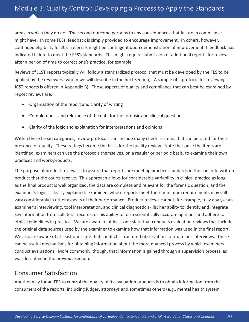## Module 3: Quality Control: Developing a Process to Apply the Standards

areas in which they do not. The second outcome pertains to any consequences that failure in compliance might have. In some FESs, feedback is simply provided to encourage improvement. In others, however, continued eligibility for JCST referrals might be contingent upon demonstration of improvement if feedback has indicated failure to meet the FES's standards. This might require submission of additional reports for review after a period of time to correct one's practice, for example.

Reviews of JCST reports typically will follow a standardized protocol that must be developed by the FES to be applied by the reviewers (whom we will describe in the next Section). A sample of a protocol for reviewing JCST reports is offered in Appendix B). Those aspects of quality and compliance that can best be examined by report reviews are:

- Organization of the report and clarity of writing
- Completeness and relevance of the data for the forensic and clinical questions
- Clarity of the logic and explanation for interpretations and opinions

Within these broad categories, review protocols can include many checklist items that can be rated for their presence or quality. These ratings become the basis for the quality review. Note that once the items are identified, examiners can use the protocols themselves, on a regular or periodic basis, to examine their own practices and work-products.

The purpose of product reviews is to assure that reports are meeting practice standards in the concrete written product that the courts receive. This approach allows for considerable variability in clinical practice as long as the final product is well organized, the data are complete and relevant for the forensic question, and the examiner's logic is clearly explained. Examiners whose reports meet these minimum requirements may still vary considerably in other aspects of their performance. Product reviews cannot, for example, fully analyze an examiner's interviewing, tool interpretation, and clinical diagnostic skills; her ability to identify and integrate key information from collateral records; or his ability to form scientifically accurate opinions and adhere to ethical guidelines in practice. We are aware of at least one state that conducts evaluation reviews that include the original data sources used by the examiner to examine how that information was used in the final report. We also are aware of at least one state that conducts structured observations of examiner interviews. These can be useful mechanisms for obtaining information about the more nuanced process by which examiners conduct evaluations. More commonly, though, that information is gained through a supervision process, as was described in the previous Section.

### Consumer Satisfaction

Another way for an FES to control the quality of its evaluation products is to obtain information from the consumers of the reports, including judges, attorneys and sometimes others (e.g., mental health system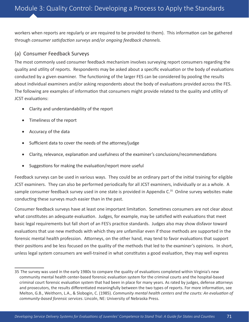workers when reports are regularly or are required to be provided to them). This information can be gathered through *consumer satisfaction surveys* and/or *ongoing feedback channels.*

#### (a) Consumer Feedback Surveys

The most commonly used consumer feedback mechanism involves surveying report consumers regarding the quality and utility of reports. Respondents may be asked about a specific evaluation or the body of evaluations conducted by a given examiner. The functioning of the larger FES can be considered by pooling the results about individual examiners and/or asking respondents about the body of evaluations provided across the FES. The following are examples of information that consumers might provide related to the quality and utility of JCST evaluations:

- Clarity and understandability of the report
- • Timeliness of the report
- Accuracy of the data
- Sufficient data to cover the needs of the attorney/judge
- Clarity, relevance, explanation and usefulness of the examiner's conclusions/recommendations
- Suggestions for making the evaluation/report more useful

Feedback surveys can be used in various ways. They could be an ordinary part of the initial training for eligible JCST examiners. They can also be performed periodically for all JCST examiners, individually or as a whole. A sample consumer feedback survey used in one state is provided in Appendix C.<sup>35</sup> Online survey websites make conducting these surveys much easier than in the past.

Consumer feedback surveys have at least one important limitation. Sometimes consumers are not clear about what constitutes an adequate evaluation. Judges, for example, may be satisfied with evaluations that meet basic legal requirements but fall short of an FES's practice standards. Judges also may show disfavor toward evaluations that use new methods with which they are unfamiliar even if those methods are supported in the forensic mental health profession. Attorneys, on the other hand, may tend to favor evaluations that support their positions and be less focused on the quality of the methods that led to the examiner's opinions. In short, unless legal system consumers are well-trained in what constitutes a good evaluation, they may well express

<sup>35</sup> The survey was used in the early 1980s to compare the quality of evaluations completed within Virginia's new community mental health center-based forensic evaluation system for the criminal courts and the hospital-based criminal court forensic evaluation system that had been in place for many years. As rated by judges, defense attorneys and prosecutors, the results differentiated meaningfully between the two types of reports. For more information, see Melton, G.B., Weithorn, L.A., & Slobogin, C. (1985). *Community mental health centers and the courts: An evaluation of community-based forensic services*. Lincoln, NE: University of Nebraska Press.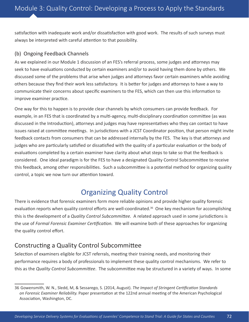satisfaction with inadequate work and/or dissatisfaction with good work. The results of such surveys must always be interpreted with careful attention to that possibility.

#### (b) Ongoing Feedback Channels

As we explained in our Module 1 discussion of an FES's referral process, some judges and attorneys may seek to have evaluations conducted by certain examiners and/or to avoid having them done by others. We discussed some of the problems that arise when judges and attorneys favor certain examiners while avoiding others because they find their work less satisfactory. It is better for judges and attorneys to have a way to communicate their concerns about specific examiners to the FES, which can then use this information to improve examiner practice.

One way for this to happen is to provide clear channels by which consumers can provide feedback. For example, in an FES that is coordinated by a multi-agency, multi-disciplinary coordination committee (as was discussed in the Introduction), attorneys and judges may have representatives who they can contact to have issues raised at committee meetings. In jurisdictions with a JCST Coordinator position, that person might invite feedback contacts from consumers that can be addressed internally by the FES. The key is that attorneys and judges who are particularly satisfied or dissatisfied with the quality of a particular evaluation or the body of evaluations completed by a certain examiner have clarity about what steps to take so that the feedback is considered. One ideal paradigm is for the FES to have a designated Quality Control Subcommittee to receive this feedback, among other responsibilities. Such a subcommittee is a potential method for organizing quality control, a topic we now turn our attention toward.

## Organizing Quality Control

There is evidence that forensic examiners form more reliable opinions and provide higher quality forensic evaluation reports when quality control efforts are well-coordinated.<sup>36</sup> One key mechanism for accomplishing this is the development of a *Quality Control Subcommittee.* A related approach used in some jurisdictions is the use of *Formal Forensic Examiner Certification.* We will examine both of these approaches for organizing the quality control effort.

## Constructing a Quality Control Subcommittee

Selection of examiners eligible for JCST referrals, meeting their training needs, and monitoring their performance requires a body of professionals to implement these quality control mechanisms. We refer to this as the *Quality Control Subcommittee*. The subcommittee may be structured in a variety of ways. In some

<sup>36</sup> Gowensmith, W. N., Sledd, M, & Sessarego, S. (2014, August). *The Impact of Stringent Certification Standards on Forensic Examiner Reliability.* Paper presentation at the 122nd annual meeting of the American Psychological Association, Washington, DC.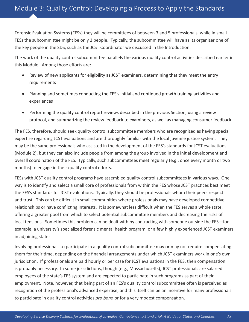Forensic Evaluation Systems (FESs) they will be committees of between 3 and 5 professionals, while in small FESs the subcommittee might be only 2 people. Typically, the subcommittee will have as its organizer one of the key people in the SDS, such as the JCST Coordinator we discussed in the Introduction.

The work of the quality control subcommittee parallels the various quality control activities described earlier in this Module. Among those efforts are:

- Review of new applicants for eligibility as JCST examiners, determining that they meet the entry requirements
- Planning and sometimes conducting the FES's initial and continued growth training activities and experiences
- Performing the quality control report reviews described in the previous Section, using a review protocol, and summarizing the review feedback to examiners, as well as managing consumer feedback

The FES, therefore, should seek quality control subcommittee members who are recognized as having special expertise regarding JCST evaluations and are thoroughly familiar with the local juvenile justice system. They may be the same professionals who assisted in the development of the FES's standards for JCST evaluations (Module 2), but they can also include people from among the group involved in the initial development and overall coordination of the FES. Typically, such subcommittees meet regularly (e.g., once every month or two months) to engage in their quality control efforts.

FESs with JCST quality control programs have assembled quality control subcommittees in various ways. One way is to identify and select a small core of professionals from within the FES whose JCST practices best meet the FES's standards for JCST evaluations. Typically, they should be professionals whom their peers respect and trust. This can be difficult in small communities where professionals may have developed competitive relationships or have conflicting interests. It is somewhat less difficult when the FES serves a whole state, offering a greater pool from which to select potential subcommittee members and decreasing the risks of local tensions. Sometimes this problem can be dealt with by contracting with someone outside the FES—for example, a university's specialized forensic mental health program, or a few highly experienced JCST examiners in adjoining states.

Involving professionals to participate in a quality control subcommittee may or may not require compensating them for their time, depending on the financial arrangements under which JCST examiners work in one's own jurisdiction. If professionals are paid hourly or per case for JCST evaluations in the FES, then compensation is probably necessary. In some jurisdictions, though (e.g., Massachusetts), JCST professionals are salaried employees of the state's FES system and are expected to participate in such programs as part of their employment. Note, however, that being part of an FES's quality control subcommittee often is perceived as recognition of the professional's advanced expertise, and this itself can be an incentive for many professionals to participate in quality control activities *pro bono* or for a very modest compensation.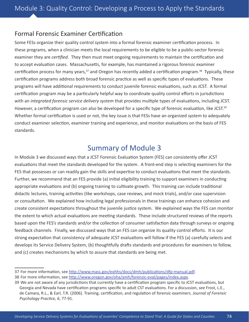#### Formal Forensic Examiner Certification

Some FESs organize their quality control system into a formal forensic examiner certification process. In these programs, when a clinician meets the local requirements to be eligible to be a public-sector forensic examiner they are *certified*. They then must meet ongoing requirements to maintain the certification and to accept evaluation cases. Massachusetts, for example, has maintained a rigorous forensic examiner certification process for many years,  $37$  and Oregon has recently added a certification program.  $38$  Typically, these certification programs address both broad forensic practice as well as specific types of evaluations. These programs will have additional requirements to conduct juvenile forensic evaluations, such as JCST. A formal certification program may be a particularly helpful way to coordinate quality control efforts in jurisdictions with an *integrated forensic service delivery system* that provides multiple types of evaluations, including JCST. However, a certification program can also be developed for a specific type of forensic evaluation, like JCST.<sup>39</sup> Whether formal certification is used or not, the key issue is that FESs have an organized system to adequately conduct examiner selection, examiner training and experience, and monitor evaluations on the basis of FES standards.

## Summary of Module 3

In Module 3 we discussed ways that a JCST Forensic Evaluation System (FES) can consistently offer JCST evaluations that meet the standards developed for the system. A front-end step is selecting examiners for the FES that possesses or can readily gain the skills and expertise to conduct evaluations that meet the standards. Further, we recommend that an FES provide (a) initial eligibility training to support examiners in conducting appropriate evaluations and (b) ongoing training to cultivate growth. This training can include traditional didactic lectures, training activities (like workshops, case reviews, and mock trials), and/or case supervision or consultation. We explained how including legal professionals in these trainings can enhance cohesion and create consistent expectations throughout the juvenile justice system. We explained ways the FES can monitor the extent to which actual evaluations are meeting standards. These include structured reviews of the reports based upon the FES's standards and/or the collection of consumer satisfaction data through surveys or ongoing feedback channels. Finally, we discussed ways that an FES can organize its quality control efforts. It is our strong expectation that consistency of adequate JCST evaluations will follow if the FES (a) carefully selects and develops its Service Delivery System, (b) thoughtfully drafts standards and procedures for examiners to follow, and (c) creates mechanisms by which to assure that standards are being met.

<sup>37</sup> For more information, see<http://www.mass.gov/eohhs/docs/dmh/publications/dfp-manual.pdf>.

<sup>38</sup> For more information, see<http://www.oregon.gov/oha/amh/forensic-eval/pages/index.aspx>.

<sup>39</sup> We are not aware of any jurisdictions that currently have a certification program specific to JCST evaluations, but Georgia and Nevada have certification programs specific to adult CST evaluations. For a discussion, see Frost, L.E., de Camara, R.L., & Earl, T.R. (2006). Training, certification, and regulation of forensic examiners. *Journal of Forensic Psychology Practice, 6*, 77-91.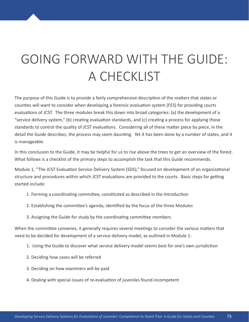# GOING FORWARD WITH THE GUIDE: A CHECKLIST

The purpose of this Guide is to provide a fairly comprehensive description of the matters that states or counties will want to consider when developing a forensic evaluation system (FES) for providing courts evaluations of JCST. The three modules break this down into broad categories: (a) the development of a "service delivery system," (b) creating evaluation standards, and (c) creating a process for applying those standards to control the quality of JCST evaluations. Considering all of these matter piece by piece, in the detail the Guide describes, the process may seem daunting. Yet it has been done by a number of states, and it is manageable.

In this conclusion to the Guide, it may be helpful for us to rise above the trees to get an overview of the forest. What follows is a checklist of the primary steps to accomplish the task that this Guide recommends.

Module 1, "The JCST Evaluation Service Delivery System (SDS)," focused on development of an organizational structure and procedures within which JCST evaluations are provided to the courts. Basic steps for getting started include:

- 1. Forming a coordinating committee, constituted as described in the Introduction
- 2. Establishing the committee's agenda, identified by the focus of the three Modules
- 3. Assigning the Guide for study by the coordinating committee members

When the committee convenes, it generally requires several meetings to consider the various matters that need to be decided for development of a service delivery model, as outlined in Module 1:

- 1. Using the Guide to discover what service delivery model seems best for one's own jurisdiction
- 2. Deciding how cases will be referred
- 3. Deciding on how examiners will be paid
- 4. Dealing with special issues of re-evaluation of juveniles found incompetent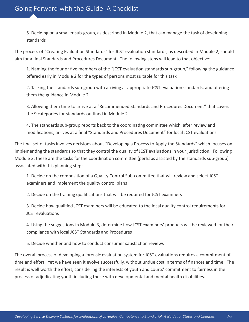5. Deciding on a smaller sub-group, as described in Module 2, that can manage the task of developing standards

The process of "Creating Evaluation Standards" for JCST evaluation standards, as described in Module 2, should aim for a final Standards and Procedures Document. The following steps will lead to that objective:

1. Naming the four or five members of the "JCST evaluation standards sub-group," following the guidance offered early in Module 2 for the types of persons most suitable for this task

2. Tasking the standards sub-group with arriving at appropriate JCST evaluation standards, and offering them the guidance in Module 2

3. Allowing them time to arrive at a "Recommended Standards and Procedures Document" that covers the 9 categories for standards outlined in Module 2

4. The standards sub-group reports back to the coordinating committee which, after review and modifications, arrives at a final "Standards and Procedures Document" for local JCST evaluations

The final set of tasks involves decisions about "Developing a Process to Apply the Standards" which focuses on implementing the standards so that they control the quality of JCST evaluations in your jurisdiction. Following Module 3, these are the tasks for the coordination committee (perhaps assisted by the standards sub-group) associated with this planning step:

1. Decide on the composition of a Quality Control Sub-committee that will review and select JCST examiners and implement the quality control plans

2. Decide on the training qualifications that will be required for JCST examiners

3. Decide how qualified JCST examiners will be educated to the local quality control requirements for JCST evaluations

4. Using the suggestions in Module 3, determine how JCST examiners' products will be reviewed for their compliance with local JCST Standards and Procedures

5. Decide whether and how to conduct consumer satisfaction reviews

The overall process of developing a forensic evaluation system for JCST evaluations requires a commitment of time and effort. Yet we have seen it evolve successfully, without undue cost in terms of finances and time. The result is well worth the effort, considering the interests of youth and courts' commitment to fairness in the process of adjudicating youth including those with developmental and mental health disabilities.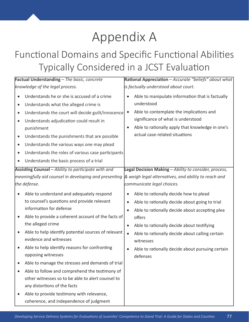# Appendix A

## Functional Domains and Specific Functional Abilities Typically Considered in a JCST Evaluation

|           | Factual Understanding - The basic, concrete           |           | Rational Appreciation - Accurate "beliefs" about what |
|-----------|-------------------------------------------------------|-----------|-------------------------------------------------------|
|           | knowledge of the legal process.                       |           | is factually understood about court.                  |
|           | Understands he or she is accused of a crime           |           | Able to manipulate information that is factually      |
| $\bullet$ | Understands what the alleged crime is                 |           | understood                                            |
| $\bullet$ | Understands the court will decide guilt/innocence     | $\bullet$ | Able to contemplate the implications and              |
| $\bullet$ | Understands adjudication could result in              |           | significance of what is understood                    |
|           | punishment                                            | $\bullet$ | Able to rationally apply that knowledge in one's      |
| $\bullet$ | Understands the punishments that are possible         |           | actual case-related situations                        |
| $\bullet$ | Understands the various ways one may plead            |           |                                                       |
|           | Understands the roles of various case participants    |           |                                                       |
| $\bullet$ | Understands the basic process of a trial              |           |                                                       |
|           | Assisting Counsel - Ability to participate with and   |           | Legal Decision Making - Ability to consider, process, |
|           | meaningfully aid counsel in developing and presenting |           | & weigh legal alternatives, and ability to reach and  |
|           | the defense.                                          |           | communicate legal choices.                            |
|           | Able to understand and adequately respond             | $\bullet$ | Able to rationally decide how to plead                |
|           | to counsel's questions and provide relevant           | $\bullet$ | Able to rationally decide about going to trial        |
|           | information for defense                               | $\bullet$ | Able to rationally decide about accepting plea        |
|           | Able to provide a coherent account of the facts of    |           | offers                                                |
|           | the alleged crime                                     | $\bullet$ | Able to rationally decide about testifying            |
| $\bullet$ | Able to help identify potential sources of relevant   | $\bullet$ | Able to rationally decide about calling certain       |
|           | evidence and witnesses                                |           | witnesses                                             |
|           | Able to help identify reasons for confronting         |           | Able to rationally decide about pursuing certain      |
|           | opposing witnesses                                    |           | defenses                                              |
|           | Able to manage the stresses and demands of trial      |           |                                                       |
| $\bullet$ | Able to follow and comprehend the testimony of        |           |                                                       |
|           | other witnesses so to be able to alert counsel to     |           |                                                       |
|           | any distortions of the facts                          |           |                                                       |
|           | Able to provide testimony with relevance,             |           |                                                       |
|           | coherence, and independence of judgment               |           |                                                       |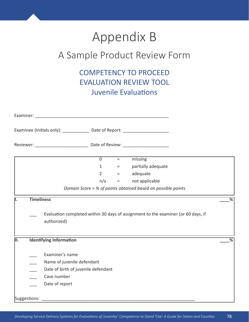## Appendix B

## A Sample Product Review Form

## COMPETENCY TO PROCEED EVALUATION REVIEW TOOL Juvenile Evaluations

|              |                                                                                                                       |                        |                | Examinee (Initials only): ________________ Date of Report: _____________________  |               |
|--------------|-----------------------------------------------------------------------------------------------------------------------|------------------------|----------------|-----------------------------------------------------------------------------------|---------------|
|              |                                                                                                                       |                        |                |                                                                                   |               |
|              |                                                                                                                       | $\overline{0}$         | $\equiv$       | missing                                                                           |               |
|              |                                                                                                                       | $1 \quad \blacksquare$ | $\equiv 1.000$ | partially adequate                                                                |               |
|              |                                                                                                                       |                        | $2 =$          | adequate                                                                          |               |
|              |                                                                                                                       | n/a                    |                | = not applicable                                                                  |               |
|              |                                                                                                                       |                        |                | Domain Score = % of points obtained based on possible points                      |               |
|              | <b>Timeliness</b><br>authorized)                                                                                      |                        |                | Evaluation completed within 30 days of assignment to the examiner (or 60 days, if | $\frac{9}{6}$ |
| π.           | <b>Identifying Information</b>                                                                                        |                        |                |                                                                                   | %             |
|              | Examiner's name<br>Name of juvenile defendant<br>Date of birth of juvenile defendant<br>Case number<br>Date of report |                        |                |                                                                                   |               |
| Suggestions: |                                                                                                                       |                        |                |                                                                                   |               |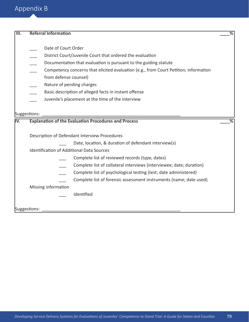### Appendix B

| $\overline{\mathsf{III}}$ . | <b>Referral Information</b>                                                                                                                                                                                                                                                                                                                                                                                                                                         | ℅ |
|-----------------------------|---------------------------------------------------------------------------------------------------------------------------------------------------------------------------------------------------------------------------------------------------------------------------------------------------------------------------------------------------------------------------------------------------------------------------------------------------------------------|---|
|                             | Date of Court Order<br>District Court/Juvenile Court that ordered the evaluation<br>Documentation that evaluation is pursuant to the guiding statute<br>Competency concerns that elicited evaluation (e.g., from Court Petition; information<br>from defense counsel)<br>Nature of pending charges<br>Basic description of alleged facts in instant offense<br>Juvenile's placement at the time of the interview                                                    |   |
| IV.                         | Suggestions:<br><b>Explanation of the Evaluation Procedures and Process</b>                                                                                                                                                                                                                                                                                                                                                                                         |   |
|                             | Description of Defendant Interview Procedures<br>Date, location, & duration of defendant interview(s)<br><b>Identification of Additional Data Sources</b><br>Complete list of reviewed records (type, dates)<br>Complete list of collateral interviews (interviewee; date; duration)<br>Complete list of psychological testing (test; date administered)<br>Complete list of forensic assessment instruments (name; date used)<br>Missing information<br>Identified |   |
|                             | Suggestions:                                                                                                                                                                                                                                                                                                                                                                                                                                                        |   |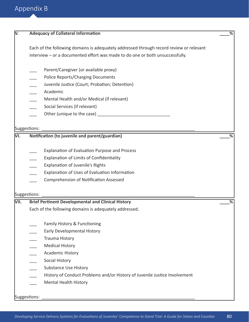## Appendix B

| V.   | <b>Adequacy of Collateral Information</b>                                               | % |
|------|-----------------------------------------------------------------------------------------|---|
|      |                                                                                         |   |
|      | Each of the following domains is adequately addressed through record review or relevant |   |
|      | interview - or a documented effort was made to do one or both unsuccessfully.           |   |
|      | Parent/Caregiver (or available proxy)                                                   |   |
|      | <b>Police Reports/Charging Documents</b>                                                |   |
|      | Juvenile Justice (Court; Probation; Detention)                                          |   |
|      | Academic                                                                                |   |
|      | Mental Health and/or Medical (if relevant)                                              |   |
|      | Social Services (if relevant)                                                           |   |
|      |                                                                                         |   |
|      |                                                                                         |   |
|      | Suggestions:                                                                            |   |
| VI.  | Notification (to juvenile and parent/guardian)                                          | % |
|      |                                                                                         |   |
|      |                                                                                         |   |
|      | <b>Explanation of Evaluation Purpose and Process</b>                                    |   |
|      | Explanation of Limits of Confidentiality                                                |   |
|      | <b>Explanation of Juvenile's Rights</b>                                                 |   |
|      | Explanation of Uses of Evaluation Information                                           |   |
|      | Comprehension of Notification Assessed                                                  |   |
|      | Suggestions:                                                                            |   |
| VII. | <b>Brief Pertinent Developmental and Clinical History</b>                               | % |
|      | Each of the following domains is adequately addressed.                                  |   |
|      |                                                                                         |   |
|      | Family History & Functioning                                                            |   |
|      | Early Developmental History                                                             |   |
|      | Trauma History                                                                          |   |
|      | <b>Medical History</b>                                                                  |   |
|      | <b>Academic History</b>                                                                 |   |
|      | <b>Social History</b>                                                                   |   |
|      | <b>Substance Use History</b>                                                            |   |
|      | History of Conduct Problems and/or History of Juvenile Justice Involvement              |   |
|      | <b>Mental Health History</b>                                                            |   |
|      |                                                                                         |   |
|      | Suggestions:                                                                            |   |
|      |                                                                                         |   |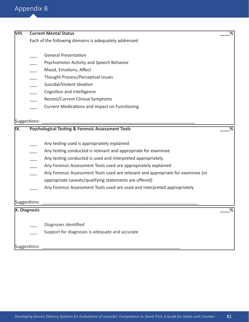| VIII.               |                          | <b>Current Mental Status</b>                                                                                                                                                                                                                                                                                                                                                                                                                                              |                 |
|---------------------|--------------------------|---------------------------------------------------------------------------------------------------------------------------------------------------------------------------------------------------------------------------------------------------------------------------------------------------------------------------------------------------------------------------------------------------------------------------------------------------------------------------|-----------------|
|                     |                          | Each of the following domains is adequately addressed                                                                                                                                                                                                                                                                                                                                                                                                                     |                 |
|                     | $\overline{\phantom{a}}$ | <b>General Presentation</b><br>Psychomotor Activity and Speech Behavior<br>Mood, Emotions, Affect<br>Thought Process/Perceptual Issues<br>Suicidal/Violent Ideation<br>Cognition and Intelligence<br><b>Recent/Current Clinical Symptoms</b>                                                                                                                                                                                                                              |                 |
|                     |                          | <b>Current Medications and Impact on Functioning</b>                                                                                                                                                                                                                                                                                                                                                                                                                      |                 |
|                     | Suggestions:             |                                                                                                                                                                                                                                                                                                                                                                                                                                                                           |                 |
| IX.                 |                          | <b>Psychological Testing &amp; Forensic Assessment Tools</b>                                                                                                                                                                                                                                                                                                                                                                                                              | $\overline{\%}$ |
|                     |                          | Any testing used is appropriately explained<br>Any testing conducted is relevant and appropriate for examinee<br>Any testing conducted is used and interpreted appropriately<br>Any Forensic Assessment Tools used are appropriately explained<br>Any Forensic Assessment Tools used are relevant and appropriate for examinee (or<br>appropriate caveats/qualifying statements are offered)<br>Any Forensic Assessment Tools used are used and interpreted appropriately |                 |
|                     | Suggestions:             |                                                                                                                                                                                                                                                                                                                                                                                                                                                                           |                 |
| <b>X. Diagnosis</b> |                          |                                                                                                                                                                                                                                                                                                                                                                                                                                                                           | ℅               |
|                     | Suggestions:             | Diagnoses identified<br>Support for diagnoses is adequate and accurate                                                                                                                                                                                                                                                                                                                                                                                                    |                 |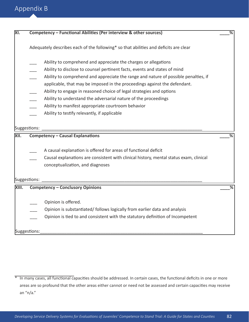

| XI.   |              | Competency - Functional Abilities (Per interview & other sources)                      | %                        |
|-------|--------------|----------------------------------------------------------------------------------------|--------------------------|
|       |              | Adequately describes each of the following* so that abilities and deficits are clear   |                          |
|       |              | Ability to comprehend and appreciate the charges or allegations                        |                          |
|       |              | Ability to disclose to counsel pertinent facts, events and states of mind              |                          |
|       |              | Ability to comprehend and appreciate the range and nature of possible penalties, if    |                          |
|       |              | applicable, that may be imposed in the proceedings against the defendant.              |                          |
|       |              | Ability to engage in reasoned choice of legal strategies and options                   |                          |
|       |              | Ability to understand the adversarial nature of the proceedings                        |                          |
|       |              | Ability to manifest appropriate courtroom behavior                                     |                          |
|       |              | Ability to testify relevantly, if applicable                                           |                          |
|       | Suggestions: |                                                                                        |                          |
| XII.  |              | <b>Competency - Causal Explanations</b>                                                | %                        |
|       |              | A causal explanation is offered for areas of functional deficit                        |                          |
|       |              | Causal explanations are consistent with clinical history, mental status exam, clinical |                          |
|       |              | conceptualization, and diagnoses                                                       |                          |
|       | Suggestions: |                                                                                        |                          |
| XIII. |              | <b>Competency - Conclusory Opinions</b>                                                | $\overline{\frac{9}{6}}$ |
|       |              | Opinion is offered.                                                                    |                          |
|       |              | Opinion is substantiated/ follows logically from earlier data and analysis             |                          |
|       |              | Opinion is tied to and consistent with the statutory definition of Incompetent         |                          |
|       | Suggestions: |                                                                                        |                          |

<sup>\*</sup> In many cases, all functional capacities should be addressed. In certain cases, the functional deficits in one or more areas are so profound that the other areas either cannot or need not be assessed and certain capacities may receive an "n/a."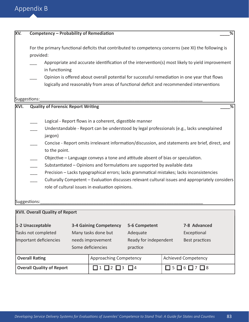

| XV.  | Competency - Probability of Remediation                                                                                                                                                                                                                                                                                                                                                                                                                                                                                                                                                                                                                                                                 |
|------|---------------------------------------------------------------------------------------------------------------------------------------------------------------------------------------------------------------------------------------------------------------------------------------------------------------------------------------------------------------------------------------------------------------------------------------------------------------------------------------------------------------------------------------------------------------------------------------------------------------------------------------------------------------------------------------------------------|
|      | For the primary functional deficits that contributed to competency concerns (see XI) the following is<br>provided:<br>Appropriate and accurate identification of the intervention(s) most likely to yield improvement<br>in functioning<br>Opinion is offered about overall potential for successful remediation in one year that flows<br>logically and reasonably from areas of functional deficit and recommended interventions                                                                                                                                                                                                                                                                      |
|      | Suggestions:                                                                                                                                                                                                                                                                                                                                                                                                                                                                                                                                                                                                                                                                                            |
| XVI. | <b>Quality of Forensic Report Writing</b>                                                                                                                                                                                                                                                                                                                                                                                                                                                                                                                                                                                                                                                               |
|      | Logical - Report flows in a coherent, digestible manner<br>Understandable - Report can be understood by legal professionals (e.g., lacks unexplained<br>jargon)<br>Concise - Report omits irrelevant information/discussion, and statements are brief, direct, and<br>to the point.<br>Objective - Language conveys a tone and attitude absent of bias or speculation.<br>Substantiated - Opinions and formulations are supported by available data<br>Precision - Lacks typographical errors; lacks grammatical mistakes; lacks inconsistencies<br>Culturally Competent - Evaluation discusses relevant cultural issues and appropriately considers<br>role of cultural issues in evaluation opinions. |
|      | Suggestions:                                                                                                                                                                                                                                                                                                                                                                                                                                                                                                                                                                                                                                                                                            |
|      | <b>XVII. Overall Quality of Report</b>                                                                                                                                                                                                                                                                                                                                                                                                                                                                                                                                                                                                                                                                  |

| 1-2 Unacceptable<br>Tasks not completed<br>Important deficiencies | <b>3-4 Gaining Competency</b><br>Many tasks done but<br>needs improvement<br>Some deficiencies | 5-6 Competent<br>Adequate<br>Ready for independent<br>practice |  | 7-8 Advanced<br>Exceptional<br>Best practices |
|-------------------------------------------------------------------|------------------------------------------------------------------------------------------------|----------------------------------------------------------------|--|-----------------------------------------------|
| <b>Overall Rating</b>                                             | <b>Approaching Competency</b>                                                                  |                                                                |  | <b>Achieved Competency</b>                    |
| <b>Overall Quality of Report</b>                                  | $\Box$ 1 $\Box$ 2 $\Box$ 3 $\Box$ 4                                                            |                                                                |  | $\Box$ 5 $\Box$ 6 $\Box$ 7 $\Box$ 8           |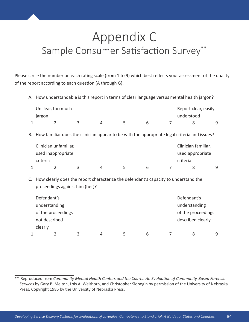## Appendix C Sample Consumer Satisfaction Survey\*\*

Please circle the number on each rating scale (from 1 to 9) which best reflects your assessment of the quality of the report according to each question (A through G).

A. How understandable is this report in terms of clear language versus mental health jargon?

| jargon                                                                                                                      | $\overline{2}$ | 3                                                                                                          | $\overline{4}$ | 5 | 6 | 7 | Report clear, easily<br>understood<br>8 | 9                                                                                                 |
|-----------------------------------------------------------------------------------------------------------------------------|----------------|------------------------------------------------------------------------------------------------------------|----------------|---|---|---|-----------------------------------------|---------------------------------------------------------------------------------------------------|
|                                                                                                                             |                |                                                                                                            |                |   |   |   |                                         |                                                                                                   |
| Clinician unfamiliar,<br>Clinician familiar,<br>used inappropriate<br>used appropriate<br>criteria<br>criteria              |                |                                                                                                            |                |   |   |   |                                         |                                                                                                   |
|                                                                                                                             |                |                                                                                                            | $\overline{4}$ |   |   |   |                                         | 9                                                                                                 |
| How clearly does the report characterize the defendant's capacity to understand the<br>C.<br>proceedings against him (her)? |                |                                                                                                            |                |   |   |   |                                         |                                                                                                   |
|                                                                                                                             |                |                                                                                                            |                |   |   |   | Defendant's                             |                                                                                                   |
|                                                                                                                             |                |                                                                                                            |                |   |   |   | understanding                           |                                                                                                   |
|                                                                                                                             |                |                                                                                                            |                |   |   |   | of the proceedings                      |                                                                                                   |
|                                                                                                                             |                |                                                                                                            |                |   |   |   | described clearly                       |                                                                                                   |
|                                                                                                                             | В.             | Unclear, too much<br>$\overline{2}$<br>Defendant's<br>understanding<br>of the proceedings<br>not described | 3              |   | 5 | 6 | 7                                       | How familiar does the clinician appear to be with the appropriate legal criteria and issues?<br>8 |

1 2 3 4 5 6 7 8 9

clearly

<sup>\*\*</sup> Reproduced from *Community Mental Health Centers and the Courts: An Evaluation of Community-Based Forensic Services* by Gary B. Melton, Lois A. Weithorn, and Christopher Slobogin by permission of the University of Nebraska Press. Copyright 1985 by the University of Nebraska Press.